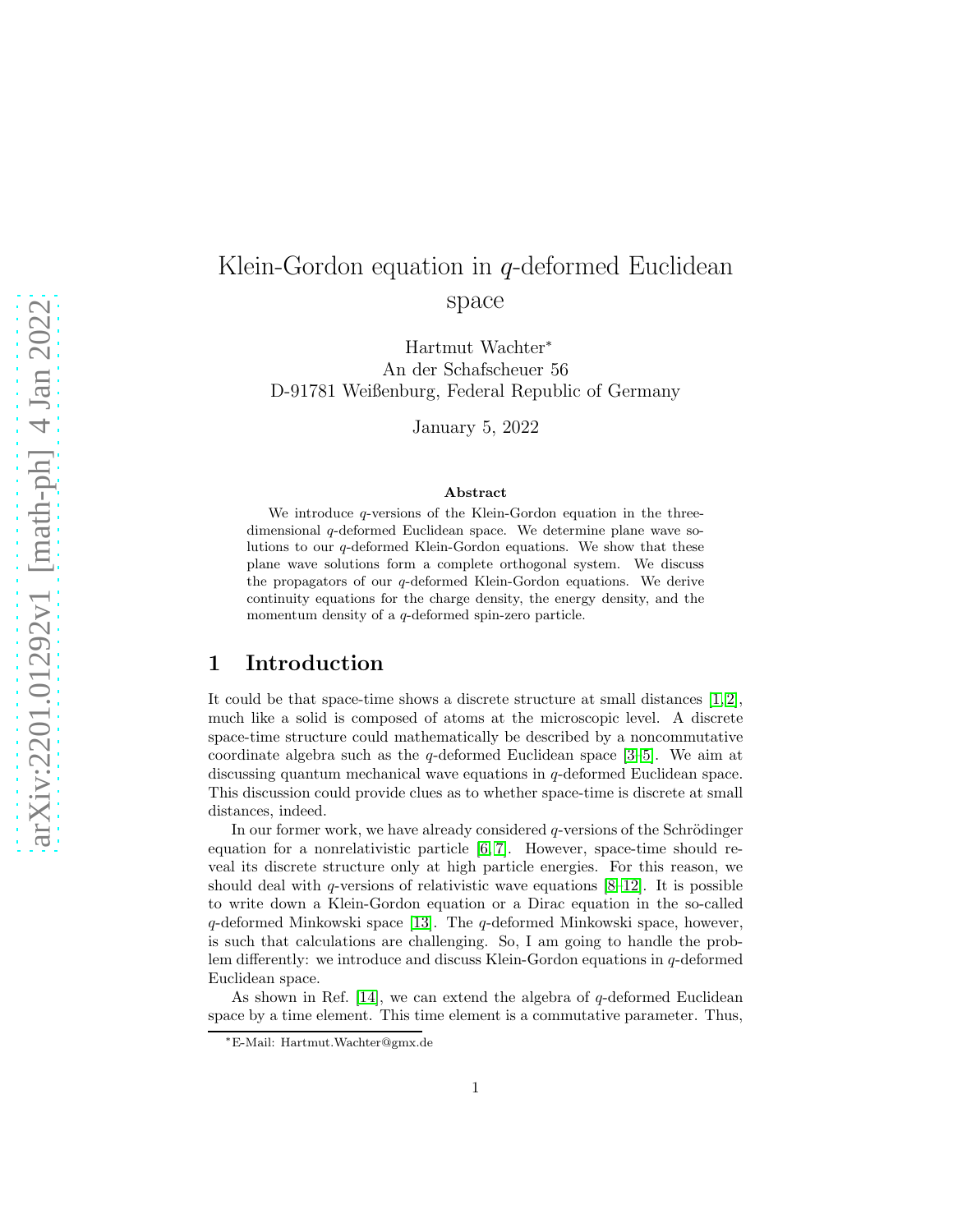# Klein-Gordon equation in  $q$ -deformed Euclidean space

Hartmut Wachter<sup>∗</sup> An der Schafscheuer 56 D-91781 Weißenburg, Federal Republic of Germany

January 5, 2022

#### Abstract

We introduce q-versions of the Klein-Gordon equation in the threedimensional q-deformed Euclidean space. We determine plane wave solutions to our q-deformed Klein-Gordon equations. We show that these plane wave solutions form a complete orthogonal system. We discuss the propagators of our q-deformed Klein-Gordon equations. We derive continuity equations for the charge density, the energy density, and the momentum density of a q-deformed spin-zero particle.

### 1 Introduction

It could be that space-time shows a discrete structure at small distances  $[1, 2]$  $[1, 2]$ , much like a solid is composed of atoms at the microscopic level. A discrete space-time structure could mathematically be described by a noncommutative coordinate algebra such as the q-deformed Euclidean space  $[3-5]$ . We aim at discussing quantum mechanical wave equations in q-deformed Euclidean space. This discussion could provide clues as to whether space-time is discrete at small distances, indeed.

In our former work, we have already considered  $q$ -versions of the Schrödinger equation for a nonrelativistic particle  $[6, 7]$  $[6, 7]$ . However, space-time should reveal its discrete structure only at high particle energies. For this reason, we should deal with q-versions of relativistic wave equations  $[8-12]$ . It is possible to write down a Klein-Gordon equation or a Dirac equation in the so-called q-deformed Minkowski space [\[13\]](#page-41-5). The q-deformed Minkowski space, however, is such that calculations are challenging. So, I am going to handle the problem differently: we introduce and discuss Klein-Gordon equations in q-deformed Euclidean space.

As shown in Ref. [\[14\]](#page-41-6), we can extend the algebra of  $q$ -deformed Euclidean space by a time element. This time element is a commutative parameter. Thus,

<sup>∗</sup>E-Mail: Hartmut.Wachter@gmx.de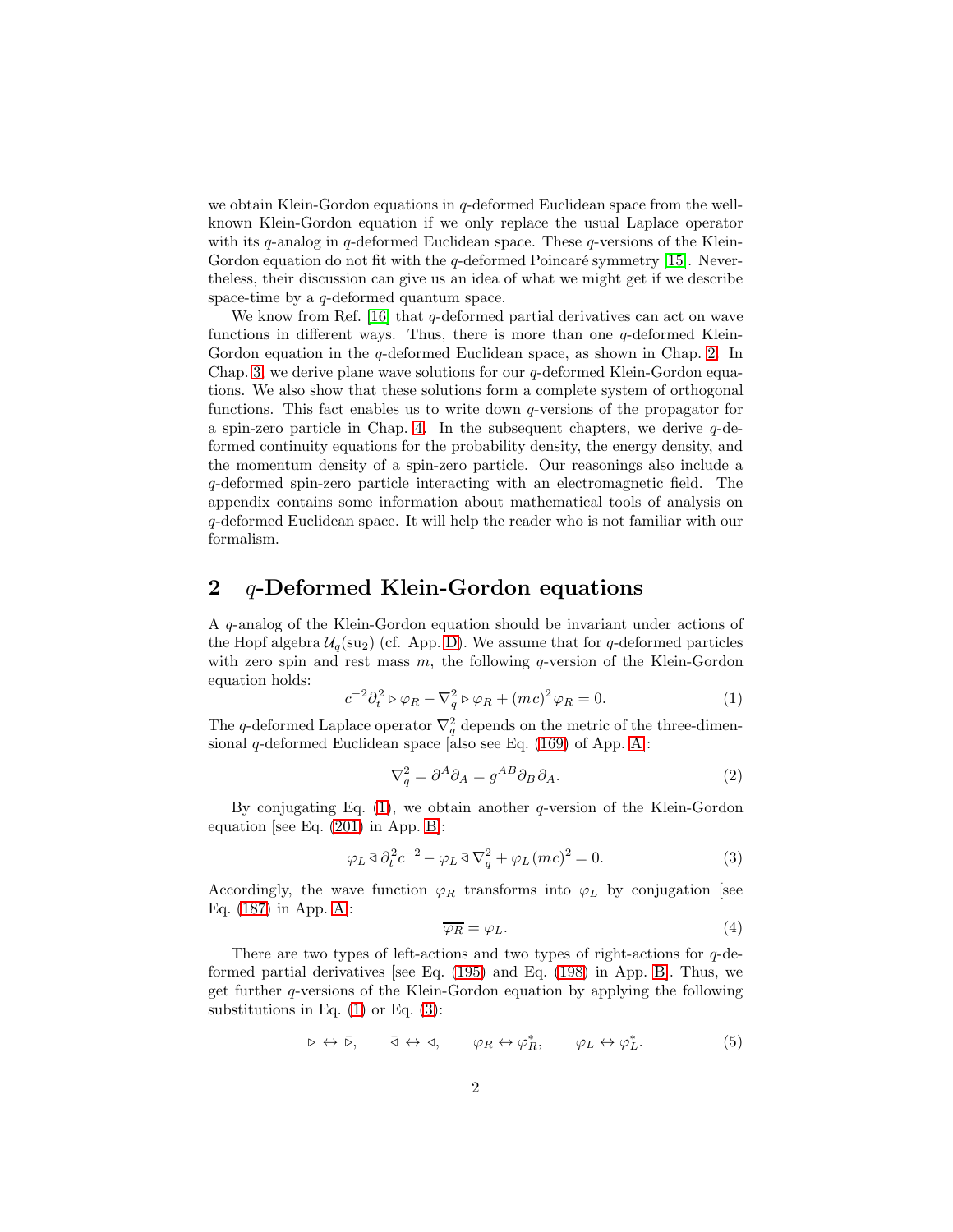we obtain Klein-Gordon equations in  $q$ -deformed Euclidean space from the wellknown Klein-Gordon equation if we only replace the usual Laplace operator with its q-analog in q-deformed Euclidean space. These q-versions of the Klein-Gordon equation do not fit with the  $q$ -deformed Poincaré symmetry [\[15\]](#page-41-7). Nevertheless, their discussion can give us an idea of what we might get if we describe space-time by a q-deformed quantum space.

We know from Ref. [\[16\]](#page-41-8) that  $q$ -deformed partial derivatives can act on wave functions in different ways. Thus, there is more than one  $q$ -deformed Klein-Gordon equation in the q-deformed Euclidean space, as shown in Chap. [2.](#page-1-0) In Chap. [3,](#page-5-0) we derive plane wave solutions for our  $q$ -deformed Klein-Gordon equations. We also show that these solutions form a complete system of orthogonal functions. This fact enables us to write down q-versions of the propagator for a spin-zero particle in Chap. [4.](#page-12-0) In the subsequent chapters, we derive  $q$ -deformed continuity equations for the probability density, the energy density, and the momentum density of a spin-zero particle. Our reasonings also include a q-deformed spin-zero particle interacting with an electromagnetic field. The appendix contains some information about mathematical tools of analysis on q-deformed Euclidean space. It will help the reader who is not familiar with our formalism.

### <span id="page-1-0"></span>2  $q$ -Deformed Klein-Gordon equations

A q-analog of the Klein-Gordon equation should be invariant under actions of the Hopf algebra  $\mathcal{U}_q(su_2)$  (cf. App. [D\)](#page-38-0). We assume that for q-deformed particles with zero spin and rest mass  $m$ , the following q-version of the Klein-Gordon equation holds:

<span id="page-1-1"></span>
$$
c^{-2}\partial_t^2 \triangleright \varphi_R - \nabla_q^2 \triangleright \varphi_R + (mc)^2 \varphi_R = 0. \tag{1}
$$

The q-deformed Laplace operator  $\nabla_q^2$  depends on the metric of the three-dimensional q-deformed Euclidean space [also see Eq.  $(169)$  of App. [A\]](#page-27-1):

$$
\nabla_q^2 = \partial^A \partial_A = g^{AB} \partial_B \partial_A.
$$
 (2)

By conjugating Eq.  $(1)$ , we obtain another q-version of the Klein-Gordon equation [see Eq. [\(201\)](#page-31-0) in App. [B\]](#page-29-0):

<span id="page-1-2"></span>
$$
\varphi_L \,\bar{\triangleleft} \,\partial_t^2 c^{-2} - \varphi_L \,\bar{\triangleleft} \,\nabla_q^2 + \varphi_L \,(mc)^2 = 0. \tag{3}
$$

Accordingly, the wave function  $\varphi_R$  transforms into  $\varphi_L$  by conjugation [see Eq. [\(187\)](#page-29-1) in App. [A\]](#page-27-1):

<span id="page-1-3"></span>
$$
\overline{\varphi_R} = \varphi_L. \tag{4}
$$

There are two types of left-actions and two types of right-actions for  $q$ -deformed partial derivatives [see Eq. [\(195\)](#page-30-0) and Eq. [\(198\)](#page-31-1) in App. [B\]](#page-29-0). Thus, we get further q-versions of the Klein-Gordon equation by applying the following substitutions in Eq.  $(1)$  or Eq.  $(3)$ :

$$
\triangleright \leftrightarrow \bar{\triangleright}, \qquad \bar{\triangleleft} \leftrightarrow \triangleleft, \qquad \varphi_R \leftrightarrow \varphi_R^*, \qquad \varphi_L \leftrightarrow \varphi_L^*.
$$
 (5)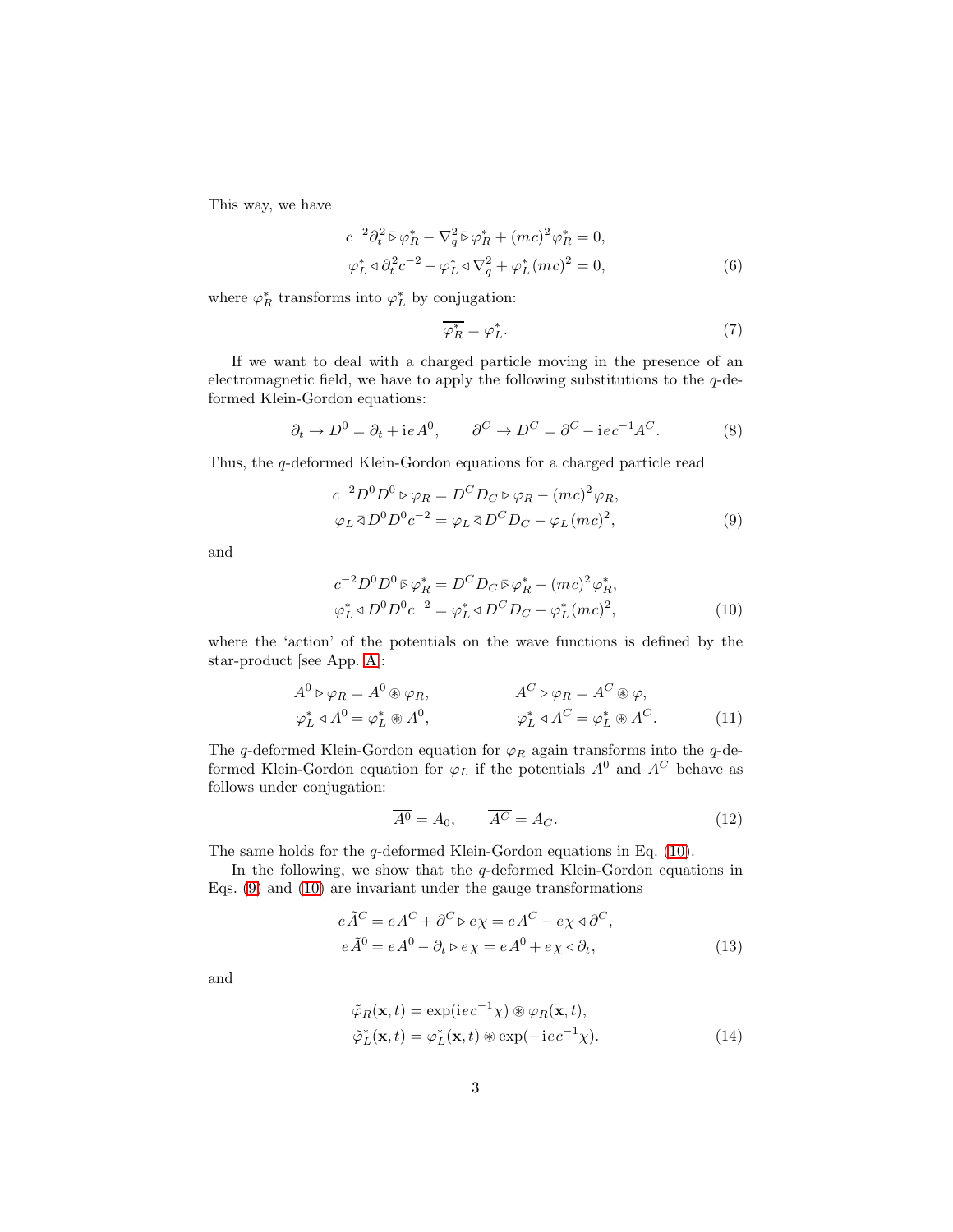This way, we have

$$
c^{-2}\partial_t^2 \bar{\triangleright} \varphi_R^* - \nabla_q^2 \bar{\triangleright} \varphi_R^* + (mc)^2 \varphi_R^* = 0,
$$
  

$$
\varphi_L^* \triangleleft \partial_t^2 c^{-2} - \varphi_L^* \triangleleft \nabla_q^2 + \varphi_L^* (mc)^2 = 0,
$$
 (6)

where  $\varphi_R^*$  transforms into  $\varphi_L^*$  by conjugation:

<span id="page-2-3"></span><span id="page-2-2"></span><span id="page-2-1"></span>
$$
\overline{\varphi_R^*} = \varphi_L^*.\tag{7}
$$

If we want to deal with a charged particle moving in the presence of an electromagnetic field, we have to apply the following substitutions to the  $q$ -deformed Klein-Gordon equations:

<span id="page-2-4"></span>
$$
\partial_t \to D^0 = \partial_t + i e A^0, \qquad \partial^C \to D^C = \partial^C - i e c^{-1} A^C. \tag{8}
$$

Thus, the q-deformed Klein-Gordon equations for a charged particle read

$$
c^{-2}D^{0}D^{0} \triangleright \varphi_{R} = D^{C}D_{C} \triangleright \varphi_{R} - (mc)^{2} \varphi_{R},
$$
  
\n
$$
\varphi_{L} \triangleleft D^{0}D^{0}c^{-2} = \varphi_{L} \triangleleft D^{C}D_{C} - \varphi_{L}(mc)^{2},
$$
\n(9)

and

<span id="page-2-0"></span>
$$
c^{-2}D^{0}D^{0}\bar{\triangleright}\varphi_{R}^{*} = D^{C}D_{C}\bar{\triangleright}\varphi_{R}^{*} - (mc)^{2}\varphi_{R}^{*},
$$
  

$$
\varphi_{L}^{*} \triangleleft D^{0}D^{0}c^{-2} = \varphi_{L}^{*} \triangleleft D^{C}D_{C} - \varphi_{L}^{*}(mc)^{2},
$$
 (10)

where the 'action' of the potentials on the wave functions is defined by the star-product [see App. [A\]](#page-27-1):

$$
A^{0} \triangleright \varphi_{R} = A^{0} \circledast \varphi_{R}, \qquad A^{C} \triangleright \varphi_{R} = A^{C} \circledast \varphi, \n\varphi_{L}^{*} \triangleleft A^{0} = \varphi_{L}^{*} \circledast A^{0}, \qquad \varphi_{L}^{*} \triangleleft A^{C} = \varphi_{L}^{*} \circledast A^{C}.
$$
\n(11)

The q-deformed Klein-Gordon equation for  $\varphi_R$  again transforms into the q-deformed Klein-Gordon equation for  $\varphi_L$  if the potentials  $A^0$  and  $A^C$  behave as follows under conjugation:

$$
\overline{A^0} = A_0, \qquad \overline{A^C} = A_C. \tag{12}
$$

The same holds for the q-deformed Klein-Gordon equations in Eq. [\(10\)](#page-2-0).

In the following, we show that the  $q$ -deformed Klein-Gordon equations in Eqs. [\(9\)](#page-2-1) and [\(10\)](#page-2-0) are invariant under the gauge transformations

$$
e\tilde{A}^C = eA^C + \partial^C \triangleright e\chi = eA^C - e\chi \triangleleft \partial^C,
$$
  
\n
$$
e\tilde{A}^0 = eA^0 - \partial_t \triangleright e\chi = eA^0 + e\chi \triangleleft \partial_t,
$$
\n(13)

and

$$
\tilde{\varphi}_R(\mathbf{x}, t) = \exp(ie c^{-1} \chi) \circledast \varphi_R(\mathbf{x}, t), \n\tilde{\varphi}_L^*(\mathbf{x}, t) = \varphi_L^*(\mathbf{x}, t) \circledast \exp(-ie c^{-1} \chi).
$$
\n(14)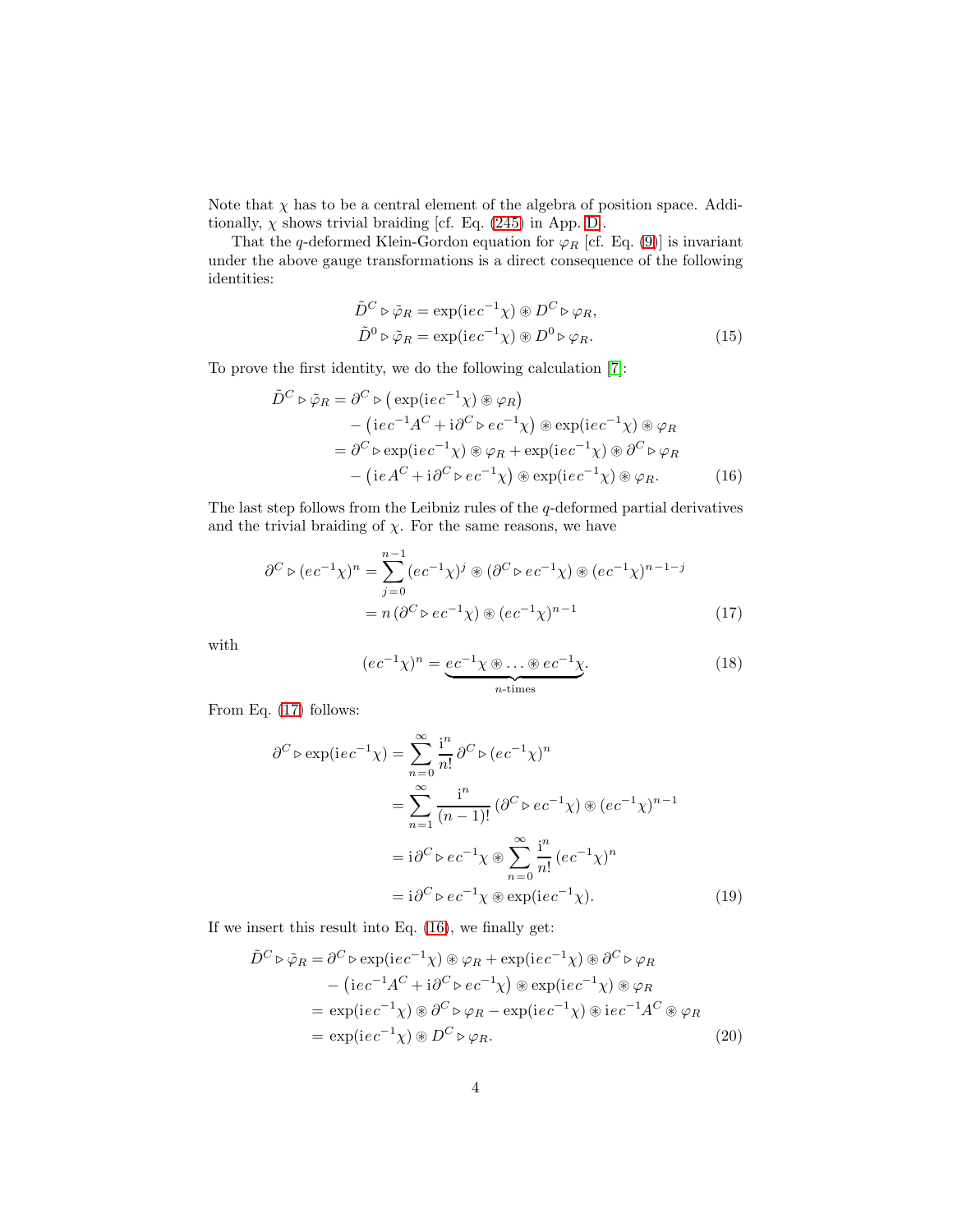Note that  $\chi$  has to be a central element of the algebra of position space. Additionally,  $\chi$  shows trivial braiding [cf. Eq. [\(245\)](#page-39-0) in App. [D\]](#page-38-0).

That the q-deformed Klein-Gordon equation for  $\varphi_R$  [cf. Eq. [\(9\)](#page-2-1)] is invariant under the above gauge transformations is a direct consequence of the following identities:

<span id="page-3-2"></span><span id="page-3-1"></span>
$$
\tilde{D}^C \triangleright \tilde{\varphi}_R = \exp(iec^{-1}\chi) \circledast D^C \triangleright \varphi_R, \n\tilde{D}^0 \triangleright \tilde{\varphi}_R = \exp(iec^{-1}\chi) \circledast D^0 \triangleright \varphi_R.
$$
\n(15)

To prove the first identity, we do the following calculation [\[7\]](#page-41-2):

$$
\tilde{D}^C \triangleright \tilde{\varphi}_R = \partial^C \triangleright (\exp(iec^{-1}\chi) \circledast \varphi_R) \n- (iec^{-1}A^C + i\partial^C \triangleright ec^{-1}\chi) \circledast \exp(iec^{-1}\chi) \circledast \varphi_R \n= \partial^C \triangleright \exp(iec^{-1}\chi) \circledast \varphi_R + \exp(iec^{-1}\chi) \circledast \partial^C \triangleright \varphi_R \n- (ieA^C + i\partial^C \triangleright ec^{-1}\chi) \circledast \exp(iec^{-1}\chi) \circledast \varphi_R.
$$
\n(16)

The last step follows from the Leibniz rules of the  $q$ -deformed partial derivatives and the trivial braiding of  $\chi$ . For the same reasons, we have

$$
\partial^C \triangleright (ec^{-1}\chi)^n = \sum_{j=0}^{n-1} (ec^{-1}\chi)^j \circledast (\partial^C \triangleright ec^{-1}\chi) \circledast (ec^{-1}\chi)^{n-1-j}
$$

$$
= n(\partial^C \triangleright ec^{-1}\chi) \circledast (ec^{-1}\chi)^{n-1}
$$
(17)

with

<span id="page-3-0"></span>
$$
(ec^{-1}\chi)^n = \underbrace{ec^{-1}\chi \circledast \dots \circledast ec^{-1}\chi}_{n\text{-times}}.
$$
 (18)

From Eq. [\(17\)](#page-3-0) follows:

$$
\partial^{C} \triangleright \exp(iec^{-1}\chi) = \sum_{n=0}^{\infty} \frac{i^{n}}{n!} \partial^{C} \triangleright (ec^{-1}\chi)^{n}
$$

$$
= \sum_{n=1}^{\infty} \frac{i^{n}}{(n-1)!} (\partial^{C} \triangleright ec^{-1}\chi) \circledast (ec^{-1}\chi)^{n-1}
$$

$$
= i \partial^{C} \triangleright ec^{-1}\chi \circledast \sum_{n=0}^{\infty} \frac{i^{n}}{n!} (ec^{-1}\chi)^{n}
$$

$$
= i \partial^{C} \triangleright ec^{-1}\chi \circledast \exp(iec^{-1}\chi).
$$
(19)

If we insert this result into Eq. [\(16\)](#page-3-1), we finally get:

$$
\tilde{D}^C \triangleright \tilde{\varphi}_R = \partial^C \triangleright \exp(iec^{-1}\chi) \circledast \varphi_R + \exp(iec^{-1}\chi) \circledast \partial^C \triangleright \varphi_R \n- (iec^{-1}A^C + i\partial^C \triangleright ec^{-1}\chi) \circledast \exp(iec^{-1}\chi) \circledast \varphi_R \n= \exp(iec^{-1}\chi) \circledast \partial^C \triangleright \varphi_R - \exp(iec^{-1}\chi) \circledast ie^{-1}A^C \circledast \varphi_R \n= \exp(iec^{-1}\chi) \circledast D^C \triangleright \varphi_R.
$$
\n(20)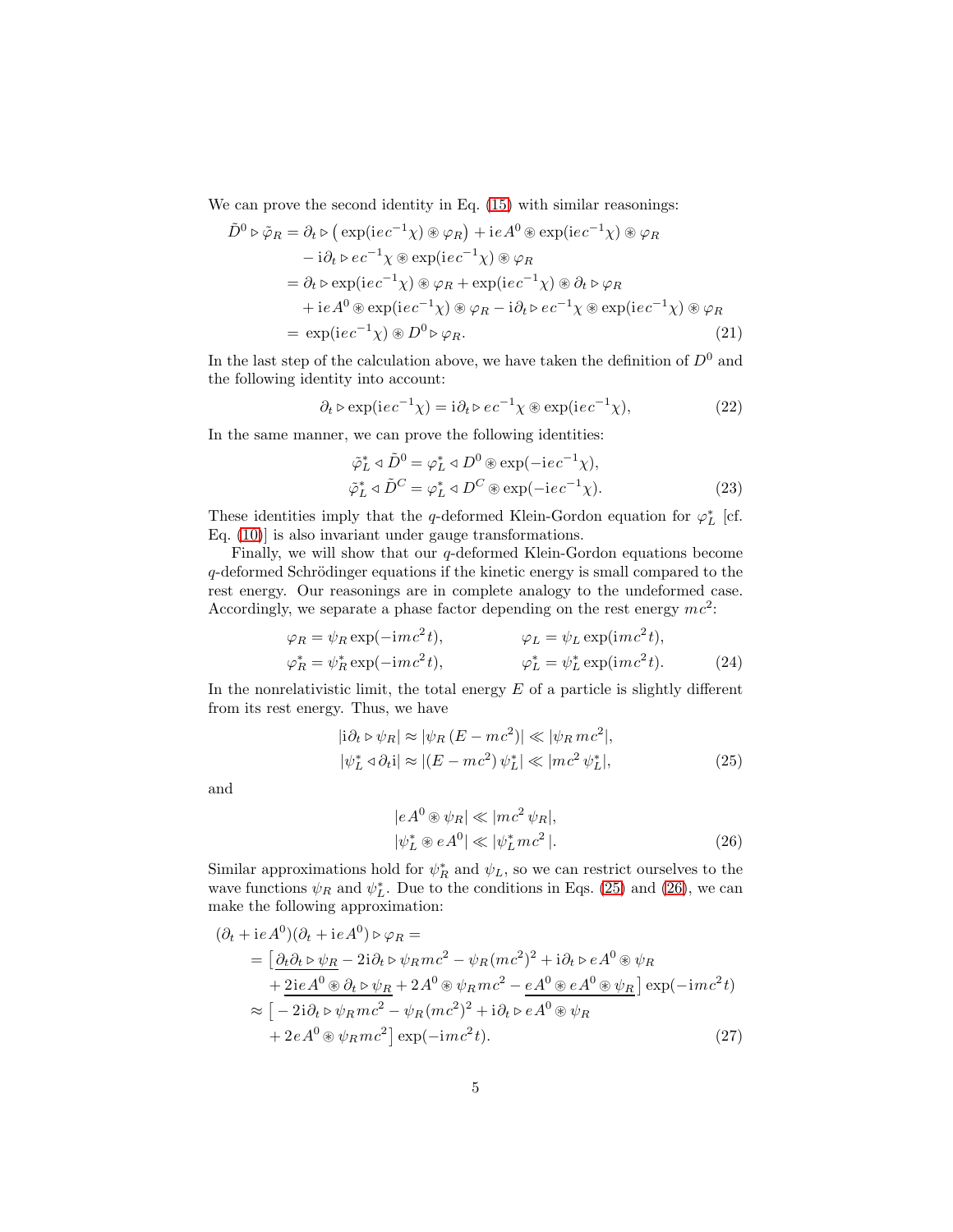We can prove the second identity in Eq.  $(15)$  with similar reasonings:

$$
\tilde{D}^0 \triangleright \tilde{\varphi}_R = \partial_t \triangleright (\exp(ie c^{-1}\chi) \circledast \varphi_R) + ie A^0 \circledast \exp(ie c^{-1}\chi) \circledast \varphi_R \n- i\partial_t \triangleright ec^{-1}\chi \circledast \exp(ie c^{-1}\chi) \circledast \varphi_R \n= \partial_t \triangleright \exp(ie c^{-1}\chi) \circledast \varphi_R + \exp(ie c^{-1}\chi) \circledast \partial_t \triangleright \varphi_R \n+ ie A^0 \circledast \exp(ie c^{-1}\chi) \circledast \varphi_R - i\partial_t \triangleright ec^{-1}\chi \circledast \exp(ie c^{-1}\chi) \circledast \varphi_R \n= \exp(ie c^{-1}\chi) \circledast D^0 \triangleright \varphi_R.
$$
\n(21)

In the last step of the calculation above, we have taken the definition of  $D^0$  and the following identity into account:

$$
\partial_t \triangleright \exp(\mathrm{i}ec^{-1}\chi) = \mathrm{i}\partial_t \triangleright ec^{-1}\chi \circledast \exp(\mathrm{i}ec^{-1}\chi),\tag{22}
$$

In the same manner, we can prove the following identities:

$$
\tilde{\varphi}_L^* \triangleleft \tilde{D}^0 = \varphi_L^* \triangleleft D^0 \circledast \exp(-iec^{-1}\chi), \n\tilde{\varphi}_L^* \triangleleft \tilde{D}^C = \varphi_L^* \triangleleft D^C \circledast \exp(-iec^{-1}\chi).
$$
\n(23)

These identities imply that the q-deformed Klein-Gordon equation for  $\varphi_L^*$  [cf. Eq. [\(10\)](#page-2-0)] is also invariant under gauge transformations.

Finally, we will show that our q-deformed Klein-Gordon equations become  $q$ -deformed Schrödinger equations if the kinetic energy is small compared to the rest energy. Our reasonings are in complete analogy to the undeformed case. Accordingly, we separate a phase factor depending on the rest energy  $mc^2$ .

$$
\varphi_R = \psi_R \exp(-imc^2t), \qquad \varphi_L = \psi_L \exp(imc^2t), \n\varphi_R^* = \psi_R^* \exp(-imc^2t), \qquad \varphi_L^* = \psi_L^* \exp(imc^2t).
$$
\n(24)

In the nonrelativistic limit, the total energy  $E$  of a particle is slightly different from its rest energy. Thus, we have

$$
|i\partial_t \triangleright \psi_R| \approx |\psi_R(E - mc^2)| \ll |\psi_R mc^2|,
$$
  

$$
|\psi_L^* \triangleleft \partial_t i| \approx |(E - mc^2) \psi_L^*| \ll |mc^2 \psi_L^*|,
$$
 (25)

and

<span id="page-4-1"></span><span id="page-4-0"></span>
$$
|e A^{0} \circledast \psi_{R}| \ll |mc^{2} \psi_{R}|,
$$
  

$$
|\psi_{L}^{*} \circledast e A^{0}| \ll |\psi_{L}^{*} mc^{2}|.
$$
 (26)

Similar approximations hold for  $\psi_R^*$  and  $\psi_L$ , so we can restrict ourselves to the wave functions  $\psi_R$  and  $\psi_L^*$ . Due to the conditions in Eqs. [\(25\)](#page-4-0) and [\(26\)](#page-4-1), we can make the following approximation:

$$
(\partial_t + i e A^0)(\partial_t + i e A^0) \triangleright \varphi_R =
$$
  
= 
$$
[\underline{\partial_t \partial_t \triangleright \psi_R} - 2i \partial_t \triangleright \psi_R mc^2 - \psi_R (mc^2)^2 + i \partial_t \triangleright e A^0 \circledast \psi_R
$$
  
+ 
$$
\underline{2ie A^0 \circledast \partial_t \triangleright \psi_R} + 2 A^0 \circledast \psi_R mc^2 - \underline{e A^0 \circledast e A^0 \circledast \psi_R} \operatorname{exp}(-\mathrm{i}mc^2 t)
$$
  

$$
\approx [-2i \partial_t \triangleright \psi_R mc^2 - \psi_R (mc^2)^2 + i \partial_t \triangleright e A^0 \circledast \psi_R
$$
  
+ 
$$
2e A^0 \circledast \psi_R mc^2 \operatorname{exp}(-\mathrm{i}mc^2 t).
$$
 (27)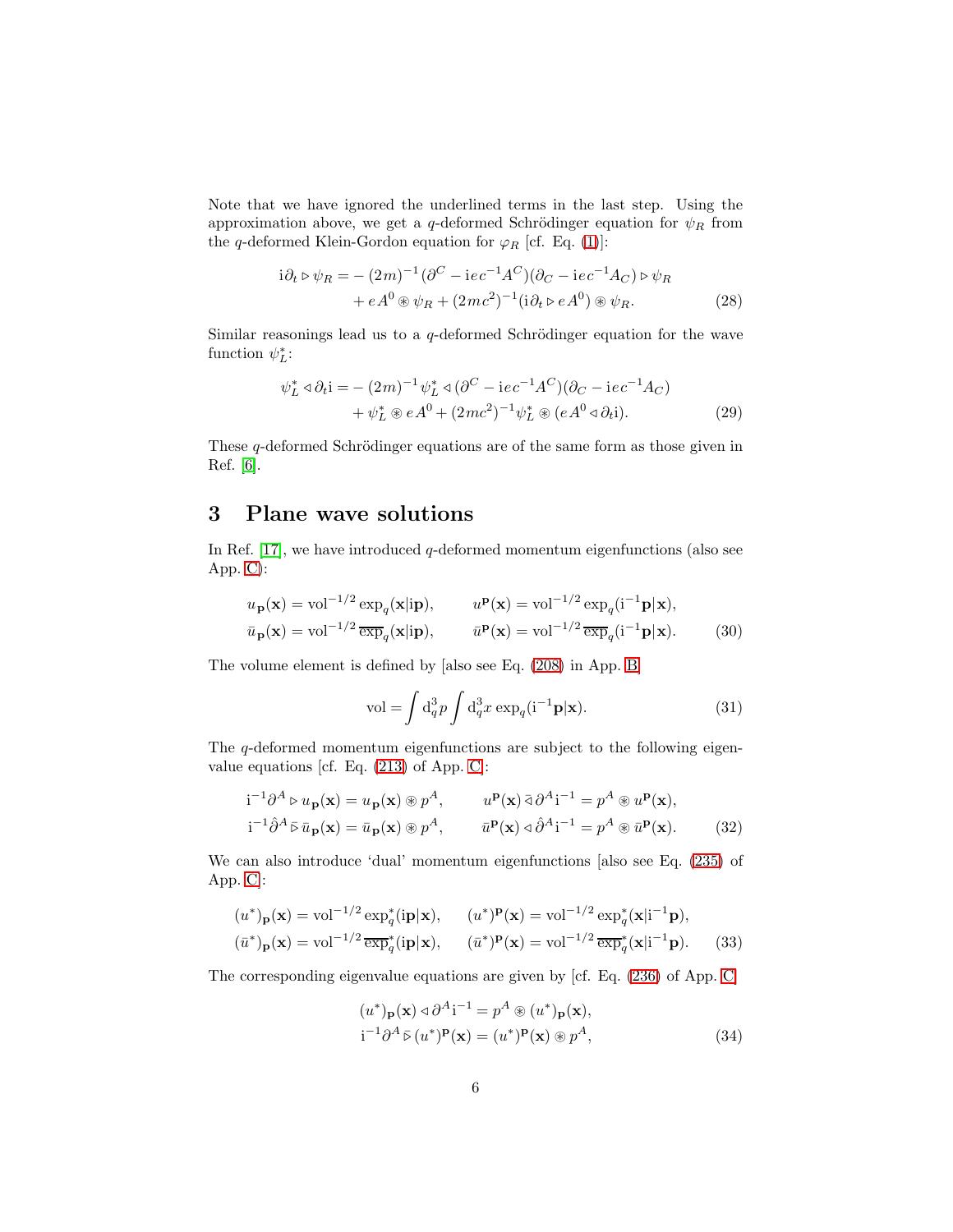Note that we have ignored the underlined terms in the last step. Using the approximation above, we get a q-deformed Schrödinger equation for  $\psi_R$  from the q-deformed Klein-Gordon equation for  $\varphi_R$  [cf. Eq. [\(1\)](#page-1-1)]:

$$
i\partial_t \triangleright \psi_R = -(2m)^{-1} (\partial^C - ie^{-1}A^C)(\partial_C - ie^{-1}A_C) \triangleright \psi_R + eA^0 \circ \psi_R + (2mc^2)^{-1} (i\partial_t \triangleright eA^0) \circ \psi_R.
$$
 (28)

Similar reasonings lead us to a  $q$ -deformed Schrödinger equation for the wave function  $\psi_L^*$ :

$$
\psi_L^* \triangleleft \partial_t i = -(2m)^{-1} \psi_L^* \triangleleft (\partial^C - ie^{-1} A^C) (\partial_C - ie^{-1} A_C) + \psi_L^* \otimes e A^0 + (2mc^2)^{-1} \psi_L^* \otimes (e A^0 \triangleleft \partial_t i).
$$
 (29)

These  $q$ -deformed Schrödinger equations are of the same form as those given in Ref. [\[6\]](#page-41-1).

### <span id="page-5-0"></span>3 Plane wave solutions

In Ref.  $[17]$ , we have introduced q-deformed momentum eigenfunctions (also see App. [C\)](#page-33-0):

$$
u_{\mathbf{p}}(\mathbf{x}) = \text{vol}^{-1/2} \exp_{q}(\mathbf{x}|\text{ip}), \qquad u^{\mathbf{p}}(\mathbf{x}) = \text{vol}^{-1/2} \exp_{q}(\mathbf{i}^{-1}\mathbf{p}|\mathbf{x}),
$$
  

$$
\bar{u}_{\mathbf{p}}(\mathbf{x}) = \text{vol}^{-1/2} \overline{\exp}_{q}(\mathbf{x}|\text{ip}), \qquad \bar{u}^{\mathbf{p}}(\mathbf{x}) = \text{vol}^{-1/2} \overline{\exp}_{q}(\mathbf{i}^{-1}\mathbf{p}|\mathbf{x}). \tag{30}
$$

The volume element is defined by [also see Eq. [\(208\)](#page-32-0) in App. [B\]](#page-29-0)

<span id="page-5-3"></span><span id="page-5-1"></span>
$$
\text{vol} = \int \mathrm{d}_q^3 p \int \mathrm{d}_q^3 x \exp_q(\mathbf{i}^{-1} \mathbf{p} | \mathbf{x}).\tag{31}
$$

The q-deformed momentum eigenfunctions are subject to the following eigenvalue equations [cf. Eq. [\(213\)](#page-33-1) of App. [C\]](#page-33-0):

$$
i^{-1}\partial^A \triangleright u_{\mathbf{p}}(\mathbf{x}) = u_{\mathbf{p}}(\mathbf{x}) \circledast p^A, \qquad u^{\mathbf{p}}(\mathbf{x}) \bar{\triangleleft} \partial^A i^{-1} = p^A \circledast u^{\mathbf{p}}(\mathbf{x}),
$$
  
\n
$$
i^{-1}\hat{\partial}^A \bar{\triangleright} \bar{u}_{\mathbf{p}}(\mathbf{x}) = \bar{u}_{\mathbf{p}}(\mathbf{x}) \circledast p^A, \qquad \bar{u}^{\mathbf{p}}(\mathbf{x}) \triangleleft \hat{\partial}^A i^{-1} = p^A \circledast \bar{u}^{\mathbf{p}}(\mathbf{x}). \tag{32}
$$

We can also introduce 'dual' momentum eigenfunctions [also see Eq. [\(235\)](#page-37-0) of App. [C\]](#page-33-0):

$$
(u^*)_{\mathbf{p}}(\mathbf{x}) = \text{vol}^{-1/2} \exp_q^*(i\mathbf{p}|\mathbf{x}), \qquad (u^*)^{\mathbf{p}}(\mathbf{x}) = \text{vol}^{-1/2} \exp_q^*(\mathbf{x}|i^{-1}\mathbf{p}),
$$
  

$$
(\bar{u}^*)_{\mathbf{p}}(\mathbf{x}) = \text{vol}^{-1/2} \overline{\exp}_q^*(i\mathbf{p}|\mathbf{x}), \qquad (\bar{u}^*)^{\mathbf{p}}(\mathbf{x}) = \text{vol}^{-1/2} \overline{\exp}_q^*(\mathbf{x}|i^{-1}\mathbf{p}).
$$
 (33)

The corresponding eigenvalue equations are given by [cf. Eq. [\(236\)](#page-37-1) of App. [C\]](#page-33-0)

<span id="page-5-2"></span>
$$
(u^*)_{\mathbf{p}}(\mathbf{x}) \triangleleft \partial^A \mathbf{i}^{-1} = p^A \circledast (u^*)_{\mathbf{p}}(\mathbf{x}),
$$
  
\n
$$
\mathbf{i}^{-1} \partial^A \bar{\triangleright} (u^*)^{\mathbf{p}}(\mathbf{x}) = (u^*)^{\mathbf{p}}(\mathbf{x}) \circledast p^A,
$$
\n(34)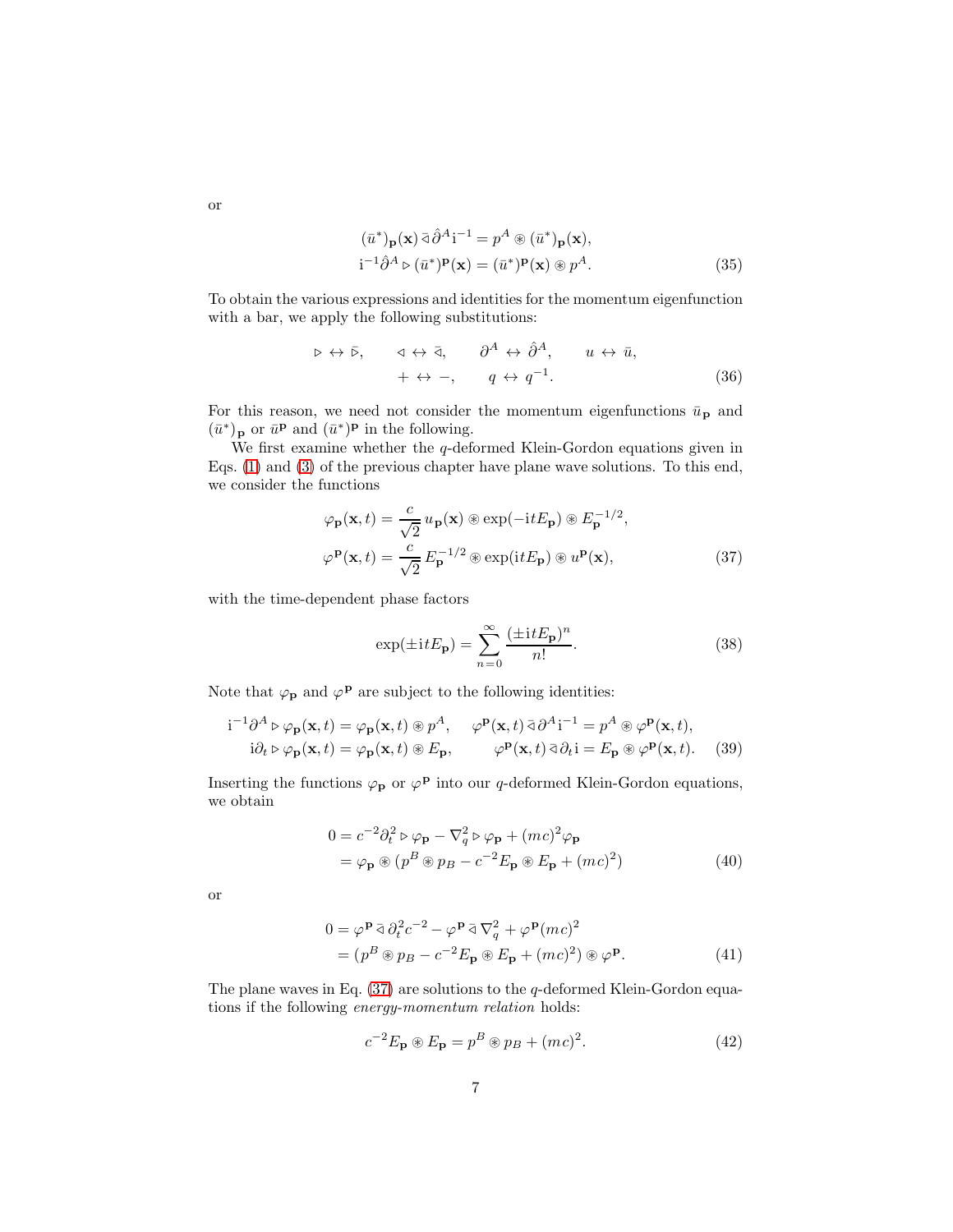or

$$
(\bar{u}^*)_{\mathbf{p}}(\mathbf{x}) \bar{\partial}^A \mathbf{i}^{-1} = p^A \circledast (\bar{u}^*)_{\mathbf{p}}(\mathbf{x}),
$$
  
\n
$$
\mathbf{i}^{-1} \hat{\partial}^A \triangleright (\bar{u}^*)^{\mathbf{p}}(\mathbf{x}) = (\bar{u}^*)^{\mathbf{p}}(\mathbf{x}) \circledast p^A.
$$
 (35)

To obtain the various expressions and identities for the momentum eigenfunction with a bar, we apply the following substitutions:

$$
\triangleright \leftrightarrow \bar{\triangleright}, \quad \triangleleft \leftrightarrow \bar{\triangleleft}, \quad \partial^A \leftrightarrow \hat{\partial}^A, \quad u \leftrightarrow \bar{u}, + \leftrightarrow -, \quad q \leftrightarrow q^{-1}.
$$
 (36)

For this reason, we need not consider the momentum eigenfunctions  $\bar{u}_{\textbf{p}}$  and  $(\bar{u}^*)_{\mathbf{p}}$  or  $\bar{u}^{\mathbf{p}}$  and  $(\bar{u}^*)^{\mathbf{p}}$  in the following.

We first examine whether the  $q$ -deformed Klein-Gordon equations given in Eqs. [\(1\)](#page-1-1) and [\(3\)](#page-1-2) of the previous chapter have plane wave solutions. To this end, we consider the functions

$$
\varphi_{\mathbf{p}}(\mathbf{x},t) = \frac{c}{\sqrt{2}} u_{\mathbf{p}}(\mathbf{x}) \circledast \exp(-\mathrm{i}tE_{\mathbf{p}}) \circledast E_{\mathbf{p}}^{-1/2},
$$
  

$$
\varphi_{\mathbf{p}}(\mathbf{x},t) = \frac{c}{\sqrt{2}} E_{\mathbf{p}}^{-1/2} \circledast \exp(\mathrm{i}tE_{\mathbf{p}}) \circledast u^{\mathbf{p}}(\mathbf{x}), \tag{37}
$$

with the time-dependent phase factors

<span id="page-6-3"></span><span id="page-6-0"></span>
$$
\exp(\pm itE_{\mathbf{p}}) = \sum_{n=0}^{\infty} \frac{(\pm itE_{\mathbf{p}})^n}{n!}.
$$
\n(38)

Note that  $\varphi_{\mathbf{p}}$  and  $\varphi^{\mathbf{p}}$  are subject to the following identities:

$$
\mathbf{i}^{-1}\partial^A \triangleright \varphi_{\mathbf{p}}(\mathbf{x},t) = \varphi_{\mathbf{p}}(\mathbf{x},t) \circledast p^A, \quad \varphi^{\mathbf{p}}(\mathbf{x},t) \bar{\triangleleft} \partial^A \mathbf{i}^{-1} = p^A \circledast \varphi^{\mathbf{p}}(\mathbf{x},t),
$$
  
\n
$$
\mathbf{i}\partial_t \triangleright \varphi_{\mathbf{p}}(\mathbf{x},t) = \varphi_{\mathbf{p}}(\mathbf{x},t) \circledast E_{\mathbf{p}}, \qquad \varphi^{\mathbf{p}}(\mathbf{x},t) \bar{\triangleleft} \partial_t \mathbf{i} = E_{\mathbf{p}} \circledast \varphi^{\mathbf{p}}(\mathbf{x},t). \tag{39}
$$

Inserting the functions  $\varphi_{\mathbf{p}}$  or  $\varphi^{\mathbf{p}}$  into our q-deformed Klein-Gordon equations, we obtain

<span id="page-6-2"></span>
$$
0 = c^{-2} \partial_t^2 \triangleright \varphi_{\mathbf{p}} - \nabla_q^2 \triangleright \varphi_{\mathbf{p}} + (mc)^2 \varphi_{\mathbf{p}}
$$
  
=  $\varphi_{\mathbf{p}} \circledast (p^B \circledast p_B - c^{-2} E_{\mathbf{p}} \circledast E_{\mathbf{p}} + (mc)^2)$  (40)

or

$$
0 = \varphi^{\mathbf{P}} \bar{\triangleleft} \partial_t^2 c^{-2} - \varphi^{\mathbf{P}} \bar{\triangleleft} \nabla_q^2 + \varphi^{\mathbf{P}} (mc)^2
$$
  
= 
$$
(p^B \circledast p_B - c^{-2} E_{\mathbf{P}} \circledast E_{\mathbf{P}} + (mc)^2) \circledast \varphi^{\mathbf{P}}.
$$
 (41)

The plane waves in Eq.  $(37)$  are solutions to the q-deformed Klein-Gordon equations if the following energy-momentum relation holds:

<span id="page-6-1"></span>
$$
c^{-2}E_{\mathbf{p}} \otimes E_{\mathbf{p}} = p^B \otimes p_B + (mc)^2.
$$
 (42)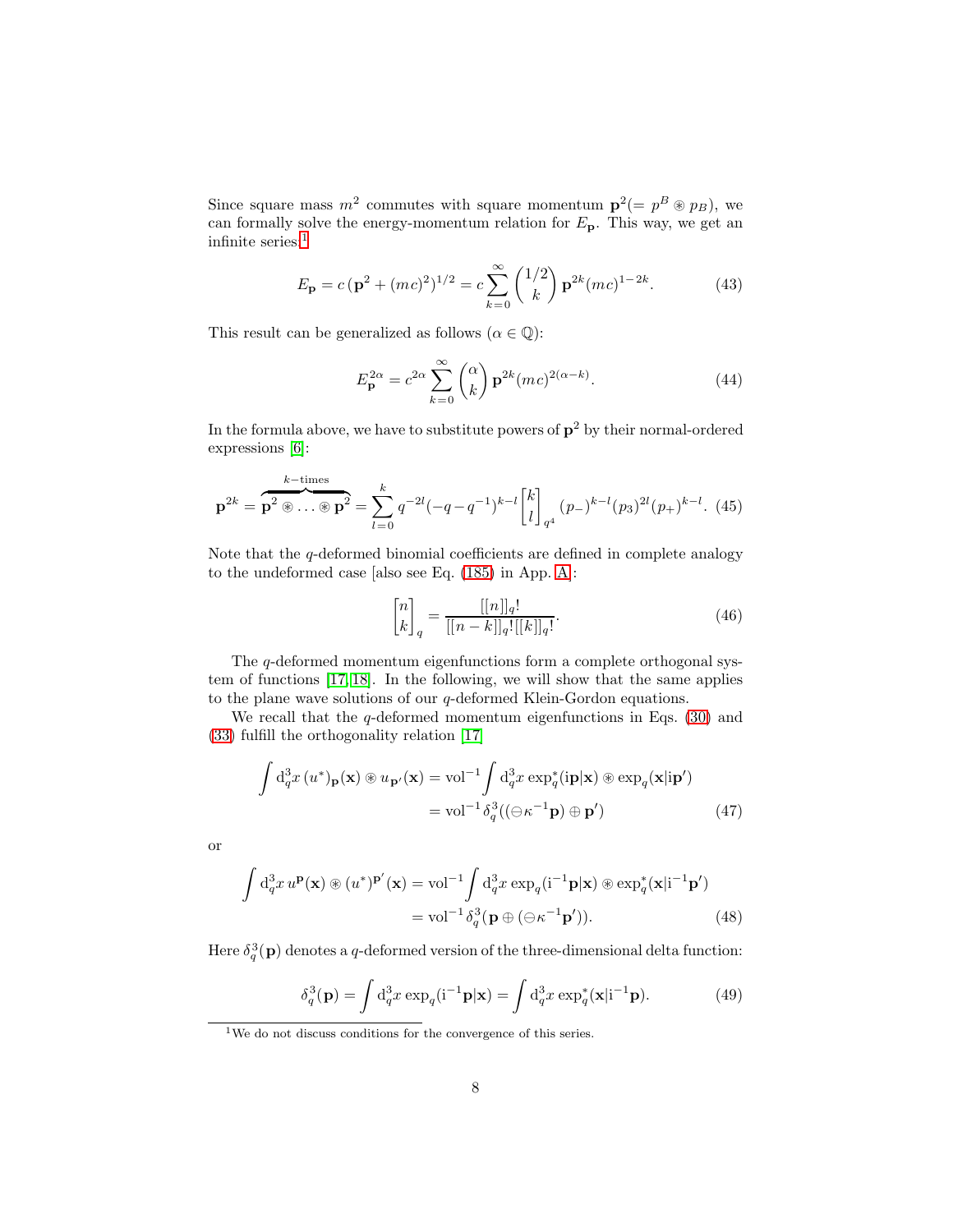Since square mass  $m^2$  commutes with square momentum  $\mathbf{p}^2 (= p^B \otimes p_B)$ , we can formally solve the energy-momentum relation for  $E_{\textbf{p}}$ . This way, we get an infinite series:<br> $\real^1$  $\real^1$ 

$$
E_{\mathbf{p}} = c(\mathbf{p}^2 + (mc)^2)^{1/2} = c \sum_{k=0}^{\infty} {1/2 \choose k} \mathbf{p}^{2k} (mc)^{1-2k}.
$$
 (43)

This result can be generalized as follows ( $\alpha \in \mathbb{Q}$ ):

$$
E_{\mathbf{p}}^{2\alpha} = c^{2\alpha} \sum_{k=0}^{\infty} \binom{\alpha}{k} \mathbf{p}^{2k} (mc)^{2(\alpha-k)}.
$$
 (44)

In the formula above, we have to substitute powers of  $p^2$  by their normal-ordered expressions [\[6\]](#page-41-1):

<span id="page-7-2"></span>
$$
\mathbf{p}^{2k} = \overbrace{\mathbf{p}^2 \circledast \cdots \circledast \mathbf{p}^2}^{k-\text{times}} = \sum_{l=0}^{k} q^{-2l} (-q - q^{-1})^{k-l} {k \brack l}_{q^4} (p_{-})^{k-l} (p_3)^{2l} (p_{+})^{k-l}.
$$
 (45)

Note that the  $q$ -deformed binomial coefficients are defined in complete analogy to the undeformed case [also see Eq. [\(185\)](#page-29-2) in App. [A\]](#page-27-1):

<span id="page-7-1"></span>
$$
\begin{bmatrix} n \\ k \end{bmatrix}_q = \frac{[[n]]_q!}{[[n-k]]_q![[k]]_q!}.
$$
\n(46)

The q-deformed momentum eigenfunctions form a complete orthogonal system of functions [\[17,](#page-41-9) [18\]](#page-41-10). In the following, we will show that the same applies to the plane wave solutions of our  $q$ -deformed Klein-Gordon equations.

We recall that the  $q$ -deformed momentum eigenfunctions in Eqs. [\(30\)](#page-5-1) and [\(33\)](#page-5-2) fulfill the orthogonality relation [\[17\]](#page-41-9)

$$
\int d_q^3 x (u^*)_{\mathbf{p}}(\mathbf{x}) \circledast u_{\mathbf{p'}}(\mathbf{x}) = \text{vol}^{-1} \int d_q^3 x \exp_q^*(i\mathbf{p}|\mathbf{x}) \circledast \exp_q(\mathbf{x}|\mathbf{ip'})
$$
  
=  $\text{vol}^{-1} \delta_q^3((\ominus \kappa^{-1}\mathbf{p}) \oplus \mathbf{p'})$  (47)

or

$$
\int d_q^3 x \, u^{\mathbf{p}}(\mathbf{x}) \circledast (u^*)^{\mathbf{p}'}(\mathbf{x}) = \text{vol}^{-1} \int d_q^3 x \, \exp_q(\mathbf{i}^{-1} \mathbf{p}|\mathbf{x}) \circledast \exp_q^*(\mathbf{x}|\mathbf{i}^{-1} \mathbf{p}')
$$
  
=  $\text{vol}^{-1} \delta_q^3(\mathbf{p} \oplus (\ominus \kappa^{-1} \mathbf{p}')).$  (48)

Here  $\delta_q^3(\mathbf{p})$  denotes a q-deformed version of the three-dimensional delta function:

<span id="page-7-3"></span>
$$
\delta_q^3(\mathbf{p}) = \int \mathrm{d}_q^3 x \exp_q(\mathbf{i}^{-1} \mathbf{p} | \mathbf{x}) = \int \mathrm{d}_q^3 x \exp_q^*(\mathbf{x} | \mathbf{i}^{-1} \mathbf{p}). \tag{49}
$$

<span id="page-7-0"></span><sup>1</sup>We do not discuss conditions for the convergence of this series.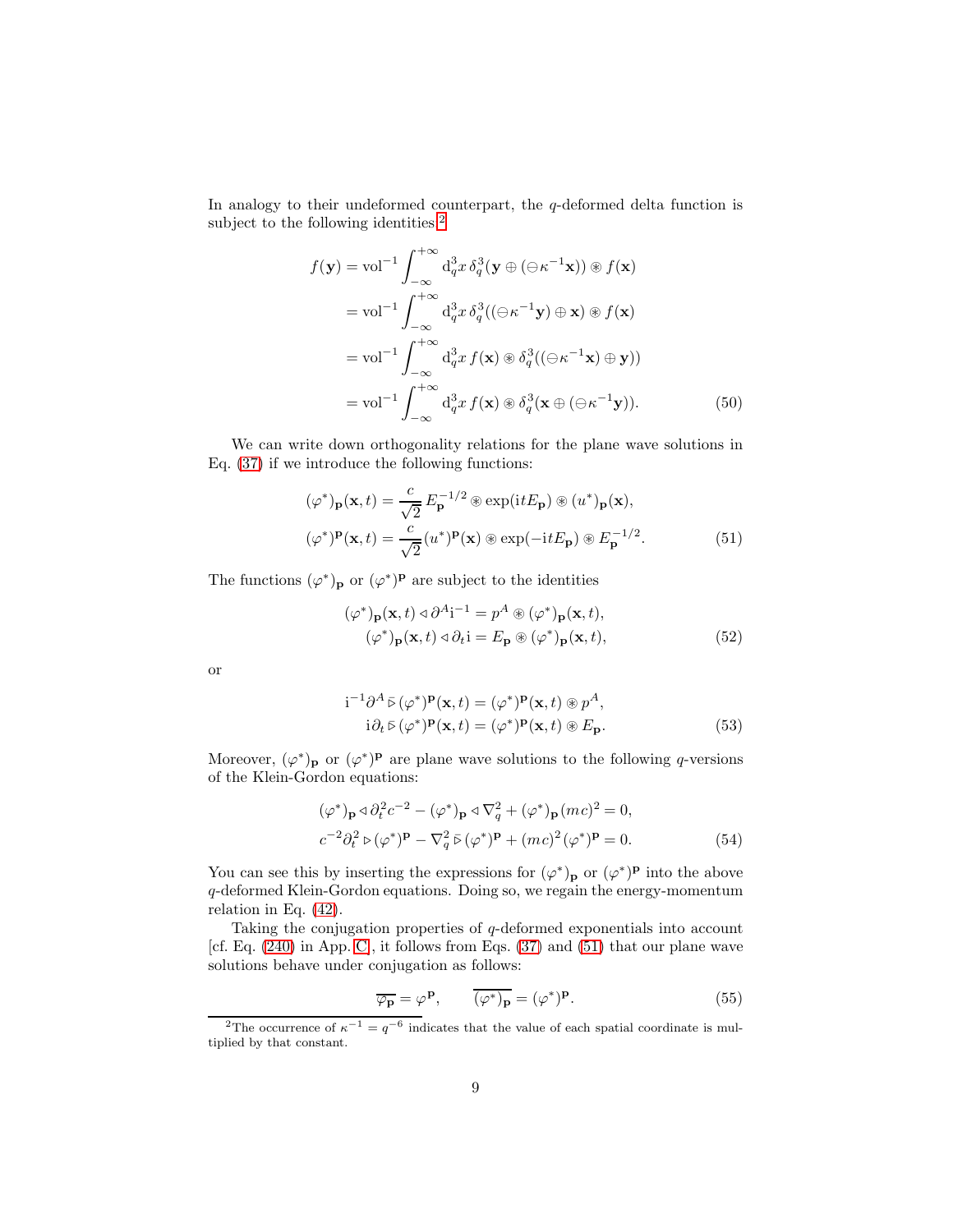In analogy to their undeformed counterpart, the q-deformed delta function is subject to the following identities:<sup>[2](#page-8-0)</sup>

$$
f(\mathbf{y}) = \text{vol}^{-1} \int_{-\infty}^{+\infty} d_q^3 x \, \delta_q^3 (\mathbf{y} \oplus (\ominus \kappa^{-1} \mathbf{x})) \circledast f(\mathbf{x})
$$
  
\n
$$
= \text{vol}^{-1} \int_{-\infty}^{+\infty} d_q^3 x \, \delta_q^3 ((\ominus \kappa^{-1} \mathbf{y}) \oplus \mathbf{x}) \circledast f(\mathbf{x})
$$
  
\n
$$
= \text{vol}^{-1} \int_{-\infty}^{+\infty} d_q^3 x f(\mathbf{x}) \circledast \delta_q^3 ((\ominus \kappa^{-1} \mathbf{x}) \oplus \mathbf{y}))
$$
  
\n
$$
= \text{vol}^{-1} \int_{-\infty}^{+\infty} d_q^3 x f(\mathbf{x}) \circledast \delta_q^3 (\mathbf{x} \oplus (\ominus \kappa^{-1} \mathbf{y})). \tag{50}
$$

We can write down orthogonality relations for the plane wave solutions in Eq. [\(37\)](#page-6-0) if we introduce the following functions:

<span id="page-8-2"></span>
$$
(\varphi^*)_{\mathbf{p}}(\mathbf{x},t) = \frac{c}{\sqrt{2}} E_{\mathbf{p}}^{-1/2} \circledast \exp(itE_{\mathbf{p}}) \circledast (u^*)_{\mathbf{p}}(\mathbf{x}),
$$
  

$$
(\varphi^*)^{\mathbf{p}}(\mathbf{x},t) = \frac{c}{\sqrt{2}} (u^*)^{\mathbf{p}}(\mathbf{x}) \circledast \exp(-itE_{\mathbf{p}}) \circledast E_{\mathbf{p}}^{-1/2}.
$$
 (51)

The functions  $(\varphi^*)_{\mathbf{p}}$  or  $(\varphi^*)^{\mathbf{p}}$  are subject to the identities

<span id="page-8-4"></span><span id="page-8-1"></span>
$$
(\varphi^*)_{\mathbf{p}}(\mathbf{x},t) \triangleleft \partial^A \mathbf{i}^{-1} = p^A \circledast (\varphi^*)_{\mathbf{p}}(\mathbf{x},t),
$$
  

$$
(\varphi^*)_{\mathbf{p}}(\mathbf{x},t) \triangleleft \partial_t \mathbf{i} = E_{\mathbf{p}} \circledast (\varphi^*)_{\mathbf{p}}(\mathbf{x},t),
$$
 (52)

or

$$
i^{-1}\partial^{A}\bar{\triangleright}(\varphi^{*})\mathbf{P}(\mathbf{x},t) = (\varphi^{*})\mathbf{P}(\mathbf{x},t) \circledast p^{A},
$$
  
\n
$$
i\partial_{t}\bar{\triangleright}(\varphi^{*})\mathbf{P}(\mathbf{x},t) = (\varphi^{*})\mathbf{P}(\mathbf{x},t) \circledast E_{\mathbf{p}}.
$$
\n(53)

Moreover,  $(\varphi^*)_{\mathbf{p}}$  or  $(\varphi^*)^{\mathbf{p}}$  are plane wave solutions to the following q-versions of the Klein-Gordon equations:

$$
(\varphi^*)_{\mathbf{p}} \triangleleft \partial_t^2 c^{-2} - (\varphi^*)_{\mathbf{p}} \triangleleft \nabla_q^2 + (\varphi^*)_{\mathbf{p}} (mc)^2 = 0,
$$
  

$$
c^{-2} \partial_t^2 \triangleright (\varphi^*)^{\mathbf{p}} - \nabla_q^2 \triangleright (\varphi^*)^{\mathbf{p}} + (mc)^2 (\varphi^*)^{\mathbf{p}} = 0.
$$
 (54)

You can see this by inserting the expressions for  $(\varphi^*)_{\mathbf{p}}$  or  $(\varphi^*)_{\mathbf{p}}$  into the above q-deformed Klein-Gordon equations. Doing so, we regain the energy-momentum relation in Eq. [\(42\)](#page-6-1).

Taking the conjugation properties of  $q$ -deformed exponentials into account [cf. Eq.  $(240)$  in App. [C\]](#page-33-0), it follows from Eqs.  $(37)$  and  $(51)$  that our plane wave solutions behave under conjugation as follows:

<span id="page-8-3"></span>
$$
\overline{\varphi_{\mathbf{p}}} = \varphi^{\mathbf{p}}, \qquad \overline{(\varphi^*)_{\mathbf{p}}} = (\varphi^*)^{\mathbf{p}}.
$$
 (55)

<span id="page-8-0"></span><sup>&</sup>lt;sup>2</sup>The occurrence of  $\kappa^{-1} = q^{-6}$  indicates that the value of each spatial coordinate is multiplied by that constant.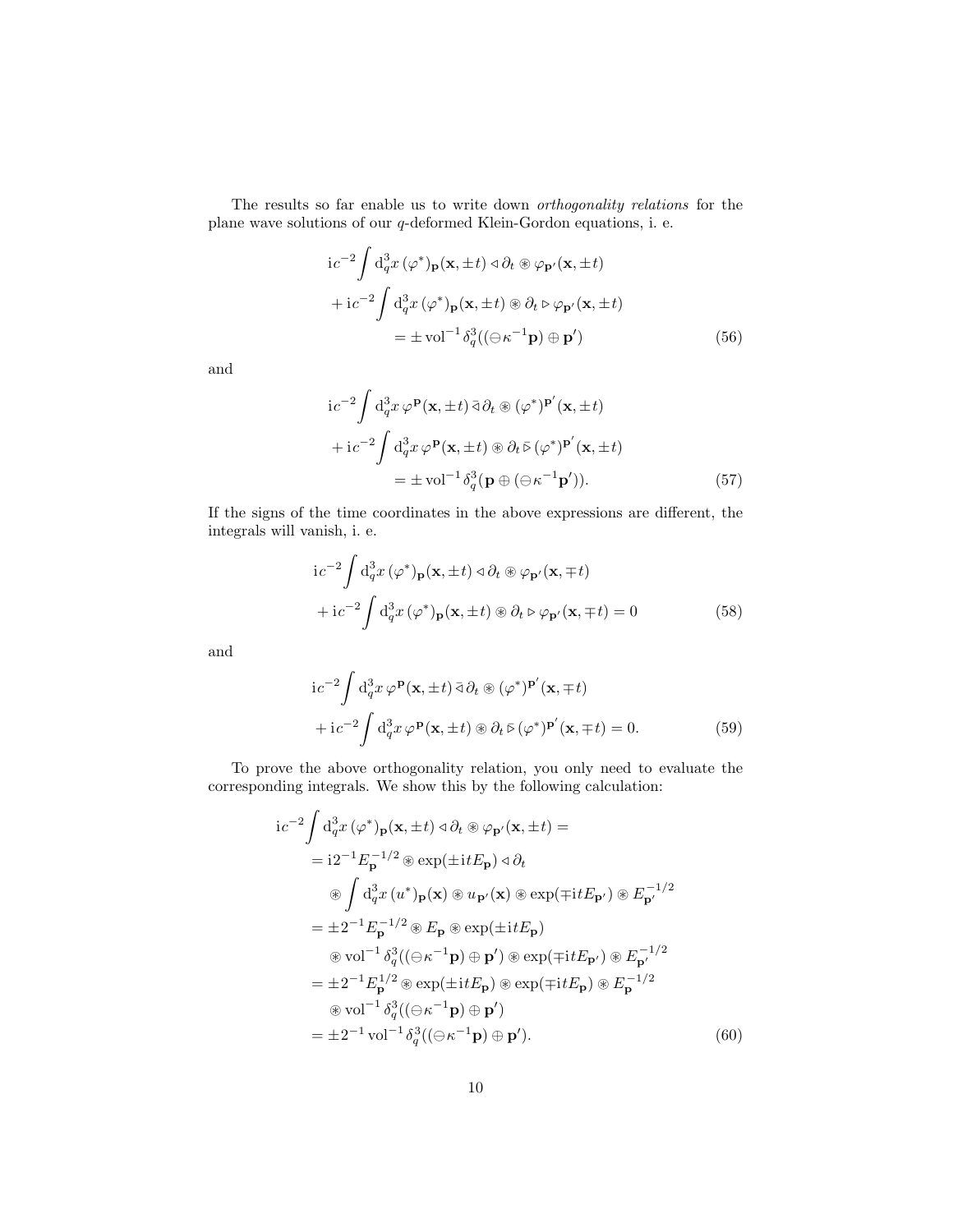The results so far enable us to write down orthogonality relations for the plane wave solutions of our q-deformed Klein-Gordon equations, i. e.

<span id="page-9-0"></span>
$$
ic^{-2} \int d_q^3 x (\varphi^*)_{\mathbf{p}}(\mathbf{x}, \pm t) \triangleleft \partial_t \circledast \varphi_{\mathbf{p}'}(\mathbf{x}, \pm t)
$$
  
+ 
$$
ic^{-2} \int d_q^3 x (\varphi^*)_{\mathbf{p}}(\mathbf{x}, \pm t) \circledast \partial_t \triangleright \varphi_{\mathbf{p}'}(\mathbf{x}, \pm t)
$$
  
= 
$$
\pm \text{vol}^{-1} \delta_q^3 ((\ominus \kappa^{-1} \mathbf{p}) \oplus \mathbf{p}')
$$
(56)

and

$$
ic^{-2} \int d_q^3 x \varphi^{\mathbf{p}}(\mathbf{x}, \pm t) \,\vec{\partial}_t \circledast (\varphi^*)^{\mathbf{p}'}(\mathbf{x}, \pm t)
$$
  
+ 
$$
+ ic^{-2} \int d_q^3 x \varphi^{\mathbf{p}}(\mathbf{x}, \pm t) \circledast \partial_t \bar{\triangleright} (\varphi^*)^{\mathbf{p}'}(\mathbf{x}, \pm t)
$$
  
= 
$$
\pm \text{vol}^{-1} \delta_q^3(\mathbf{p} \oplus (\ominus \kappa^{-1} \mathbf{p}')). \tag{57}
$$

If the signs of the time coordinates in the above expressions are different, the integrals will vanish, i. e.

$$
ic^{-2} \int d_q^3 x (\varphi^*)_{\mathbf{p}}(\mathbf{x}, \pm t) \triangleleft \partial_t \circledast \varphi_{\mathbf{p}'}(\mathbf{x}, \mp t)
$$
  
+ 
$$
+ ic^{-2} \int d_q^3 x (\varphi^*)_{\mathbf{p}}(\mathbf{x}, \pm t) \circledast \partial_t \triangleright \varphi_{\mathbf{p}'}(\mathbf{x}, \mp t) = 0
$$
 (58)

and

<span id="page-9-1"></span>
$$
ic^{-2} \int d_q^3 x \,\varphi^{\mathbf{p}}(\mathbf{x}, \pm t) \,\bar{\partial} \partial_t \circledast (\varphi^*)^{\mathbf{p}'}(\mathbf{x}, \mp t) + ic^{-2} \int d_q^3 x \,\varphi^{\mathbf{p}}(\mathbf{x}, \pm t) \circledast \partial_t \bar{\varphi}(\varphi^*)^{\mathbf{p}'}(\mathbf{x}, \mp t) = 0.
$$
 (59)

To prove the above orthogonality relation, you only need to evaluate the corresponding integrals. We show this by the following calculation:

$$
ic^{-2} \int d_q^3 x (\varphi^*)_p(\mathbf{x}, \pm t) \triangleleft \partial_t \circledast \varphi_{p'}(\mathbf{x}, \pm t) =
$$
  
\n
$$
= i2^{-1} E_p^{-1/2} \circledast \exp(\pm i t E_p) \triangleleft \partial_t
$$
  
\n
$$
\circledast \int d_q^3 x (u^*)_p(\mathbf{x}) \circledast u_{p'}(\mathbf{x}) \circledast \exp(\mp i t E_{p'}) \circledast E_{p'}^{-1/2}
$$
  
\n
$$
= \pm 2^{-1} E_p^{-1/2} \circledast E_p \circledast \exp(\pm i t E_p)
$$
  
\n
$$
\circledast \text{vol}^{-1} \delta_q^3((\ominus \kappa^{-1} \mathbf{p}) \oplus \mathbf{p'}) \circledast \exp(\mp i t E_{p'}) \circledast E_{p'}^{-1/2}
$$
  
\n
$$
= \pm 2^{-1} E_p^{1/2} \circledast \exp(\pm i t E_p) \circledast \exp(\mp i t E_p) \circledast E_p^{-1/2}
$$
  
\n
$$
\circledast \text{vol}^{-1} \delta_q^3((\ominus \kappa^{-1} \mathbf{p}) \oplus \mathbf{p'})
$$
  
\n
$$
= \pm 2^{-1} \text{vol}^{-1} \delta_q^3((\ominus \kappa^{-1} \mathbf{p}) \oplus \mathbf{p'}).
$$
 (60)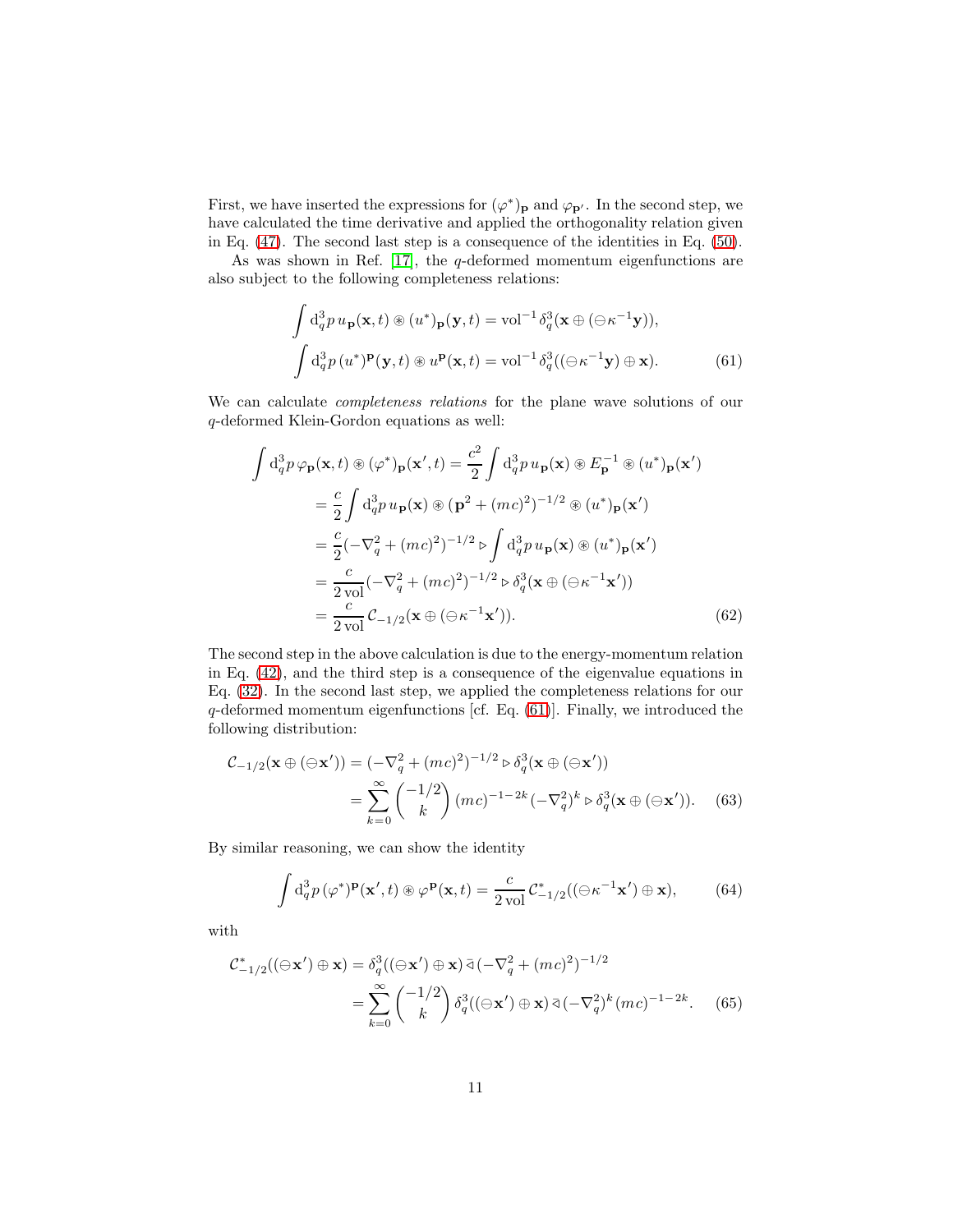First, we have inserted the expressions for  $(\varphi^*)_{\mathbf{p}}$  and  $\varphi_{\mathbf{p}'}$ . In the second step, we have calculated the time derivative and applied the orthogonality relation given in Eq. [\(47\)](#page-7-1). The second last step is a consequence of the identities in Eq. [\(50\)](#page-8-2).

As was shown in Ref.  $[17]$ , the q-deformed momentum eigenfunctions are also subject to the following completeness relations:

<span id="page-10-0"></span>
$$
\int d_q^3 p u_{\mathbf{p}}(\mathbf{x},t) \circledast (u^*)_{\mathbf{p}}(\mathbf{y},t) = \text{vol}^{-1} \delta_q^3(\mathbf{x} \oplus (\ominus \kappa^{-1} \mathbf{y})),
$$

$$
\int d_q^3 p (u^*)^{\mathbf{p}}(\mathbf{y},t) \circledast u^{\mathbf{p}}(\mathbf{x},t) = \text{vol}^{-1} \delta_q^3((\ominus \kappa^{-1} \mathbf{y}) \oplus \mathbf{x}). \tag{61}
$$

We can calculate completeness relations for the plane wave solutions of our q-deformed Klein-Gordon equations as well:

$$
\int d_q^3 p \varphi_{\mathbf{p}}(\mathbf{x},t) \circledast (\varphi^*)_{\mathbf{p}}(\mathbf{x}',t) = \frac{c^2}{2} \int d_q^3 p u_{\mathbf{p}}(\mathbf{x}) \circledast E_{\mathbf{p}}^{-1} \circledast (u^*)_{\mathbf{p}}(\mathbf{x}')
$$
  
\n
$$
= \frac{c}{2} \int d_q^3 p u_{\mathbf{p}}(\mathbf{x}) \circledast (\mathbf{p}^2 + (mc)^2)^{-1/2} \circledast (u^*)_{\mathbf{p}}(\mathbf{x}')
$$
  
\n
$$
= \frac{c}{2} (-\nabla_q^2 + (mc)^2)^{-1/2} \triangleright \int d_q^3 p u_{\mathbf{p}}(\mathbf{x}) \circledast (u^*)_{\mathbf{p}}(\mathbf{x}')
$$
  
\n
$$
= \frac{c}{2 \text{ vol}} (-\nabla_q^2 + (mc)^2)^{-1/2} \triangleright \delta_q^3(\mathbf{x} \oplus (\ominus \kappa^{-1} \mathbf{x}'))
$$
  
\n
$$
= \frac{c}{2 \text{ vol}} C_{-1/2}(\mathbf{x} \oplus (\ominus \kappa^{-1} \mathbf{x}')). \qquad (62)
$$

The second step in the above calculation is due to the energy-momentum relation in Eq. [\(42\)](#page-6-1), and the third step is a consequence of the eigenvalue equations in Eq. [\(32\)](#page-5-3). In the second last step, we applied the completeness relations for our q-deformed momentum eigenfunctions [cf. Eq. [\(61\)](#page-10-0)]. Finally, we introduced the following distribution:

$$
\mathcal{C}_{-1/2}(\mathbf{x} \oplus (\ominus \mathbf{x}')) = (-\nabla_q^2 + (mc)^2)^{-1/2} \triangleright \delta_q^3(\mathbf{x} \oplus (\ominus \mathbf{x}'))
$$
  
= 
$$
\sum_{k=0}^{\infty} {\binom{-1/2}{k}} (mc)^{-1-2k} (-\nabla_q^2)^k \triangleright \delta_q^3(\mathbf{x} \oplus (\ominus \mathbf{x}')).
$$
 (63)

By similar reasoning, we can show the identity

$$
\int d_q^3 p(\varphi^*)^{\mathbf{p}}(\mathbf{x}',t) \circledast \varphi^{\mathbf{p}}(\mathbf{x},t) = \frac{c}{2 \text{ vol}} \mathcal{C}_{-1/2}^*( (\ominus \kappa^{-1} \mathbf{x}') \oplus \mathbf{x}), \quad (64)
$$

with

$$
\mathcal{C}_{-1/2}^*( (\ominus \mathbf{x}') \oplus \mathbf{x}) = \delta_q^3 ((\ominus \mathbf{x}') \oplus \mathbf{x}) \, \bar{\triangleleft} \, (-\nabla_q^2 + (mc)^2)^{-1/2}
$$
\n
$$
= \sum_{k=0}^{\infty} {\binom{-1/2}{k}} \, \delta_q^3 ((\ominus \mathbf{x}') \oplus \mathbf{x}) \, \bar{\triangleleft} \, (-\nabla_q^2)^k (mc)^{-1-2k} . \tag{65}
$$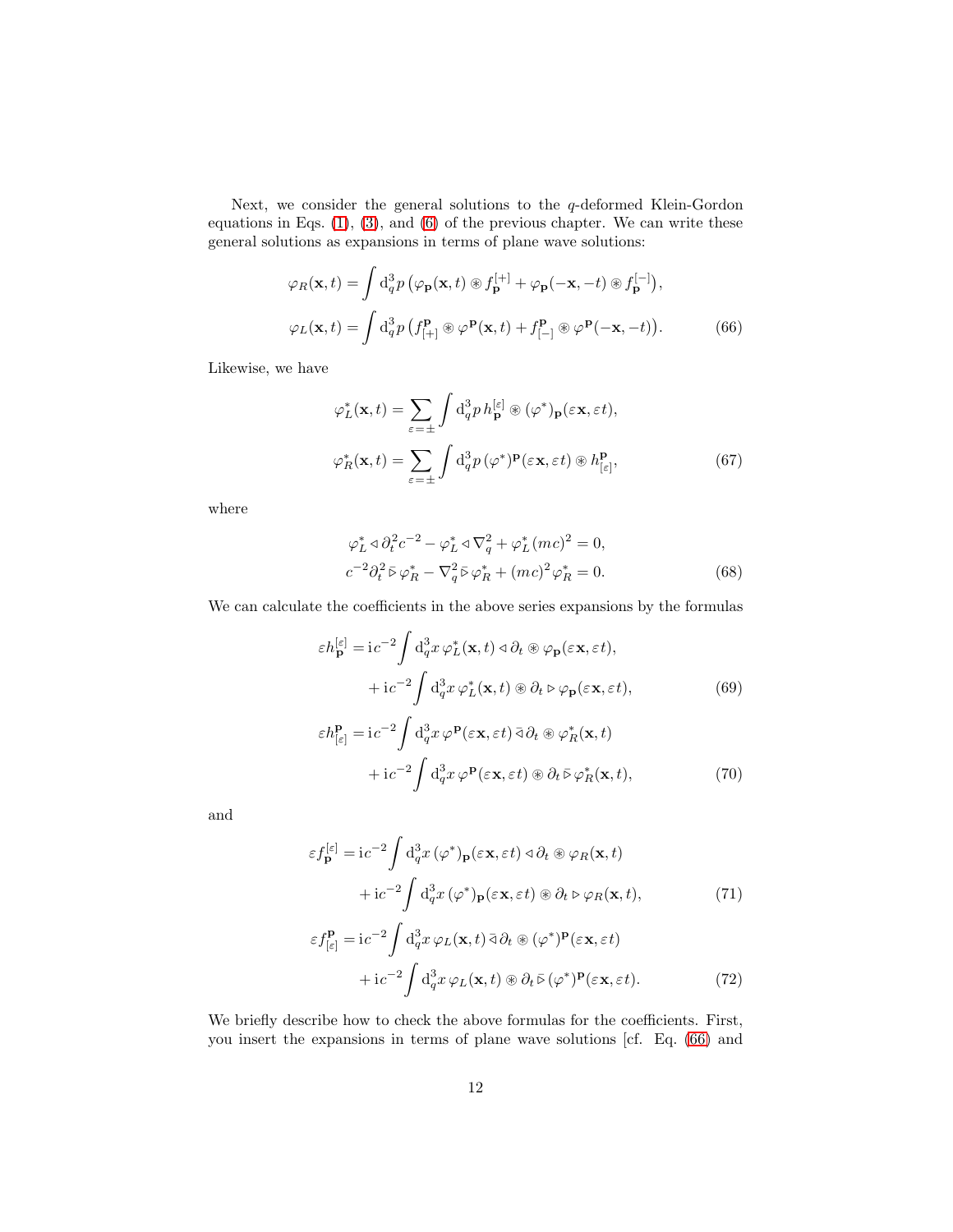Next, we consider the general solutions to the  $q$ -deformed Klein-Gordon equations in Eqs.  $(1)$ ,  $(3)$ , and  $(6)$  of the previous chapter. We can write these general solutions as expansions in terms of plane wave solutions:

$$
\varphi_R(\mathbf{x},t) = \int d_q^3 p \left( \varphi_\mathbf{p}(\mathbf{x},t) \circledast f_\mathbf{p}^{[+]} + \varphi_\mathbf{p}(-\mathbf{x},-t) \circledast f_\mathbf{p}^{[-]}\right),
$$
  

$$
\varphi_L(\mathbf{x},t) = \int d_q^3 p \left( f_{[+]}^{\mathbf{p}} \circledast \varphi^\mathbf{p}(\mathbf{x},t) + f_{[-]}^{\mathbf{p}} \circledast \varphi^\mathbf{p}(-\mathbf{x},-t) \right).
$$
 (66)

Likewise, we have

<span id="page-11-0"></span>
$$
\varphi_L^*(\mathbf{x}, t) = \sum_{\varepsilon = \pm} \int d_q^3 p \, h_{\mathbf{p}}^{[\varepsilon]} \circledast (\varphi^*)_{\mathbf{p}}(\varepsilon \mathbf{x}, \varepsilon t),
$$

$$
\varphi_R^*(\mathbf{x}, t) = \sum_{\varepsilon = \pm} \int d_q^3 p \, (\varphi^*)^{\mathbf{p}}(\varepsilon \mathbf{x}, \varepsilon t) \circledast h_{[\varepsilon]}^{\mathbf{p}},\tag{67}
$$

where

<span id="page-11-1"></span>
$$
\varphi_L^* \triangleleft \partial_t^2 c^{-2} - \varphi_L^* \triangleleft \nabla_q^2 + \varphi_L^* (mc)^2 = 0,
$$
  
\n
$$
c^{-2} \partial_t^2 \bar{\triangleright} \varphi_R^* - \nabla_q^2 \bar{\triangleright} \varphi_R^* + (mc)^2 \varphi_R^* = 0.
$$
\n(68)

We can calculate the coefficients in the above series expansions by the formulas

$$
\varepsilon h_{\mathbf{p}}^{[\varepsilon]} = i c^{-2} \int d_q^3 x \, \varphi_L^*(\mathbf{x}, t) \, \varphi \, \partial_t \otimes \varphi_{\mathbf{p}}(\varepsilon \mathbf{x}, \varepsilon t),
$$

$$
+ i c^{-2} \int d_q^3 x \, \varphi_L^*(\mathbf{x}, t) \otimes \partial_t \varphi_{\mathbf{p}}(\varepsilon \mathbf{x}, \varepsilon t), \tag{69}
$$

$$
\varepsilon h_{\left[\varepsilon\right]}^{\mathbf{p}} = i c^{-2} \int d_q^3 x \, \varphi^{\mathbf{p}}(\varepsilon \mathbf{x}, \varepsilon t) \, \bar{\varphi}_t(\mathbf{x}, t) \n+ i c^{-2} \int d_q^3 x \, \varphi^{\mathbf{p}}(\varepsilon \mathbf{x}, \varepsilon t) \circledast \partial_t \bar{\varphi}_t(\mathbf{x}, t),
$$
\n(70)

and

$$
\varepsilon f_{\mathbf{p}}^{[\varepsilon]} = i c^{-2} \int d_q^3 x \, (\varphi^*)_{\mathbf{p}} (\varepsilon \mathbf{x}, \varepsilon t) \triangleleft \partial_t \otimes \varphi_R(\mathbf{x}, t)
$$

$$
+ i c^{-2} \int d_q^3 x \, (\varphi^*)_{\mathbf{p}} (\varepsilon \mathbf{x}, \varepsilon t) \otimes \partial_t \triangleright \varphi_R(\mathbf{x}, t), \tag{71}
$$

$$
\varepsilon f_{\left[\varepsilon\right]}^{\mathbf{p}} = i c^{-2} \int d_q^3 x \, \varphi_L(\mathbf{x}, t) \, \bar{\vartheta}_t \otimes (\varphi^*)^{\mathbf{p}}(\varepsilon \mathbf{x}, \varepsilon t) + i c^{-2} \int d_q^3 x \, \varphi_L(\mathbf{x}, t) \otimes \partial_t \bar{\varphi} (\varphi^*)^{\mathbf{p}}(\varepsilon \mathbf{x}, \varepsilon t).
$$
 (72)

We briefly describe how to check the above formulas for the coefficients. First, you insert the expansions in terms of plane wave solutions [cf. Eq. [\(66\)](#page-11-0) and

L.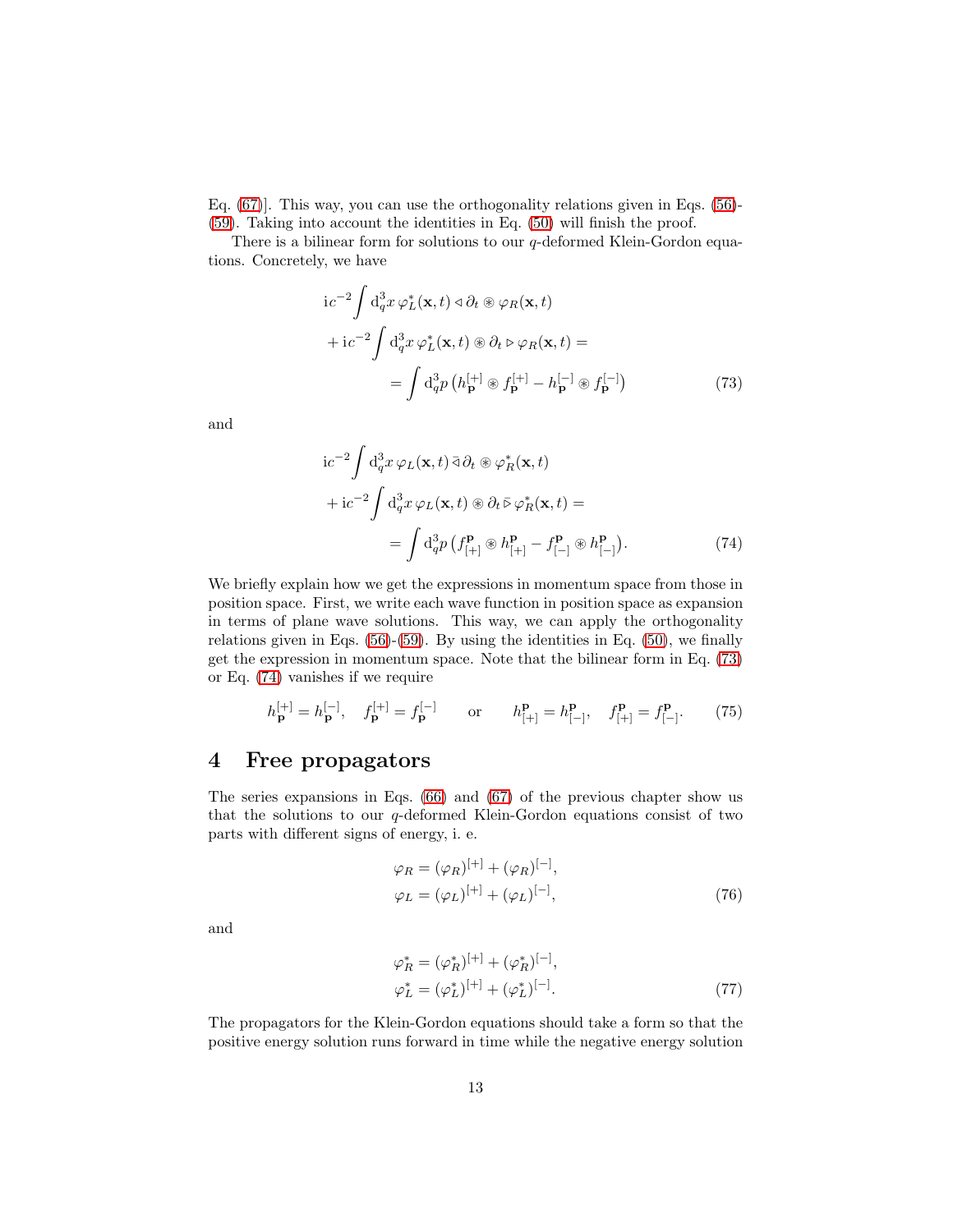Eq. [\(67\)](#page-11-1)]. This way, you can use the orthogonality relations given in Eqs. [\(56\)](#page-9-0)- [\(59\)](#page-9-1). Taking into account the identities in Eq. [\(50\)](#page-8-2) will finish the proof.

There is a bilinear form for solutions to our q-deformed Klein-Gordon equations. Concretely, we have

$$
i c^{-2} \int d_q^3 x \varphi_L^* (\mathbf{x}, t) \triangleleft \partial_t \otimes \varphi_R (\mathbf{x}, t)
$$
  
+ 
$$
i c^{-2} \int d_q^3 x \varphi_L^* (\mathbf{x}, t) \otimes \partial_t \triangleright \varphi_R (\mathbf{x}, t) =
$$
  
= 
$$
\int d_q^3 p \left( h_{\mathbf{p}}^{[+]} \otimes f_{\mathbf{p}}^{[+]} - h_{\mathbf{p}}^{[-]} \otimes f_{\mathbf{p}}^{[-]} \right)
$$
(73)

and

<span id="page-12-2"></span><span id="page-12-1"></span>
$$
ic^{-2} \int d_q^3 x \varphi_L(\mathbf{x}, t) \,\vec{\partial} \partial_t \otimes \varphi_R^*(\mathbf{x}, t)
$$
  
+ 
$$
ic^{-2} \int d_q^3 x \varphi_L(\mathbf{x}, t) \otimes \partial_t \vec{\partial} \varphi_R^*(\mathbf{x}, t) =
$$
  
= 
$$
\int d_q^3 p \left( f_{[+]}^{\mathbf{p}} \otimes h_{[+]}^{\mathbf{p}} - f_{[-]}^{\mathbf{p}} \otimes h_{[-]}^{\mathbf{p}} \right).
$$
 (74)

We briefly explain how we get the expressions in momentum space from those in position space. First, we write each wave function in position space as expansion in terms of plane wave solutions. This way, we can apply the orthogonality relations given in Eqs.  $(56)-(59)$  $(56)-(59)$ . By using the identities in Eq.  $(50)$ , we finally get the expression in momentum space. Note that the bilinear form in Eq. [\(73\)](#page-12-1) or Eq. [\(74\)](#page-12-2) vanishes if we require

<span id="page-12-3"></span>
$$
h_{\mathbf{p}}^{[+] } = h_{\mathbf{p}}^{[-]} , \quad f_{\mathbf{p}}^{[+]} = f_{\mathbf{p}}^{[-]} \qquad \text{or} \qquad h_{[+]}^{\mathbf{p}} = h_{[-]}^{\mathbf{p}} , \quad f_{[+]}^{\mathbf{p}} = f_{[-]}^{\mathbf{p}} . \tag{75}
$$

### <span id="page-12-0"></span>4 Free propagators

The series expansions in Eqs. [\(66\)](#page-11-0) and [\(67\)](#page-11-1) of the previous chapter show us that the solutions to our q-deformed Klein-Gordon equations consist of two parts with different signs of energy, i. e.

$$
\varphi_R = (\varphi_R)^{[+]} + (\varphi_R)^{[-]},
$$
  
\n
$$
\varphi_L = (\varphi_L)^{[+]} + (\varphi_L)^{[-]},
$$
\n(76)

and

$$
\varphi_R^* = (\varphi_R^*)^{[+]} + (\varphi_R^*)^{[-]},
$$
  
\n
$$
\varphi_L^* = (\varphi_L^*)^{[+]} + (\varphi_L^*)^{[-]}.
$$
\n(77)

The propagators for the Klein-Gordon equations should take a form so that the positive energy solution runs forward in time while the negative energy solution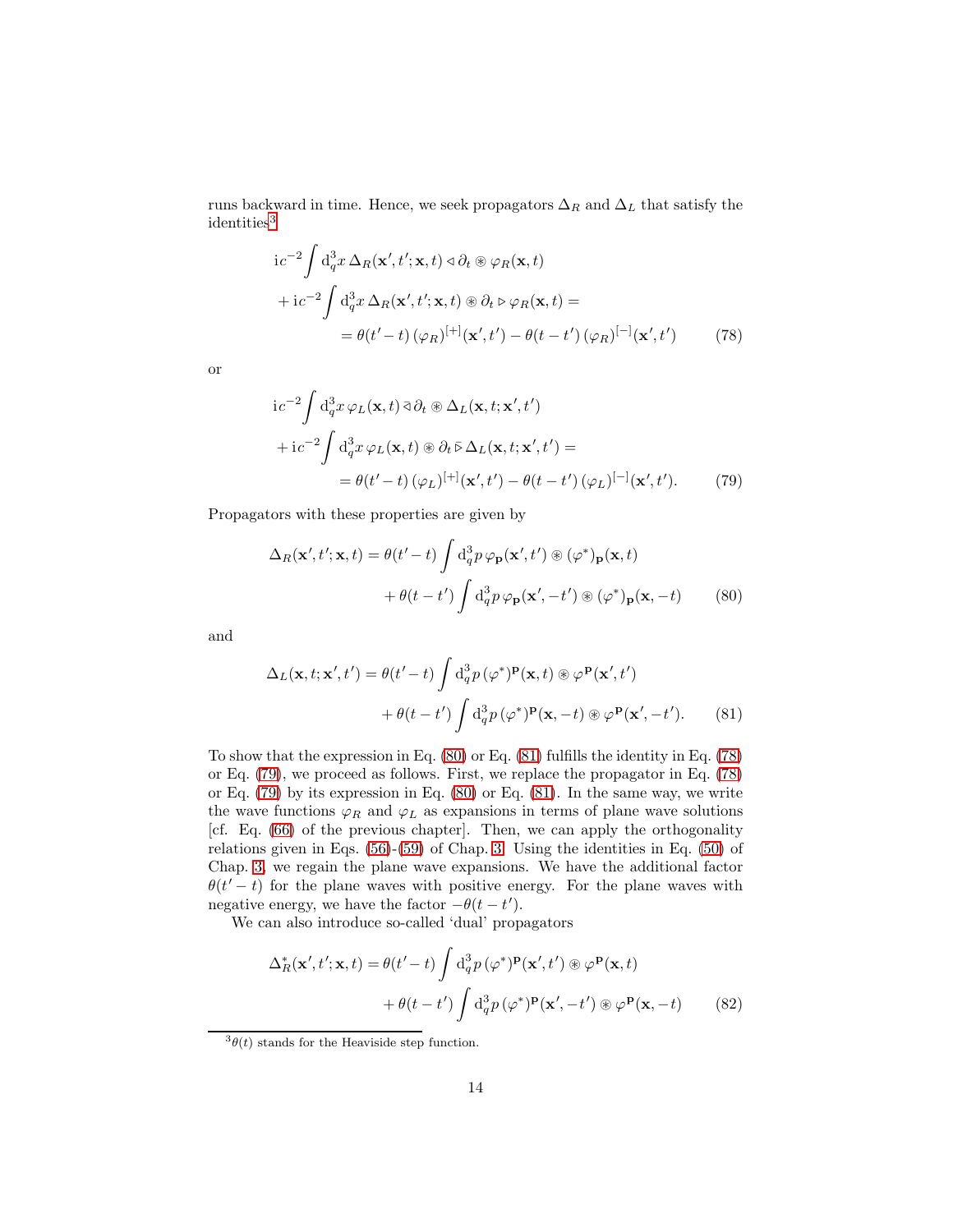runs backward in time. Hence, we seek propagators  $\Delta_R$  and  $\Delta_L$  that satisfy the identities<sup>[3](#page-13-0)</sup>

<span id="page-13-3"></span>
$$
ic^{-2} \int d_q^3 x \,\Delta_R(\mathbf{x}', t'; \mathbf{x}, t) \triangleleft \partial_t \circledast \varphi_R(\mathbf{x}, t)
$$
  
+ 
$$
ic^{-2} \int d_q^3 x \,\Delta_R(\mathbf{x}', t'; \mathbf{x}, t) \circledast \partial_t \triangleright \varphi_R(\mathbf{x}, t) =
$$
  
= 
$$
\theta(t'-t) (\varphi_R)^{[+]}(\mathbf{x}', t') - \theta(t-t') (\varphi_R)^{[-]}(\mathbf{x}', t')
$$
(78)

or

<span id="page-13-4"></span>
$$
i c^{-2} \int d_q^3 x \varphi_L(\mathbf{x}, t) \,\bar{\partial} \partial_t \otimes \Delta_L(\mathbf{x}, t; \mathbf{x}', t')
$$
  
+ 
$$
i c^{-2} \int d_q^3 x \varphi_L(\mathbf{x}, t) \otimes \partial_t \bar{\triangleright} \Delta_L(\mathbf{x}, t; \mathbf{x}', t') =
$$
  
= 
$$
\theta(t' - t) (\varphi_L)^{[+]}(\mathbf{x}', t') - \theta(t - t') (\varphi_L)^{[-]}(\mathbf{x}', t'). \tag{79}
$$

Propagators with these properties are given by

<span id="page-13-1"></span>
$$
\Delta_R(\mathbf{x}',t';\mathbf{x},t) = \theta(t'-t) \int d_q^3 p \, \varphi_\mathbf{p}(\mathbf{x}',t') \circledast (\varphi^*)_\mathbf{p}(\mathbf{x},t) + \theta(t-t') \int d_q^3 p \, \varphi_\mathbf{p}(\mathbf{x}',-t') \circledast (\varphi^*)_\mathbf{p}(\mathbf{x},-t)
$$
(80)

and

<span id="page-13-2"></span>
$$
\Delta_L(\mathbf{x}, t; \mathbf{x}', t') = \theta(t' - t) \int d_q^3 p(\varphi^*)^{\mathbf{p}}(\mathbf{x}, t) \circledast \varphi^{\mathbf{p}}(\mathbf{x}', t')
$$

$$
+ \theta(t - t') \int d_q^3 p(\varphi^*)^{\mathbf{p}}(\mathbf{x}, -t) \circledast \varphi^{\mathbf{p}}(\mathbf{x}', -t'). \tag{81}
$$

To show that the expression in Eq. [\(80\)](#page-13-1) or Eq. [\(81\)](#page-13-2) fulfills the identity in Eq. [\(78\)](#page-13-3) or Eq. [\(79\)](#page-13-4), we proceed as follows. First, we replace the propagator in Eq. [\(78\)](#page-13-3) or Eq. [\(79\)](#page-13-4) by its expression in Eq. [\(80\)](#page-13-1) or Eq. [\(81\)](#page-13-2). In the same way, we write the wave functions  $\varphi_R$  and  $\varphi_L$  as expansions in terms of plane wave solutions [cf. Eq. [\(66\)](#page-11-0) of the previous chapter]. Then, we can apply the orthogonality relations given in Eqs. [\(56\)](#page-9-0)-[\(59\)](#page-9-1) of Chap. [3.](#page-5-0) Using the identities in Eq. [\(50\)](#page-8-2) of Chap. [3,](#page-5-0) we regain the plane wave expansions. We have the additional factor  $\theta(t'-t)$  for the plane waves with positive energy. For the plane waves with negative energy, we have the factor  $-\theta(t-t')$ .

We can also introduce so-called 'dual' propagators

$$
\Delta_R^*(\mathbf{x}',t';\mathbf{x},t) = \theta(t'-t) \int d_q^3 p(\varphi^*)^{\mathbf{p}}(\mathbf{x}',t') \circledast \varphi^{\mathbf{p}}(\mathbf{x},t) + \theta(t-t') \int d_q^3 p(\varphi^*)^{\mathbf{p}}(\mathbf{x}',-t') \circledast \varphi^{\mathbf{p}}(\mathbf{x},-t)
$$
(82)

<span id="page-13-0"></span> $3\theta(t)$  stands for the Heaviside step function.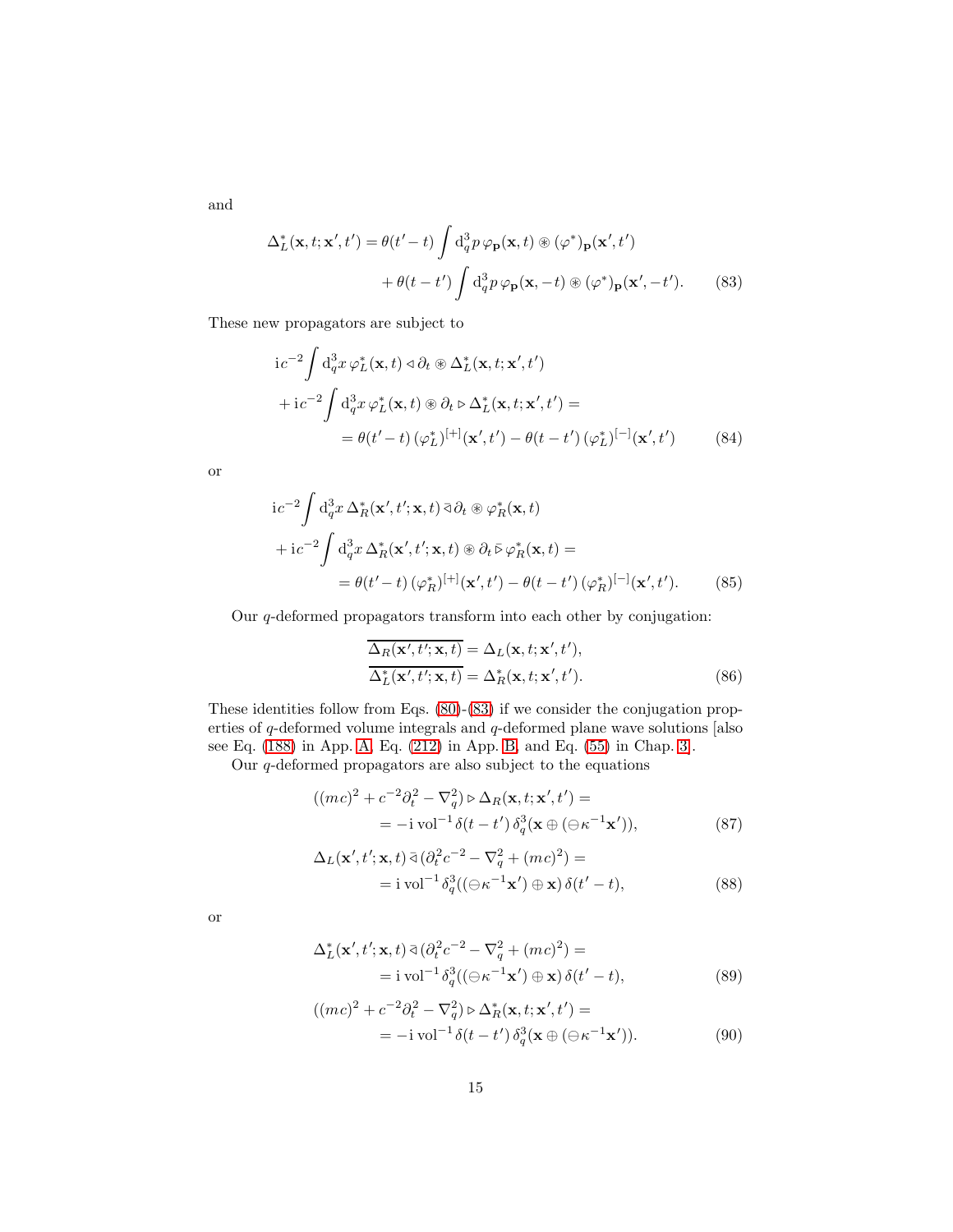and

$$
\Delta_L^*(\mathbf{x}, t; \mathbf{x}', t') = \theta(t' - t) \int d_q^3 p \, \varphi_\mathbf{p}(\mathbf{x}, t) \circledast (\varphi^*)_\mathbf{p}(\mathbf{x}', t')
$$

$$
+ \theta(t - t') \int d_q^3 p \, \varphi_\mathbf{p}(\mathbf{x}, -t) \circledast (\varphi^*)_\mathbf{p}(\mathbf{x}', -t'). \tag{83}
$$

These new propagators are subject to

<span id="page-14-0"></span>
$$
i c^{-2} \int d_q^3 x \, \varphi_L^*(\mathbf{x}, t) \, \varphi \, \partial_t \otimes \Delta_L^*(\mathbf{x}, t; \mathbf{x}', t')
$$
  
+ 
$$
i c^{-2} \int d_q^3 x \, \varphi_L^*(\mathbf{x}, t) \otimes \partial_t \varphi \, \Delta_L^*(\mathbf{x}, t; \mathbf{x}', t') =
$$
  
= 
$$
\theta(t' - t) \, (\varphi_L^*)^{[+]}(\mathbf{x}', t') - \theta(t - t') \, (\varphi_L^*)^{[-]}(\mathbf{x}', t')
$$
 (84)

or

$$
i c^{-2} \int d_q^3 x \, \Delta_R^*(\mathbf{x}', t'; \mathbf{x}, t) \, \overline{\partial}_t \otimes \varphi_R^*(\mathbf{x}, t)
$$
  
+ 
$$
i c^{-2} \int d_q^3 x \, \Delta_R^*(\mathbf{x}', t'; \mathbf{x}, t) \otimes \partial_t \overline{\varphi}_R(\mathbf{x}, t) =
$$
  
= 
$$
\theta(t'-t) \, (\varphi_R^*)^{[+]}(\mathbf{x}', t') - \theta(t-t') \, (\varphi_R^*)^{[-]}(\mathbf{x}', t'). \tag{85}
$$

Our q-deformed propagators transform into each other by conjugation:

<span id="page-14-1"></span>
$$
\overline{\Delta_R(\mathbf{x}',t';\mathbf{x},t)} = \Delta_L(\mathbf{x},t;\mathbf{x}',t'),
$$
  
\n
$$
\overline{\Delta_L^*(\mathbf{x}',t';\mathbf{x},t)} = \Delta_R^*(\mathbf{x},t;\mathbf{x}',t').
$$
\n(86)

These identities follow from Eqs. [\(80\)](#page-13-1)-[\(83\)](#page-14-0) if we consider the conjugation properties of q-deformed volume integrals and q-deformed plane wave solutions [also see Eq. [\(188\)](#page-29-3) in App. [A,](#page-27-1) Eq. [\(212\)](#page-33-2) in App. [B,](#page-29-0) and Eq. [\(55\)](#page-8-3) in Chap. [3\]](#page-5-0).

Our q-deformed propagators are also subject to the equations

$$
((mc)^2 + c^{-2}\partial_t^2 - \nabla_q^2) \triangleright \Delta_R(\mathbf{x}, t; \mathbf{x}', t') =
$$
  
= -*i* vol<sup>-1</sup>  $\delta(t - t') \delta_q^3(\mathbf{x} \oplus (\ominus \kappa^{-1} \mathbf{x}')),$  (87)

<span id="page-14-2"></span>
$$
\Delta_L(\mathbf{x}',t';\mathbf{x},t) \,\bar{\triangleleft} \, (\partial_t^2 c^{-2} - \nabla_q^2 + (mc)^2) =
$$
  
=  $i \text{ vol}^{-1} \delta_q^3 ((\ominus \kappa^{-1} \mathbf{x}') \oplus \mathbf{x}) \, \delta(t'-t),$  (88)

or

$$
\Delta_L^*(\mathbf{x}',t';\mathbf{x},t) \bar{\triangleleft} (\partial_t^2 c^{-2} - \nabla_q^2 + (mc)^2) =
$$
  
=  $i \operatorname{vol}^{-1} \delta_q^3 ((\ominus \kappa^{-1} \mathbf{x}') \oplus \mathbf{x}) \delta(t'-t),$  (89)

$$
((mc)^2 + c^{-2}\partial_t^2 - \nabla_q^2) \triangleright \Delta_R^*(\mathbf{x}, t; \mathbf{x}', t') =
$$
  
= -*i* vol<sup>-1</sup>  $\delta(t - t') \delta_q^3(\mathbf{x} \oplus (\ominus \kappa^{-1} \mathbf{x}'))$ . (90)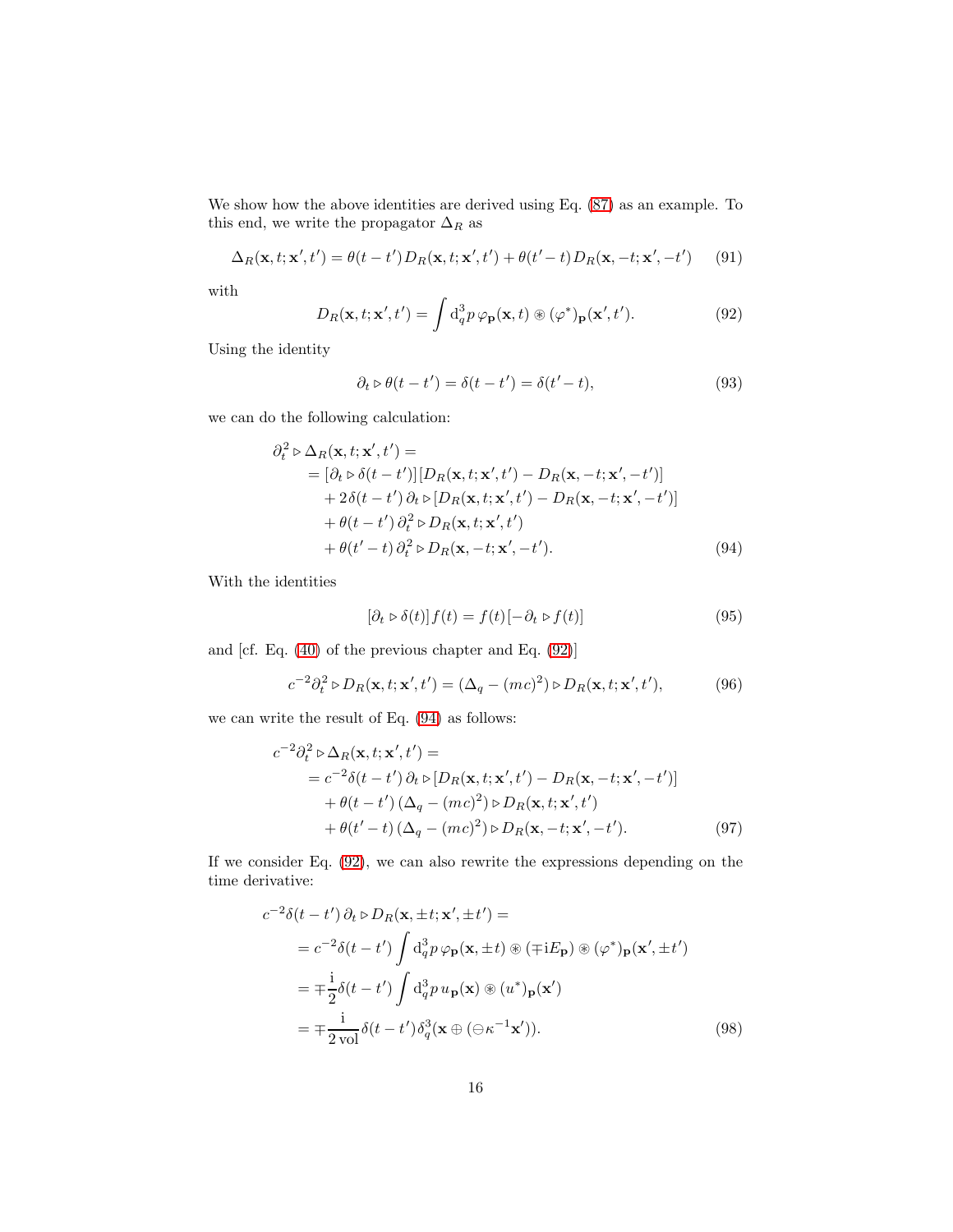We show how the above identities are derived using Eq. [\(87\)](#page-14-1) as an example. To this end, we write the propagator  $\Delta_R$  as

<span id="page-15-4"></span>
$$
\Delta_R(\mathbf{x}, t; \mathbf{x}', t') = \theta(t - t') D_R(\mathbf{x}, t; \mathbf{x}', t') + \theta(t' - t) D_R(\mathbf{x}, -t; \mathbf{x}', -t') \tag{91}
$$

with

<span id="page-15-0"></span>
$$
D_R(\mathbf{x}, t; \mathbf{x}', t') = \int d_q^3 p \, \varphi_\mathbf{p}(\mathbf{x}, t) \circledast (\varphi^*)_\mathbf{p}(\mathbf{x}', t'). \tag{92}
$$

Using the identity

$$
\partial_t \triangleright \theta(t - t') = \delta(t - t') = \delta(t' - t),\tag{93}
$$

we can do the following calculation:

$$
\partial_t^2 \triangleright \Delta_R(\mathbf{x}, t; \mathbf{x}', t') =
$$
\n
$$
= [\partial_t \triangleright \delta(t - t')] [D_R(\mathbf{x}, t; \mathbf{x}', t') - D_R(\mathbf{x}, -t; \mathbf{x}', -t')]
$$
\n
$$
+ 2\delta(t - t') \partial_t \triangleright [D_R(\mathbf{x}, t; \mathbf{x}', t') - D_R(\mathbf{x}, -t; \mathbf{x}', -t')]
$$
\n
$$
+ \theta(t - t') \partial_t^2 \triangleright D_R(\mathbf{x}, t; \mathbf{x}', t')
$$
\n
$$
+ \theta(t' - t) \partial_t^2 \triangleright D_R(\mathbf{x}, -t; \mathbf{x}', -t').
$$
\n(94)

With the identities

<span id="page-15-3"></span><span id="page-15-1"></span>
$$
[\partial_t \triangleright \delta(t)] f(t) = f(t) [-\partial_t \triangleright f(t)] \tag{95}
$$

and [cf. Eq. [\(40\)](#page-6-2) of the previous chapter and Eq. [\(92\)](#page-15-0)]

$$
c^{-2}\partial_t^2 \triangleright D_R(\mathbf{x}, t; \mathbf{x}', t') = (\Delta_q - (mc)^2) \triangleright D_R(\mathbf{x}, t; \mathbf{x}', t'),\tag{96}
$$

we can write the result of Eq. [\(94\)](#page-15-1) as follows:

$$
c^{-2}\partial_t^2 \triangleright \Delta_R(\mathbf{x}, t; \mathbf{x}', t') =
$$
  
=  $c^{-2}\delta(t - t')\partial_t \triangleright [D_R(\mathbf{x}, t; \mathbf{x}', t') - D_R(\mathbf{x}, -t; \mathbf{x}', -t')]$   
+  $\theta(t - t')(\Delta_q - (mc)^2) \triangleright D_R(\mathbf{x}, t; \mathbf{x}', t')$   
+  $\theta(t' - t)(\Delta_q - (mc)^2) \triangleright D_R(\mathbf{x}, -t; \mathbf{x}', -t').$  (97)

If we consider Eq. [\(92\)](#page-15-0), we can also rewrite the expressions depending on the time derivative:

<span id="page-15-2"></span>
$$
c^{-2}\delta(t - t')\partial_t \triangleright D_R(\mathbf{x}, \pm t; \mathbf{x}', \pm t') =
$$
  
\n
$$
= c^{-2}\delta(t - t') \int d_q^3 p \varphi_\mathbf{p}(\mathbf{x}, \pm t) \circledast (\mp iE_\mathbf{p}) \circledast (\varphi^*)_p(\mathbf{x}', \pm t')
$$
  
\n
$$
= \mp \frac{i}{2}\delta(t - t') \int d_q^3 p u_\mathbf{p}(\mathbf{x}) \circledast (u^*)_p(\mathbf{x}')
$$
  
\n
$$
= \mp \frac{i}{2 \text{ vol}} \delta(t - t') \delta_q^3(\mathbf{x} \oplus (\ominus \kappa^{-1} \mathbf{x}')). \qquad (98)
$$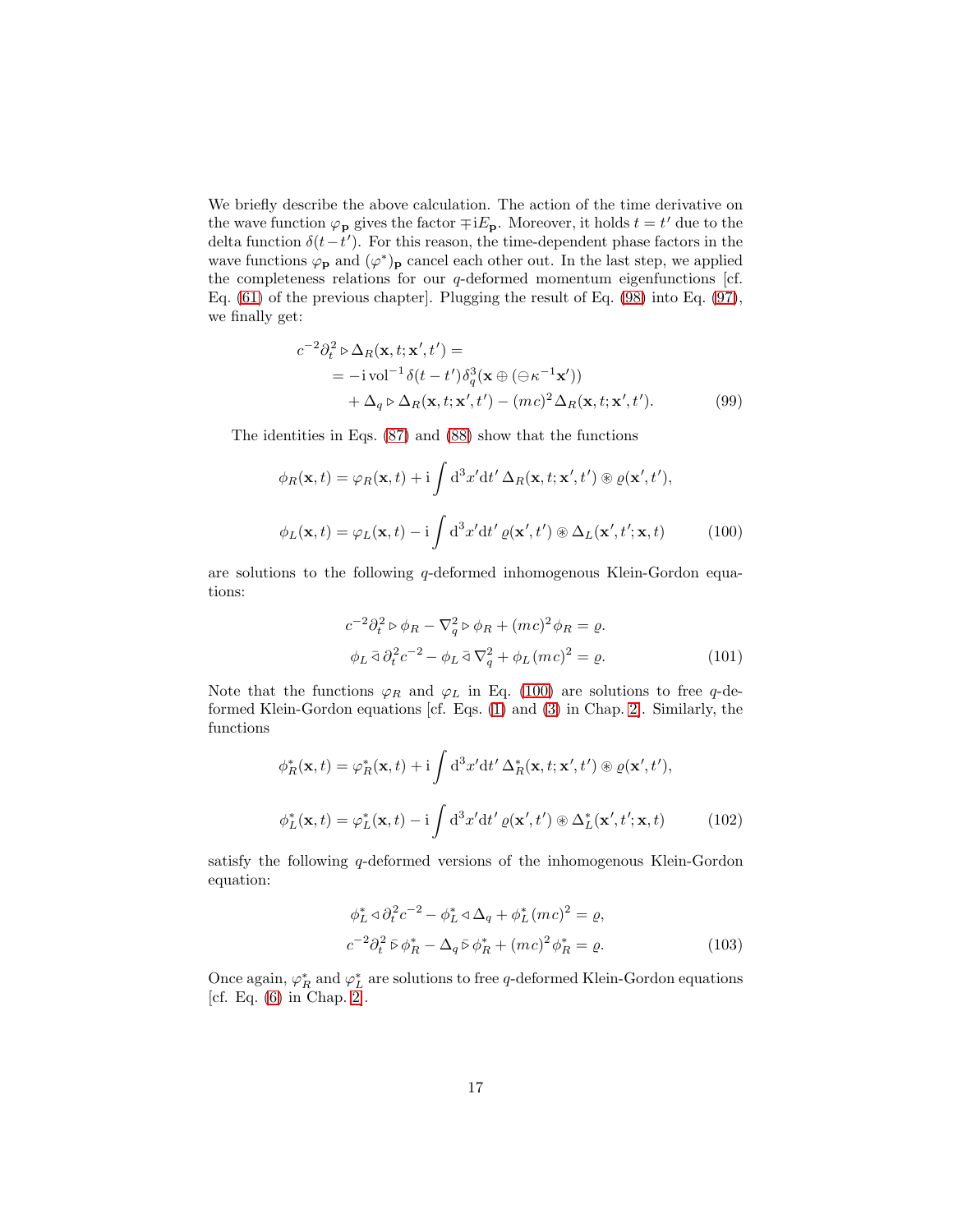We briefly describe the above calculation. The action of the time derivative on the wave function  $\varphi_{\mathbf{p}}$  gives the factor  $\mp iE_{\mathbf{p}}$ . Moreover, it holds  $t = t'$  due to the delta function  $\delta(t-t')$ . For this reason, the time-dependent phase factors in the wave functions  $\varphi_{\mathbf{p}}$  and  $(\varphi^*)_{\mathbf{p}}$  cancel each other out. In the last step, we applied the completeness relations for our  $q$ -deformed momentum eigenfunctions [cf. Eq. [\(61\)](#page-10-0) of the previous chapter]. Plugging the result of Eq. [\(98\)](#page-15-2) into Eq. [\(97\)](#page-15-3), we finally get:

$$
c^{-2}\partial_t^2 \triangleright \Delta_R(\mathbf{x}, t; \mathbf{x}', t') =
$$
  
= - $\text{ivol}^{-1}\delta(t - t')\delta_q^3(\mathbf{x} \oplus (\ominus \kappa^{-1}\mathbf{x}'))$   
+  $\Delta_q \triangleright \Delta_R(\mathbf{x}, t; \mathbf{x}', t') - (mc)^2 \Delta_R(\mathbf{x}, t; \mathbf{x}', t').$  (99)

The identities in Eqs. [\(87\)](#page-14-1) and [\(88\)](#page-14-2) show that the functions

$$
\phi_R(\mathbf{x},t) = \varphi_R(\mathbf{x},t) + i \int d^3x' dt' \Delta_R(\mathbf{x},t;\mathbf{x}',t') \otimes \varrho(\mathbf{x}',t'),
$$
  

$$
\phi_L(\mathbf{x},t) = \varphi_L(\mathbf{x},t) - i \int d^3x' dt' \varrho(\mathbf{x}',t') \otimes \Delta_L(\mathbf{x}',t';\mathbf{x},t)
$$
 (100)

are solutions to the following q-deformed inhomogenous Klein-Gordon equations:

<span id="page-16-0"></span>
$$
c^{-2}\partial_t^2 \triangleright \phi_R - \nabla_q^2 \triangleright \phi_R + (mc)^2 \phi_R = \varrho.
$$
  
\n
$$
\phi_L \triangleleft \partial_t^2 c^{-2} - \phi_L \triangleleft \nabla_q^2 + \phi_L (mc)^2 = \varrho.
$$
\n(101)

Note that the functions  $\varphi_R$  and  $\varphi_L$  in Eq. [\(100\)](#page-16-0) are solutions to free q-deformed Klein-Gordon equations [cf. Eqs. [\(1\)](#page-1-1) and [\(3\)](#page-1-2) in Chap. [2\]](#page-1-0). Similarly, the functions

$$
\phi_R^*(\mathbf{x},t) = \varphi_R^*(\mathbf{x},t) + i \int d^3x' dt' \Delta_R^*(\mathbf{x},t;\mathbf{x}',t') \otimes \varrho(\mathbf{x}',t'),
$$
  

$$
\phi_L^*(\mathbf{x},t) = \varphi_L^*(\mathbf{x},t) - i \int d^3x' dt' \varrho(\mathbf{x}',t') \otimes \Delta_L^*(\mathbf{x}',t';\mathbf{x},t)
$$
(102)

satisfy the following q-deformed versions of the inhomogenous Klein-Gordon equation:

$$
\phi_L^* \triangleleft \partial_t^2 c^{-2} - \phi_L^* \triangleleft \Delta_q + \phi_L^* (mc)^2 = \varrho,
$$
  

$$
c^{-2} \partial_t^2 \bar{\triangleright} \phi_R^* - \Delta_q \bar{\triangleright} \phi_R^* + (mc)^2 \phi_R^* = \varrho.
$$
 (103)

Once again,  $\varphi_R^\ast$  and  $\varphi_L^\ast$  are solutions to free  $q$  -deformed Klein-Gordon equations [cf. Eq. [\(6\)](#page-2-2) in Chap. [2\]](#page-1-0).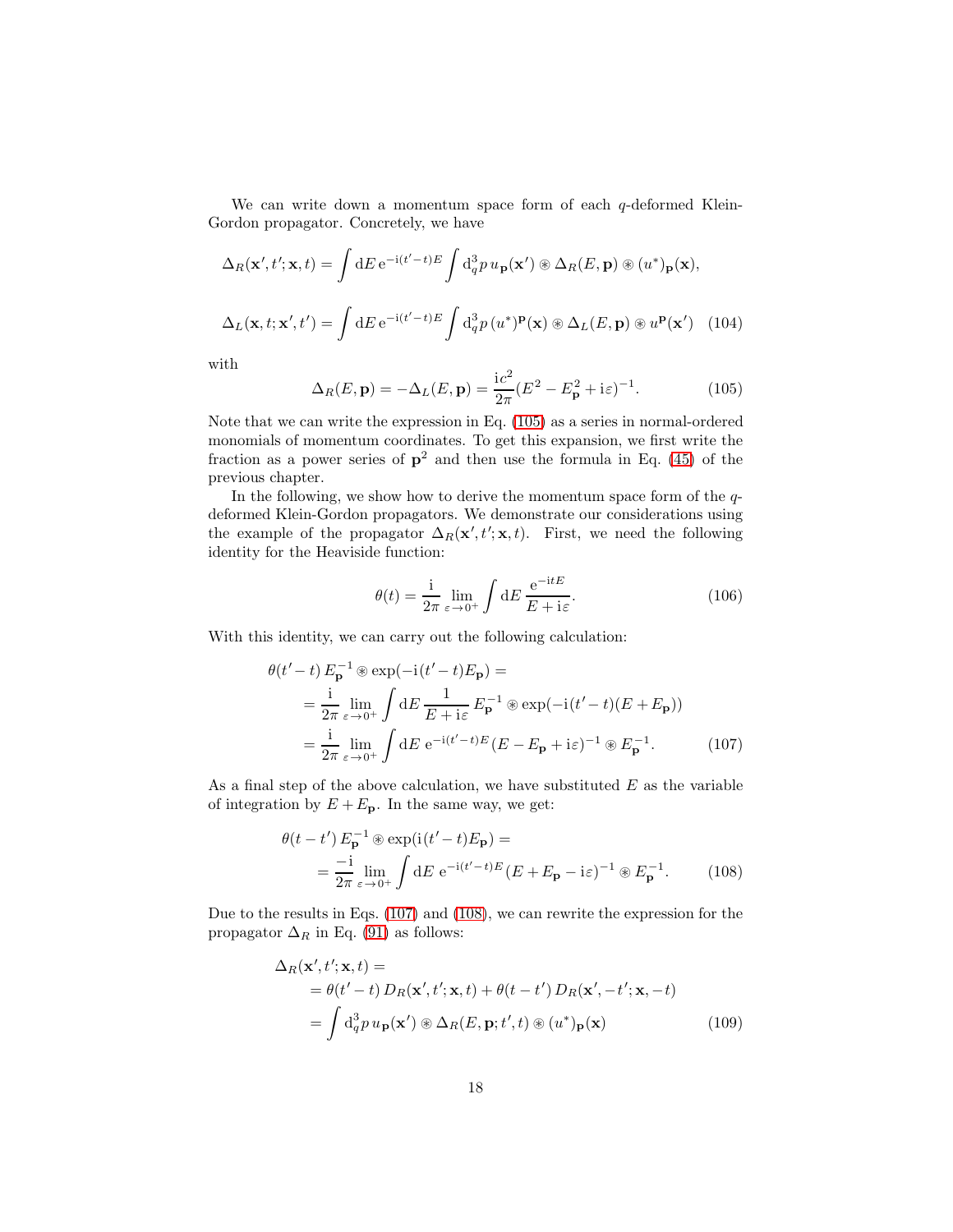We can write down a momentum space form of each  $q$ -deformed Klein-Gordon propagator. Concretely, we have

$$
\Delta_R(\mathbf{x}',t';\mathbf{x},t) = \int dE \, e^{-i(t'-t)E} \int d_q^3 p \, u_{\mathbf{p}}(\mathbf{x}') \otimes \Delta_R(E,\mathbf{p}) \otimes (u^*)_{\mathbf{p}}(\mathbf{x}),
$$

$$
\Delta_L(\mathbf{x},t;\mathbf{x}',t') = \int dE \, e^{-i(t'-t)E} \int d_q^3 p \, (u^*)^{\mathbf{p}}(\mathbf{x}) \otimes \Delta_L(E,\mathbf{p}) \otimes u^{\mathbf{p}}(\mathbf{x}') \tag{104}
$$

with

<span id="page-17-0"></span>
$$
\Delta_R(E, \mathbf{p}) = -\Delta_L(E, \mathbf{p}) = \frac{ic^2}{2\pi} (E^2 - E_\mathbf{p}^2 + i\varepsilon)^{-1}.
$$
 (105)

Note that we can write the expression in Eq. [\(105\)](#page-17-0) as a series in normal-ordered monomials of momentum coordinates. To get this expansion, we first write the fraction as a power series of  $p^2$  and then use the formula in Eq. [\(45\)](#page-7-2) of the previous chapter.

In the following, we show how to derive the momentum space form of the  $q$ deformed Klein-Gordon propagators. We demonstrate our considerations using the example of the propagator  $\Delta_R(\mathbf{x}', t'; \mathbf{x}, t)$ . First, we need the following identity for the Heaviside function:

<span id="page-17-1"></span>
$$
\theta(t) = \frac{1}{2\pi} \lim_{\varepsilon \to 0^+} \int dE \, \frac{e^{-itE}}{E + i\varepsilon}.
$$
\n(106)

With this identity, we can carry out the following calculation:

$$
\theta(t'-t) E_{\mathbf{p}}^{-1} \circledast \exp(-i(t'-t)E_{\mathbf{p}}) =
$$
\n
$$
= \frac{i}{2\pi} \lim_{\varepsilon \to 0^+} \int dE \frac{1}{E + i\varepsilon} E_{\mathbf{p}}^{-1} \circledast \exp(-i(t'-t)(E + E_{\mathbf{p}}))
$$
\n
$$
= \frac{i}{2\pi} \lim_{\varepsilon \to 0^+} \int dE e^{-i(t'-t)E} (E - E_{\mathbf{p}} + i\varepsilon)^{-1} \circledast E_{\mathbf{p}}^{-1}.
$$
\n(107)

As a final step of the above calculation, we have substituted  $E$  as the variable of integration by  $E + E_p$ . In the same way, we get:

<span id="page-17-2"></span>
$$
\theta(t - t') E_{\mathbf{p}}^{-1} \circledast \exp(i(t'-t)E_{\mathbf{p}}) =
$$
  
= 
$$
\frac{-i}{2\pi} \lim_{\varepsilon \to 0^{+}} \int dE \ e^{-i(t'-t)E} (E + E_{\mathbf{p}} - i\varepsilon)^{-1} \circledast E_{\mathbf{p}}^{-1}.
$$
 (108)

Due to the results in Eqs. [\(107\)](#page-17-1) and [\(108\)](#page-17-2), we can rewrite the expression for the propagator  $\Delta_R$  in Eq. [\(91\)](#page-15-4) as follows:

<span id="page-17-3"></span>
$$
\Delta_R(\mathbf{x}', t'; \mathbf{x}, t) =
$$
  
=  $\theta(t' - t) D_R(\mathbf{x}', t'; \mathbf{x}, t) + \theta(t - t') D_R(\mathbf{x}', -t'; \mathbf{x}, -t)$   
=  $\int d_q^3 p u_p(\mathbf{x}') \otimes \Delta_R(E, \mathbf{p}; t', t) \otimes (u^*)_p(\mathbf{x})$  (109)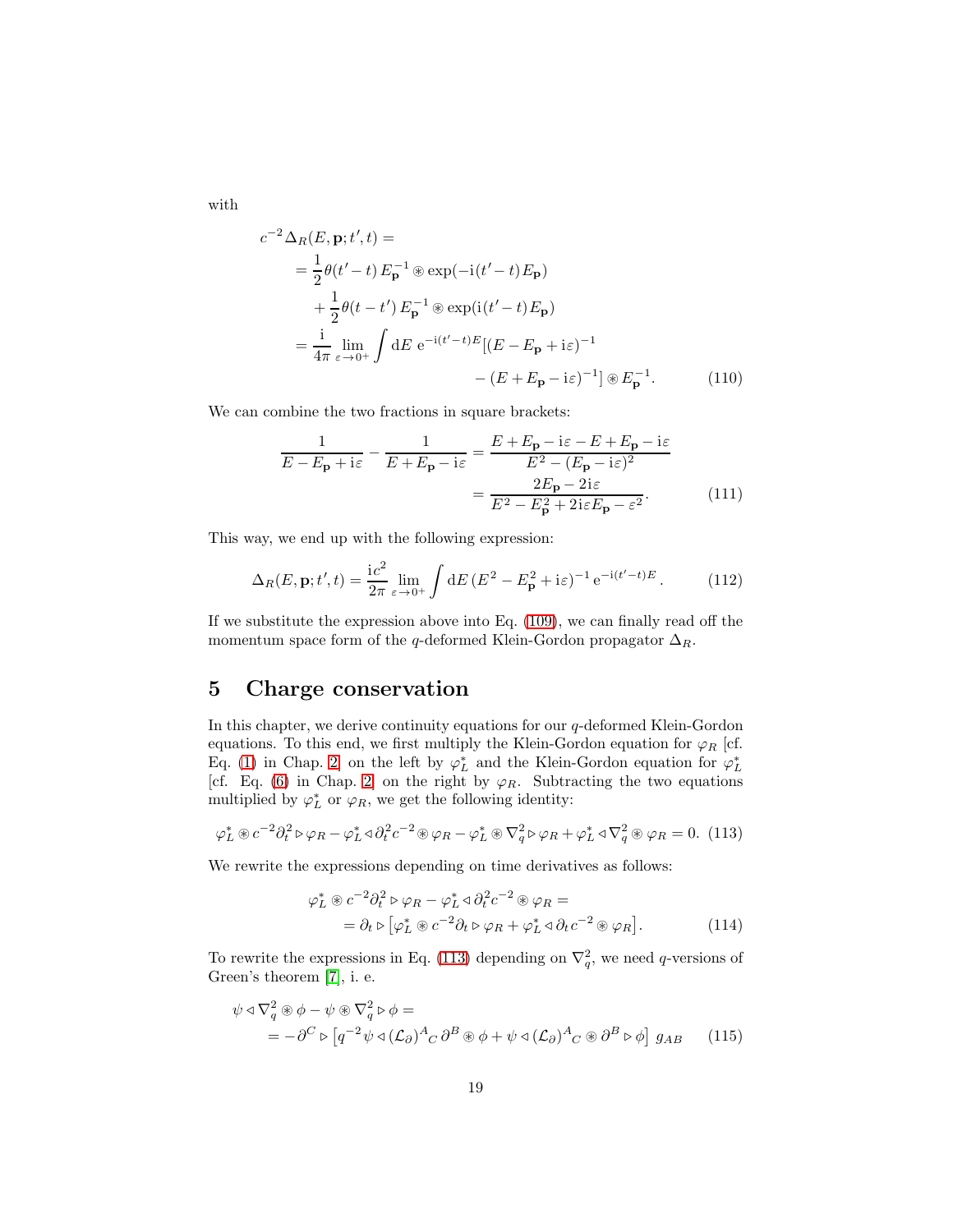with

$$
c^{-2} \Delta_R(E, \mathbf{p}; t', t) =
$$
  
=  $\frac{1}{2} \theta(t'-t) E_{\mathbf{p}}^{-1} \otimes \exp(-i(t'-t) E_{\mathbf{p}})$   
+  $\frac{1}{2} \theta(t-t') E_{\mathbf{p}}^{-1} \otimes \exp(i(t'-t) E_{\mathbf{p}})$   
=  $\frac{i}{4\pi} \lim_{\varepsilon \to 0^+} \int dE e^{-i(t'-t)E} [(E - E_{\mathbf{p}} + i\varepsilon)^{-1} - (E + E_{\mathbf{p}} - i\varepsilon)^{-1}] \otimes E_{\mathbf{p}}^{-1}.$  (110)

We can combine the two fractions in square brackets:

$$
\frac{1}{E - E_{\mathbf{p}} + i\varepsilon} - \frac{1}{E + E_{\mathbf{p}} - i\varepsilon} = \frac{E + E_{\mathbf{p}} - i\varepsilon - E + E_{\mathbf{p}} - i\varepsilon}{E^2 - (E_{\mathbf{p}} - i\varepsilon)^2}
$$

$$
= \frac{2E_{\mathbf{p}} - 2i\varepsilon}{E^2 - E_{\mathbf{p}}^2 + 2i\varepsilon E_{\mathbf{p}} - \varepsilon^2}.
$$
(111)

This way, we end up with the following expression:

$$
\Delta_R(E, \mathbf{p}; t', t) = \frac{i c^2}{2\pi} \lim_{\varepsilon \to 0^+} \int dE \, (E^2 - E_\mathbf{p}^2 + i\varepsilon)^{-1} e^{-i(t'-t)E} \,. \tag{112}
$$

If we substitute the expression above into Eq. [\(109\)](#page-17-3), we can finally read off the momentum space form of the q-deformed Klein-Gordon propagator  $\Delta_R$ .

### <span id="page-18-2"></span>5 Charge conservation

In this chapter, we derive continuity equations for our  $q$ -deformed Klein-Gordon equations. To this end, we first multiply the Klein-Gordon equation for  $\varphi_R$  [cf. Eq. [\(1\)](#page-1-1) in Chap. [2\]](#page-1-0) on the left by  $\varphi_L^*$  and the Klein-Gordon equation for  $\varphi_L^*$ [cf. Eq. [\(6\)](#page-2-2) in Chap. [2\]](#page-1-0) on the right by  $\varphi_R$ . Subtracting the two equations multiplied by  $\varphi_L^*$  or  $\varphi_R$ , we get the following identity:

<span id="page-18-0"></span>
$$
\varphi_L^* \otimes c^{-2} \partial_t^2 \rhd \varphi_R - \varphi_L^* \lhd \partial_t^2 c^{-2} \otimes \varphi_R - \varphi_L^* \otimes \nabla_q^2 \rhd \varphi_R + \varphi_L^* \lhd \nabla_q^2 \otimes \varphi_R = 0. \tag{113}
$$

We rewrite the expressions depending on time derivatives as follows:

<span id="page-18-1"></span>
$$
\varphi_L^* \otimes c^{-2} \partial_t^2 \rhd \varphi_R - \varphi_L^* \lhd \partial_t^2 c^{-2} \otimes \varphi_R =
$$
  
=  $\partial_t \rhd [\varphi_L^* \otimes c^{-2} \partial_t \rhd \varphi_R + \varphi_L^* \lhd \partial_t c^{-2} \otimes \varphi_R].$  (114)

To rewrite the expressions in Eq. [\(113\)](#page-18-0) depending on  $\nabla_q^2$ , we need q-versions of Green's theorem [\[7\]](#page-41-2), i. e.

$$
\psi \triangleleft \nabla_q^2 \circledast \phi - \psi \circledast \nabla_q^2 \triangleright \phi =
$$
  
= 
$$
-\partial^C \triangleright [q^{-2} \psi \triangleleft (\mathcal{L}_\partial)^A{}_C \partial^B \circledast \phi + \psi \triangleleft (\mathcal{L}_\partial)^A{}_C \circledast \partial^B \triangleright \phi] g_{AB}
$$
 (115)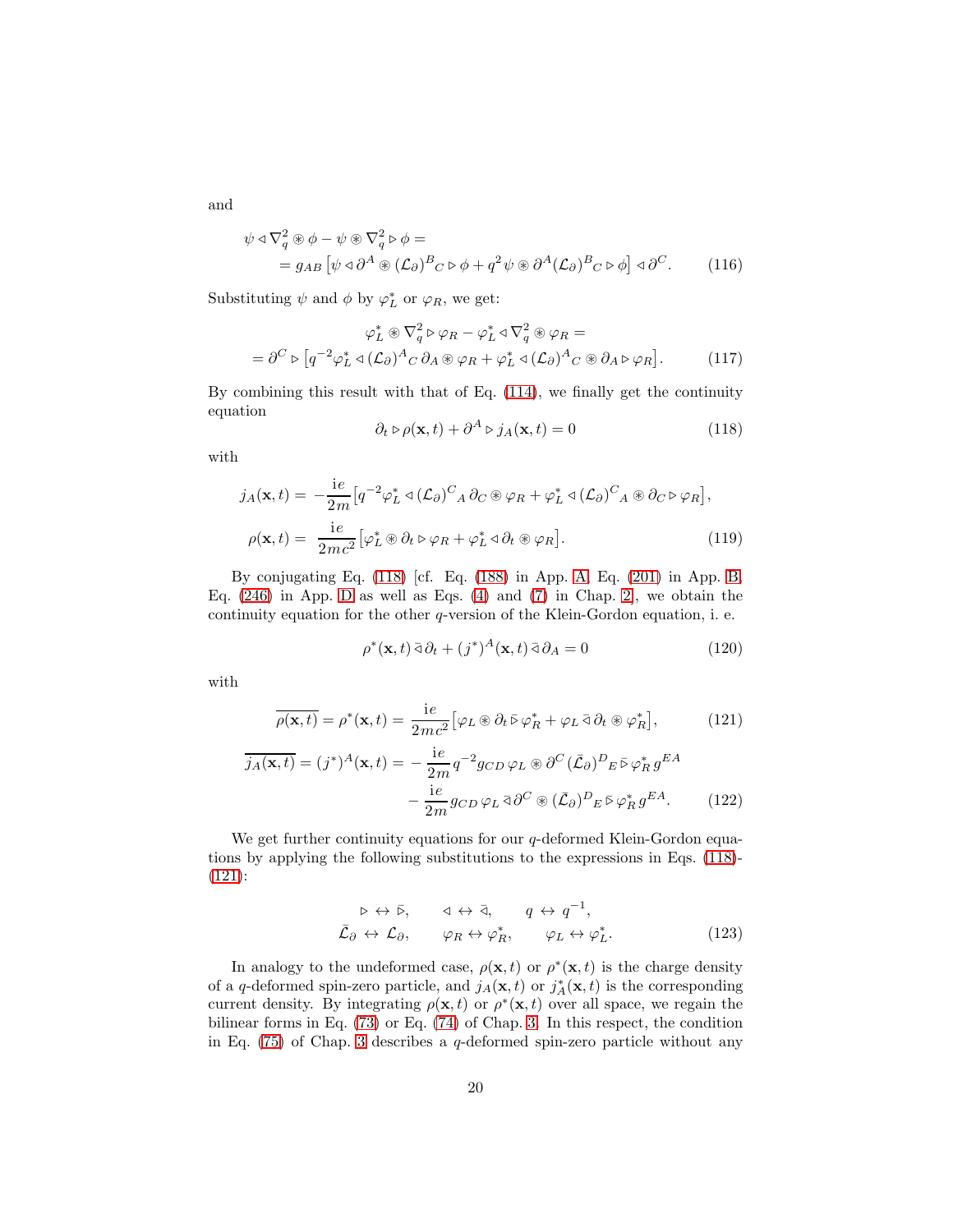and

$$
\psi \triangleleft \nabla_q^2 \circledast \phi - \psi \circledast \nabla_q^2 \triangleright \phi =
$$
  
=  $g_{AB} [\psi \triangleleft \partial^A \circledast (\mathcal{L}_{\partial})^B{}_C \triangleright \phi + q^2 \psi \circledast \partial^A (\mathcal{L}_{\partial})^B{}_C \triangleright \phi] \triangleleft \partial^C.$  (116)

Substituting  $\psi$  and  $\phi$  by  $\varphi_L^*$  or  $\varphi_R$ , we get:

$$
\varphi_L^* \otimes \nabla_q^2 \triangleright \varphi_R - \varphi_L^* \triangleleft \nabla_q^2 \otimes \varphi_R =
$$
  
=  $\partial^C \triangleright [q^{-2} \varphi_L^* \triangleleft (\mathcal{L}_\partial)^A{}_C \partial_A \otimes \varphi_R + \varphi_L^* \triangleleft (\mathcal{L}_\partial)^A{}_C \otimes \partial_A \triangleright \varphi_R].$  (117)

By combining this result with that of Eq. [\(114\)](#page-18-1), we finally get the continuity equation

<span id="page-19-3"></span><span id="page-19-0"></span>
$$
\partial_t \triangleright \rho(\mathbf{x}, t) + \partial^A \triangleright j_A(\mathbf{x}, t) = 0 \tag{118}
$$

with

$$
j_A(\mathbf{x},t) = -\frac{ie}{2m} \left[ q^{-2} \varphi_L^* \triangleleft (\mathcal{L}_\partial)^C{}_A \partial_C \otimes \varphi_R + \varphi_L^* \triangleleft (\mathcal{L}_\partial)^C{}_A \otimes \partial_C \varphi_R \right],
$$
  

$$
\rho(\mathbf{x},t) = \frac{ie}{2mc^2} \left[ \varphi_L^* \otimes \partial_t \varphi_R + \varphi_L^* \triangleleft \partial_t \otimes \varphi_R \right].
$$
 (119)

By conjugating Eq. [\(118\)](#page-19-0) [cf. Eq. [\(188\)](#page-29-3) in App. [A,](#page-27-1) Eq. [\(201\)](#page-31-0) in App. [B,](#page-29-0) Eq.  $(246)$  in App. [D](#page-38-0) as well as Eqs.  $(4)$  and  $(7)$  in Chap. [2\]](#page-1-0), we obtain the continuity equation for the other  $q$ -version of the Klein-Gordon equation, i. e.

<span id="page-19-2"></span><span id="page-19-1"></span>
$$
\rho^*(\mathbf{x}, t) \,\bar{\vartheta}_t + (j^*)^A(\mathbf{x}, t) \,\bar{\vartheta}_A = 0 \tag{120}
$$

with

$$
\overline{\rho(\mathbf{x},t)} = \rho^*(\mathbf{x},t) = \frac{ie}{2mc^2} \left[ \varphi_L \circledast \partial_t \bar{\triangleright} \varphi_R^* + \varphi_L \bar{\triangleleft} \partial_t \circledast \varphi_R^* \right],\tag{121}
$$

$$
\overline{j_A(\mathbf{x},t)} = (j^*)^A(\mathbf{x},t) = -\frac{ie}{2m} q^{-2} g_{CD} \varphi_L \circledast \partial^C (\overline{\mathcal{L}}_{\partial})^D{}_E \circ \varphi_R^* g^{EA}
$$

$$
-\frac{ie}{2m} g_{CD} \varphi_L \circledast \partial^C \circledast (\overline{\mathcal{L}}_{\partial})^D{}_E \circ \varphi_R^* g^{EA}.
$$
(122)

We get further continuity equations for our q-deformed Klein-Gordon equations by applying the following substitutions to the expressions in Eqs. [\(118\)](#page-19-0)- [\(121\)](#page-19-1):

<span id="page-19-4"></span>
$$
\triangleright \leftrightarrow \bar{\triangleright}, \qquad \triangleleft \leftrightarrow \bar{\triangle}, \qquad q \leftrightarrow q^{-1},
$$
  

$$
\bar{\mathcal{L}}_{\partial} \leftrightarrow \mathcal{L}_{\partial}, \qquad \varphi_R \leftrightarrow \varphi_R^*, \qquad \varphi_L \leftrightarrow \varphi_L^*.
$$
 (123)

In analogy to the undeformed case,  $\rho(\mathbf{x},t)$  or  $\rho^*(\mathbf{x},t)$  is the charge density of a q-deformed spin-zero particle, and  $j_A(\mathbf{x}, t)$  or  $j_A^*(\mathbf{x}, t)$  is the corresponding current density. By integrating  $\rho(\mathbf{x},t)$  or  $\rho^*(\mathbf{x},t)$  over all space, we regain the bilinear forms in Eq. [\(73\)](#page-12-1) or Eq. [\(74\)](#page-12-2) of Chap. [3.](#page-5-0) In this respect, the condition in Eq. [\(75\)](#page-12-3) of Chap. [3](#page-5-0) describes a q-deformed spin-zero particle without any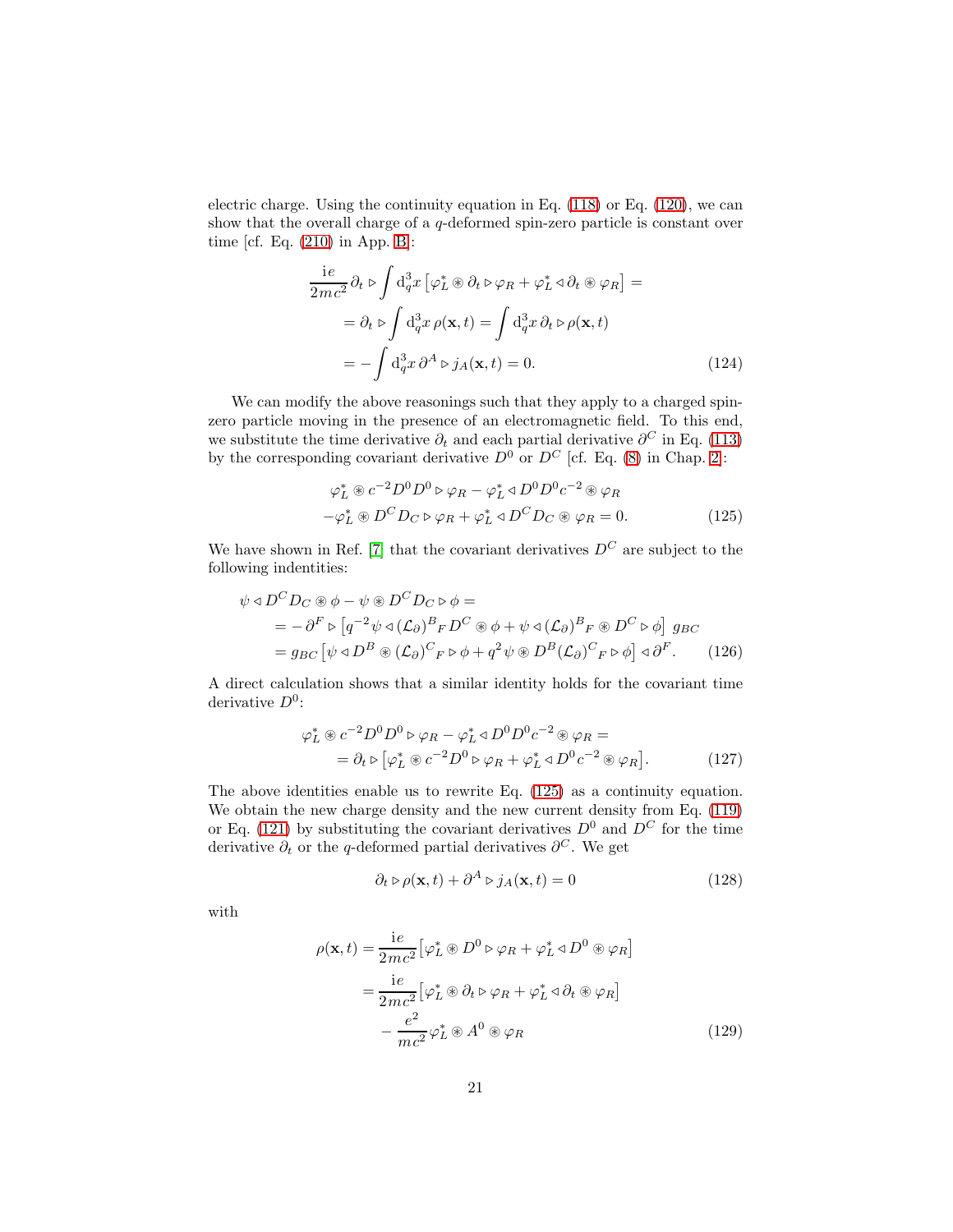electric charge. Using the continuity equation in Eq. [\(118\)](#page-19-0) or Eq. [\(120\)](#page-19-2), we can show that the overall charge of a q-deformed spin-zero particle is constant over time [cf. Eq. [\(210\)](#page-32-1) in App. [B\]](#page-29-0):

$$
\frac{\mathrm{i}e}{2mc^2}\partial_t \triangleright \int \mathrm{d}^3_q x \left[ \varphi_L^* \circledast \partial_t \triangleright \varphi_R + \varphi_L^* \triangleleft \partial_t \circledast \varphi_R \right] =
$$
\n
$$
= \partial_t \triangleright \int \mathrm{d}^3_q x \, \rho(\mathbf{x}, t) = \int \mathrm{d}^3_q x \, \partial_t \triangleright \rho(\mathbf{x}, t)
$$
\n
$$
= -\int \mathrm{d}^3_q x \, \partial^A \triangleright j_A(\mathbf{x}, t) = 0. \tag{124}
$$

We can modify the above reasonings such that they apply to a charged spinzero particle moving in the presence of an electromagnetic field. To this end, we substitute the time derivative  $\partial_t$  and each partial derivative  $\partial^C$  in Eq. [\(113\)](#page-18-0) by the corresponding covariant derivative  $D^0$  or  $D^C$  [cf. Eq. [\(8\)](#page-2-4) in Chap. [2\]](#page-1-0):

<span id="page-20-0"></span>
$$
\varphi_L^* \otimes c^{-2} D^0 D^0 \triangleright \varphi_R - \varphi_L^* \triangleleft D^0 D^0 c^{-2} \otimes \varphi_R - \varphi_L^* \otimes D^C D_C \triangleright \varphi_R + \varphi_L^* \triangleleft D^C D_C \otimes \varphi_R = 0.
$$
 (125)

We have shown in Ref. [\[7\]](#page-41-2) that the covariant derivatives  $D^{C}$  are subject to the following indentities:

$$
\psi \triangleleft D^{C} D_{C} \circledast \phi - \psi \circledast D^{C} D_{C} \circledast \phi =
$$
\n
$$
= -\partial^{F} \triangleright [q^{-2} \psi \triangleleft (\mathcal{L}_{\partial})^{B}{}_{F} D^{C} \circledast \phi + \psi \triangleleft (\mathcal{L}_{\partial})^{B}{}_{F} \circledast D^{C} \triangleright \phi] g_{BC}
$$
\n
$$
= g_{BC} [\psi \triangleleft D^{B} \circledast (\mathcal{L}_{\partial})^{C}{}_{F} \triangleright \phi + q^{2} \psi \circledast D^{B} (\mathcal{L}_{\partial})^{C}{}_{F} \triangleright \phi] \triangleleft \partial^{F}.
$$
\n(126)

A direct calculation shows that a similar identity holds for the covariant time derivative  $D^0$ :

$$
\varphi_L^* \otimes c^{-2} D^0 D^0 \rhd \varphi_R - \varphi_L^* \lhd D^0 D^0 c^{-2} \otimes \varphi_R =
$$
  
=  $\partial_t \rhd [\varphi_L^* \otimes c^{-2} D^0 \rhd \varphi_R + \varphi_L^* \lhd D^0 c^{-2} \otimes \varphi_R].$  (127)

The above identities enable us to rewrite Eq. [\(125\)](#page-20-0) as a continuity equation. We obtain the new charge density and the new current density from Eq. [\(119\)](#page-19-3) or Eq. [\(121\)](#page-19-1) by substituting the covariant derivatives  $D^0$  and  $D^C$  for the time derivative  $\partial_t$  or the q-deformed partial derivatives  $\partial^C$ . We get

$$
\partial_t \triangleright \rho(\mathbf{x}, t) + \partial^A \triangleright j_A(\mathbf{x}, t) = 0 \tag{128}
$$

with

$$
\rho(\mathbf{x},t) = \frac{ie}{2mc^2} \left[ \varphi_L^* \circledast D^0 \circ \varphi_R + \varphi_L^* \circ D^0 \circledast \varphi_R \right]
$$
  
= 
$$
\frac{ie}{2mc^2} \left[ \varphi_L^* \circledast \partial_t \circ \varphi_R + \varphi_L^* \circ \partial_t \circledast \varphi_R \right]
$$
  

$$
- \frac{e^2}{mc^2} \varphi_L^* \circledast A^0 \circledast \varphi_R
$$
 (129)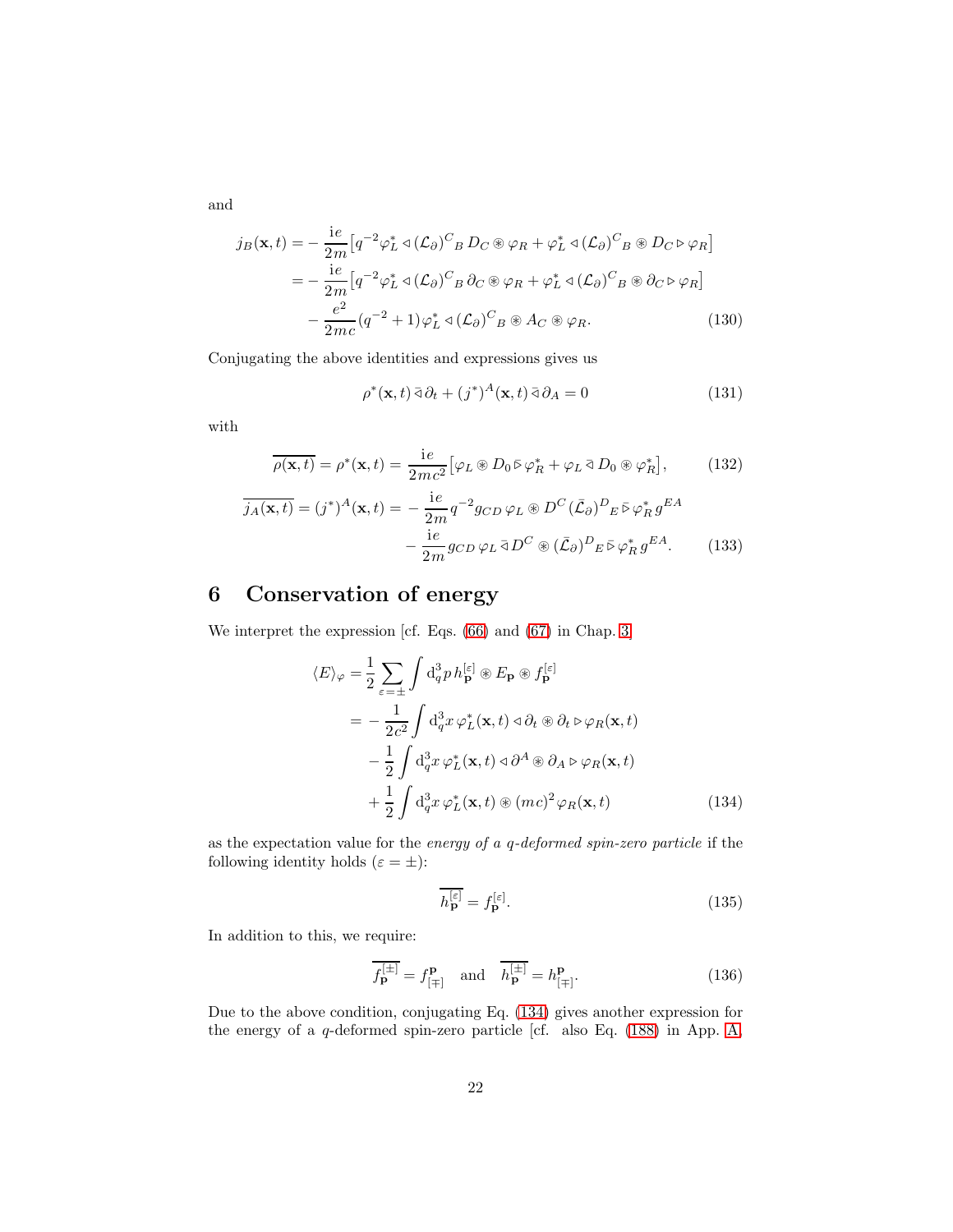and

$$
j_B(\mathbf{x},t) = -\frac{ie}{2m} \left[ q^{-2} \varphi_L^* \triangleleft (\mathcal{L}_\partial)^C{}_B D_C \otimes \varphi_R + \varphi_L^* \triangleleft (\mathcal{L}_\partial)^C{}_B \otimes D_C \triangleright \varphi_R \right] \right]
$$
  

$$
= -\frac{ie}{2m} \left[ q^{-2} \varphi_L^* \triangleleft (\mathcal{L}_\partial)^C{}_B \partial_C \otimes \varphi_R + \varphi_L^* \triangleleft (\mathcal{L}_\partial)^C{}_B \otimes \partial_C \triangleright \varphi_R \right] \right]
$$
  

$$
- \frac{e^2}{2mc} (q^{-2} + 1) \varphi_L^* \triangleleft (\mathcal{L}_\partial)^C{}_B \otimes A_C \otimes \varphi_R.
$$
 (130)

Conjugating the above identities and expressions gives us

$$
\rho^*(\mathbf{x},t) \,\bar{\vartheta}_t + (j^*)^A(\mathbf{x},t) \,\bar{\vartheta}_A = 0 \tag{131}
$$

with

$$
\overline{\rho(\mathbf{x},t)} = \rho^*(\mathbf{x},t) = \frac{ie}{2mc^2} \left[ \varphi_L \circledast D_0 \bar{\triangleright} \varphi_R^* + \varphi_L \bar{\triangleleft} D_0 \circledast \varphi_R^* \right],\tag{132}
$$

$$
\overline{j_A(\mathbf{x},t)} = (j^*)^A(\mathbf{x},t) = -\frac{ie}{2m}q^{-2}g_{CD}\varphi_L \circledast D^C(\overline{\mathcal{L}}_{\partial})^D{}_E \bar{\triangleright} \varphi_R^* g^{EA}
$$

$$
-\frac{ie}{2m}g_{CD}\varphi_L \bar{\triangleleft} D^C \circledast (\overline{\mathcal{L}}_{\partial})^D{}_E \bar{\triangleright} \varphi_R^* g^{EA}.
$$
(133)

# <span id="page-21-3"></span>6 Conservation of energy

We interpret the expression [cf. Eqs. [\(66\)](#page-11-0) and [\(67\)](#page-11-1) in Chap. [3\]](#page-5-0)

$$
\langle E \rangle_{\varphi} = \frac{1}{2} \sum_{\varepsilon = \pm} \int d_q^3 p \, h_{\mathbf{p}}^{[\varepsilon]} \circledast E_{\mathbf{p}} \circledast f_{\mathbf{p}}^{[\varepsilon]}
$$
  
= 
$$
- \frac{1}{2c^2} \int d_q^3 x \, \varphi_L^*(\mathbf{x}, t) \, \varphi_t \circledast \partial_t \varphi_R(\mathbf{x}, t)
$$
  

$$
- \frac{1}{2} \int d_q^3 x \, \varphi_L^*(\mathbf{x}, t) \, \varphi_t \circledast \partial_A \varphi_R(\mathbf{x}, t)
$$
  

$$
+ \frac{1}{2} \int d_q^3 x \, \varphi_L^*(\mathbf{x}, t) \circledast (mc)^2 \varphi_R(\mathbf{x}, t) \tag{134}
$$

as the expectation value for the energy of a q-deformed spin-zero particle if the following identity holds  $(\varepsilon = \pm)$ :

<span id="page-21-1"></span><span id="page-21-0"></span>
$$
\overline{h_{\mathbf{p}}^{[\varepsilon]}} = f_{\mathbf{p}}^{[\varepsilon]}.
$$
\n(135)

In addition to this, we require:

<span id="page-21-2"></span>
$$
\overline{f_{\mathbf{p}}^{[\pm]}} = f_{[\mp]}^{\mathbf{p}} \quad \text{and} \quad \overline{h_{\mathbf{p}}^{[\pm]}} = h_{[\mp]}^{\mathbf{p}}.
$$
 (136)

Due to the above condition, conjugating Eq. [\(134\)](#page-21-0) gives another expression for the energy of a  $q$ -deformed spin-zero particle [cf. also Eq. [\(188\)](#page-29-3) in App. [A,](#page-27-1)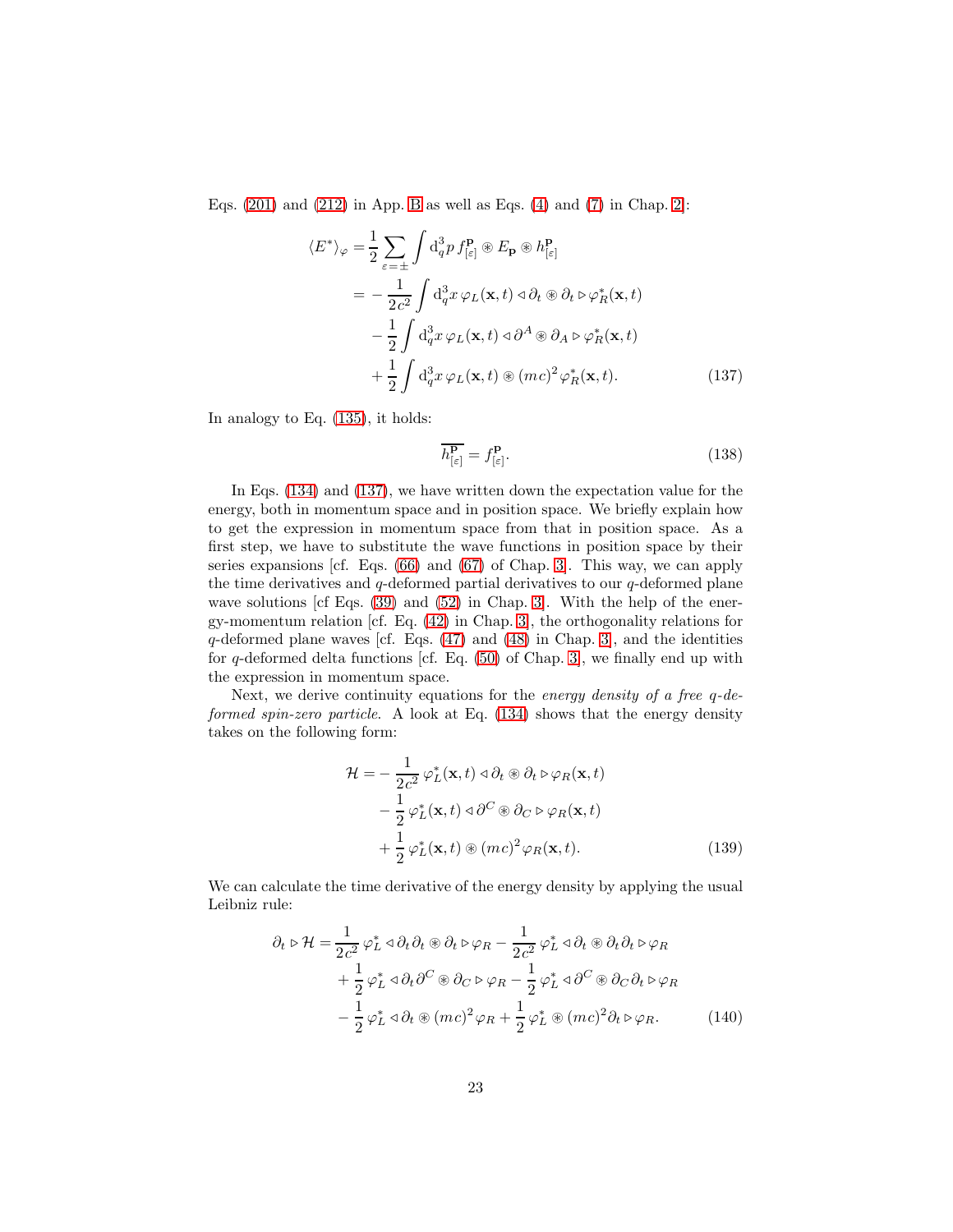Eqs.  $(201)$  and  $(212)$  in App. [B](#page-29-0) as well as Eqs.  $(4)$  and  $(7)$  in Chap. [2\]](#page-1-0):

$$
\langle E^* \rangle_{\varphi} = \frac{1}{2} \sum_{\varepsilon = \pm} \int d_q^3 p \, f_{[\varepsilon]}^{\mathbf{p}} \circledast E_{\mathbf{p}} \circledast h_{[\varepsilon]}^{\mathbf{p}} \n= -\frac{1}{2c^2} \int d_q^3 x \, \varphi_L(\mathbf{x}, t) \, \varphi \, \partial_t \circledast \partial_t \varphi \, \varphi_R^*(\mathbf{x}, t) \n- \frac{1}{2} \int d_q^3 x \, \varphi_L(\mathbf{x}, t) \, \varphi \, \partial_A \otimes \partial_A \varphi \, \varphi_R^*(\mathbf{x}, t) \n+ \frac{1}{2} \int d_q^3 x \, \varphi_L(\mathbf{x}, t) \circledast (mc)^2 \, \varphi_R^*(\mathbf{x}, t). \tag{137}
$$

In analogy to Eq. [\(135\)](#page-21-1), it holds:

<span id="page-22-0"></span>
$$
\overline{h_{\left[\varepsilon\right]}^{\mathbf{p}}} = f_{\left[\varepsilon\right]}^{\mathbf{p}}.\tag{138}
$$

In Eqs.  $(134)$  and  $(137)$ , we have written down the expectation value for the energy, both in momentum space and in position space. We briefly explain how to get the expression in momentum space from that in position space. As a first step, we have to substitute the wave functions in position space by their series expansions [cf. Eqs. [\(66\)](#page-11-0) and [\(67\)](#page-11-1) of Chap. [3\]](#page-5-0). This way, we can apply the time derivatives and  $q$ -deformed partial derivatives to our  $q$ -deformed plane wave solutions [cf Eqs.  $(39)$  and  $(52)$  in Chap. [3\]](#page-5-0). With the help of the energy-momentum relation [cf. Eq. [\(42\)](#page-6-1) in Chap. [3\]](#page-5-0), the orthogonality relations for  $q$ -deformed plane waves [cf. Eqs.  $(47)$  and  $(48)$  in Chap. [3\]](#page-5-0), and the identities for  $q$ -deformed delta functions [cf. Eq.  $(50)$  of Chap. [3\]](#page-5-0), we finally end up with the expression in momentum space.

Next, we derive continuity equations for the energy density of a free q-deformed spin-zero particle. A look at Eq. [\(134\)](#page-21-0) shows that the energy density takes on the following form:

<span id="page-22-1"></span>
$$
\mathcal{H} = -\frac{1}{2c^2} \varphi_L^*(\mathbf{x}, t) \triangleleft \partial_t \circledast \partial_t \triangleright \varphi_R(\mathbf{x}, t) \n- \frac{1}{2} \varphi_L^*(\mathbf{x}, t) \triangleleft \partial^C \circledast \partial_C \triangleright \varphi_R(\mathbf{x}, t) \n+ \frac{1}{2} \varphi_L^*(\mathbf{x}, t) \circledast (mc)^2 \varphi_R(\mathbf{x}, t).
$$
\n(139)

We can calculate the time derivative of the energy density by applying the usual Leibniz rule:

$$
\partial_t \triangleright \mathcal{H} = \frac{1}{2c^2} \varphi_L^* \triangleleft \partial_t \partial_t \otimes \partial_t \triangleright \varphi_R - \frac{1}{2c^2} \varphi_L^* \triangleleft \partial_t \otimes \partial_t \partial_t \triangleright \varphi_R \n+ \frac{1}{2} \varphi_L^* \triangleleft \partial_t \partial^C \otimes \partial_C \triangleright \varphi_R - \frac{1}{2} \varphi_L^* \triangleleft \partial^C \otimes \partial_C \partial_t \triangleright \varphi_R \n- \frac{1}{2} \varphi_L^* \triangleleft \partial_t \otimes (mc)^2 \varphi_R + \frac{1}{2} \varphi_L^* \otimes (mc)^2 \partial_t \triangleright \varphi_R.
$$
\n(140)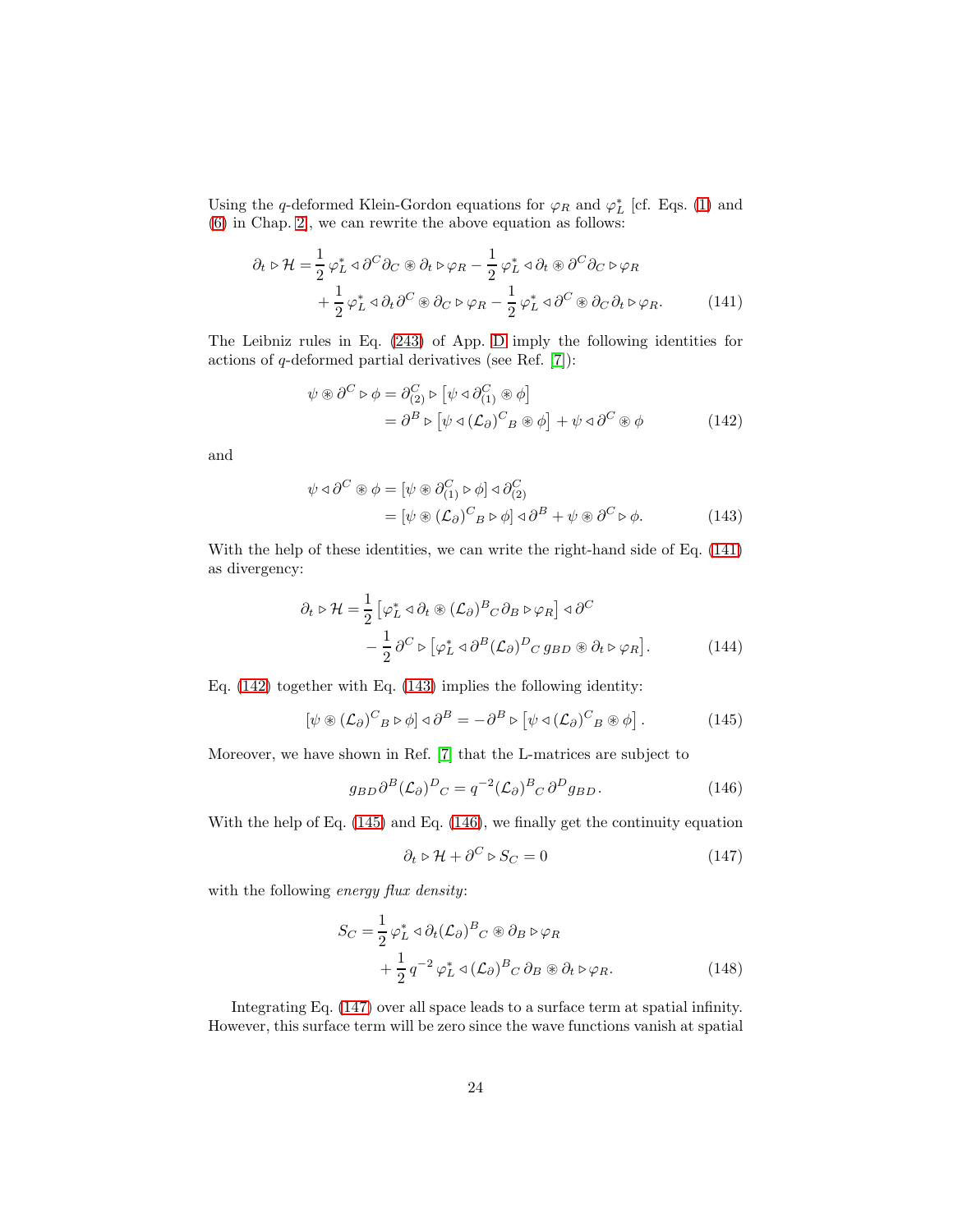Using the q-deformed Klein-Gordon equations for  $\varphi_R$  and  $\varphi_L^*$  [cf. Eqs. [\(1\)](#page-1-1) and [\(6\)](#page-2-2) in Chap. [2\]](#page-1-0), we can rewrite the above equation as follows:

$$
\partial_t \triangleright \mathcal{H} = \frac{1}{2} \varphi_L^* \triangleleft \partial^C \partial_C \circledast \partial_t \triangleright \varphi_R - \frac{1}{2} \varphi_L^* \triangleleft \partial_t \circledast \partial^C \partial_C \triangleright \varphi_R + \frac{1}{2} \varphi_L^* \triangleleft \partial_t \partial^C \circledast \partial_C \triangleright \varphi_R - \frac{1}{2} \varphi_L^* \triangleleft \partial^C \circledast \partial_C \partial_t \triangleright \varphi_R.
$$
 (141)

The Leibniz rules in Eq. [\(243\)](#page-39-2) of App. [D](#page-38-0) imply the following identities for actions of q-deformed partial derivatives (see Ref. [\[7\]](#page-41-2)):

<span id="page-23-1"></span><span id="page-23-0"></span>
$$
\psi \circledast \partial^C \triangleright \phi = \partial_{(2)}^C \triangleright [\psi \triangleleft \partial_{(1)}^C \circledast \phi] \n= \partial^B \triangleright [\psi \triangleleft (\mathcal{L}_{\partial})^C{}_B \circledast \phi] + \psi \triangleleft \partial^C \circledast \phi \n\tag{142}
$$

and

<span id="page-23-2"></span>
$$
\psi \triangleleft \partial^C \circledast \phi = [\psi \circledast \partial^C_{(1)} \triangleright \phi] \triangleleft \partial^C_{(2)} \n= [\psi \circledast (\mathcal{L}_{\partial})^C{}_B \triangleright \phi] \triangleleft \partial^B + \psi \circledast \partial^C \triangleright \phi.
$$
\n(143)

With the help of these identities, we can write the right-hand side of Eq. [\(141\)](#page-23-0) as divergency:

$$
\partial_t \triangleright \mathcal{H} = \frac{1}{2} \left[ \varphi_L^* \triangleleft \partial_t \circledast (\mathcal{L}_\partial)^B{}_C \partial_B \triangleright \varphi_R \right] \triangleleft \partial^C \right. \\
\left. - \frac{1}{2} \partial^C \triangleright [\varphi_L^* \triangleleft \partial^B (\mathcal{L}_\partial)^D{}_C g_{BD} \circledast \partial_t \triangleright \varphi_R \right].\n\tag{144}
$$

Eq. [\(142\)](#page-23-1) together with Eq. [\(143\)](#page-23-2) implies the following identity:

<span id="page-23-3"></span>
$$
[\psi \circledast (\mathcal{L}_{\partial})^C{}_B \circ \phi] \triangleleft \partial^B = -\partial^B \circ [\psi \triangleleft (\mathcal{L}_{\partial})^C{}_B \circledast \phi]. \tag{145}
$$

Moreover, we have shown in Ref. [\[7\]](#page-41-2) that the L-matrices are subject to

<span id="page-23-4"></span>
$$
g_{BD}\partial^B(\mathcal{L}_\partial)^D{}_C = q^{-2}(\mathcal{L}_\partial)^B{}_C\,\partial^D g_{BD}.\tag{146}
$$

With the help of Eq. [\(145\)](#page-23-3) and Eq. [\(146\)](#page-23-4), we finally get the continuity equation

<span id="page-23-6"></span><span id="page-23-5"></span>
$$
\partial_t \triangleright \mathcal{H} + \partial^C \triangleright S_C = 0 \tag{147}
$$

with the following energy flux density:

$$
S_C = \frac{1}{2} \varphi_L^* \triangleleft \partial_t (\mathcal{L}_{\partial})^B C \circledast \partial_B \triangleright \varphi_R
$$
  
+ 
$$
\frac{1}{2} q^{-2} \varphi_L^* \triangleleft (\mathcal{L}_{\partial})^B C \partial_B \circledast \partial_t \triangleright \varphi_R.
$$
 (148)

Integrating Eq. [\(147\)](#page-23-5) over all space leads to a surface term at spatial infinity. However, this surface term will be zero since the wave functions vanish at spatial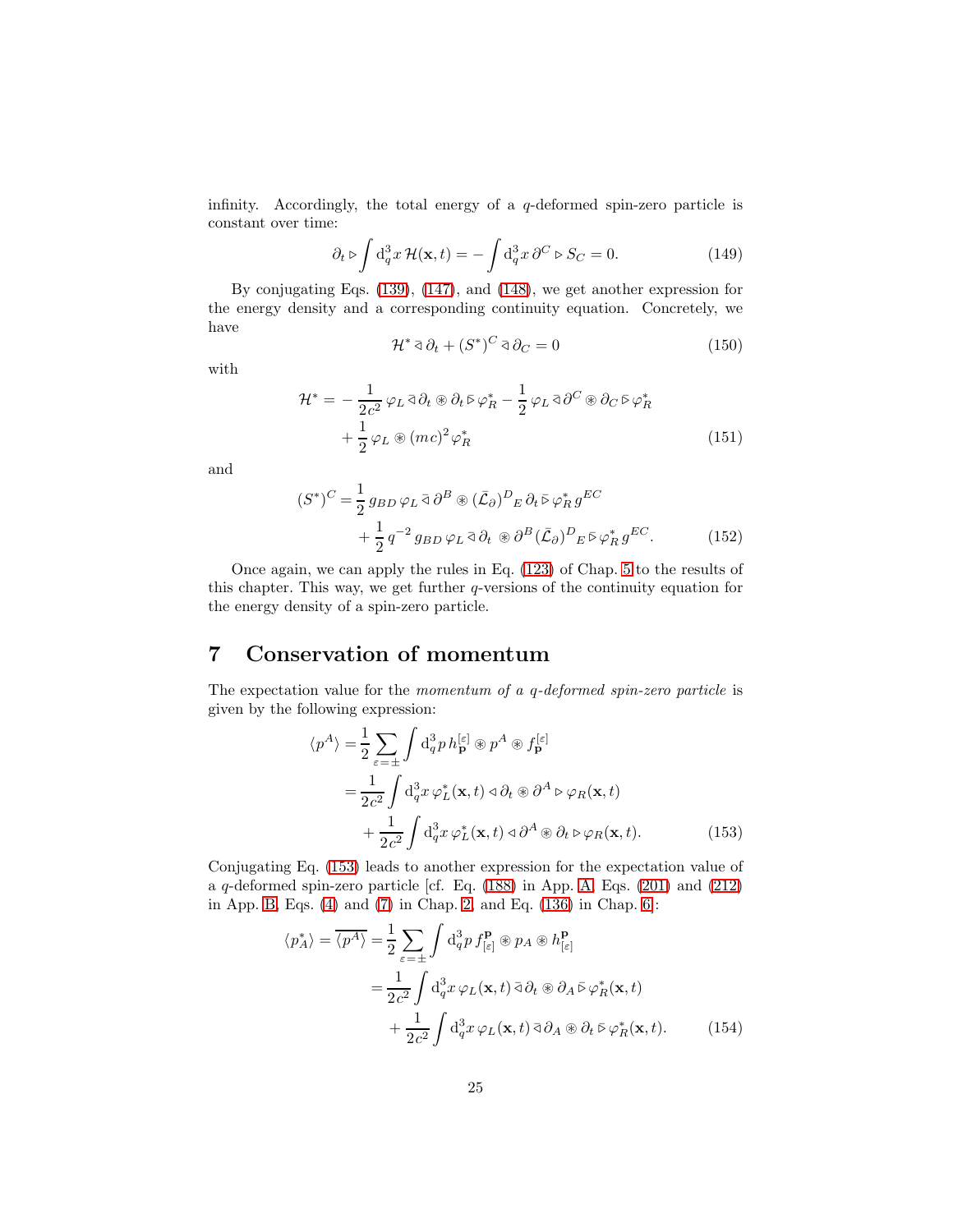infinity. Accordingly, the total energy of a q-deformed spin-zero particle is constant over time:

$$
\partial_t \triangleright \int \mathrm{d}_q^3 x \, \mathcal{H}(\mathbf{x}, t) = -\int \mathrm{d}_q^3 x \, \partial^C \triangleright S_C = 0. \tag{149}
$$

By conjugating Eqs. [\(139\)](#page-22-1), [\(147\)](#page-23-5), and [\(148\)](#page-23-6), we get another expression for the energy density and a corresponding continuity equation. Concretely, we have

$$
\mathcal{H}^* \mathop{\triangleleft} \partial_t + (S^*)^C \mathop{\triangleleft} \partial_C = 0 \tag{150}
$$

with

$$
\mathcal{H}^* = -\frac{1}{2c^2} \varphi_L \bar{\varphi} \partial_t \circledast \partial_t \bar{\varphi} \varphi_R^* - \frac{1}{2} \varphi_L \bar{\varphi} \partial^C \circledast \partial_C \bar{\varphi} \varphi_R^* + \frac{1}{2} \varphi_L \circledast (mc)^2 \varphi_R^* \tag{151}
$$

and

$$
(S^*)^C = \frac{1}{2} g_{BD} \varphi_L \bar{d} \partial^B \circledast (\bar{\mathcal{L}}_{\partial})^D{}_E \partial_t \bar{\varphi}_R^* g^{EC} + \frac{1}{2} q^{-2} g_{BD} \varphi_L \bar{d} \partial_t \circledast \partial^B (\bar{\mathcal{L}}_{\partial})^D{}_E \bar{\varphi}_R^* g^{EC}.
$$
(152)

Once again, we can apply the rules in Eq. [\(123\)](#page-19-4) of Chap. [5](#page-18-2) to the results of this chapter. This way, we get further q-versions of the continuity equation for the energy density of a spin-zero particle.

### 7 Conservation of momentum

The expectation value for the momentum of a q-deformed spin-zero particle is given by the following expression:

<span id="page-24-0"></span>
$$
\langle p^A \rangle = \frac{1}{2} \sum_{\varepsilon = \pm} \int d_q^3 p \, h_{\mathbf{p}}^{[\varepsilon]} \circledast p^A \circledast f_{\mathbf{p}}^{[\varepsilon]}
$$
  
= 
$$
\frac{1}{2c^2} \int d_q^3 x \, \varphi_L^*(\mathbf{x}, t) \triangleleft \partial_t \circledast \partial^A \triangleright \varphi_R(\mathbf{x}, t)
$$
  
+ 
$$
\frac{1}{2c^2} \int d_q^3 x \, \varphi_L^*(\mathbf{x}, t) \triangleleft \partial^A \circledast \partial_t \triangleright \varphi_R(\mathbf{x}, t).
$$
 (153)

Conjugating Eq. [\(153\)](#page-24-0) leads to another expression for the expectation value of a q-deformed spin-zero particle [cf. Eq. [\(188\)](#page-29-3) in App. [A,](#page-27-1) Eqs. [\(201\)](#page-31-0) and [\(212\)](#page-33-2) in App. [B,](#page-29-0) Eqs. [\(4\)](#page-1-3) and [\(7\)](#page-2-3) in Chap. [2,](#page-1-0) and Eq. [\(136\)](#page-21-2) in Chap. [6\]](#page-21-3):

<span id="page-24-1"></span>
$$
\langle p_A^* \rangle = \overline{\langle p^A \rangle} = \frac{1}{2} \sum_{\varepsilon = \pm} \int d_q^3 p f_{[\varepsilon]}^{\mathbf{p}} \otimes p_A \otimes h_{[\varepsilon]}^{\mathbf{p}} \n= \frac{1}{2c^2} \int d_q^3 x \, \varphi_L(\mathbf{x}, t) \, \bar{\partial} \partial_t \otimes \partial_A \bar{\triangleright} \varphi_R^*(\mathbf{x}, t) \n+ \frac{1}{2c^2} \int d_q^3 x \, \varphi_L(\mathbf{x}, t) \, \bar{\partial} \partial_A \otimes \partial_t \bar{\triangleright} \varphi_R^*(\mathbf{x}, t). \tag{154}
$$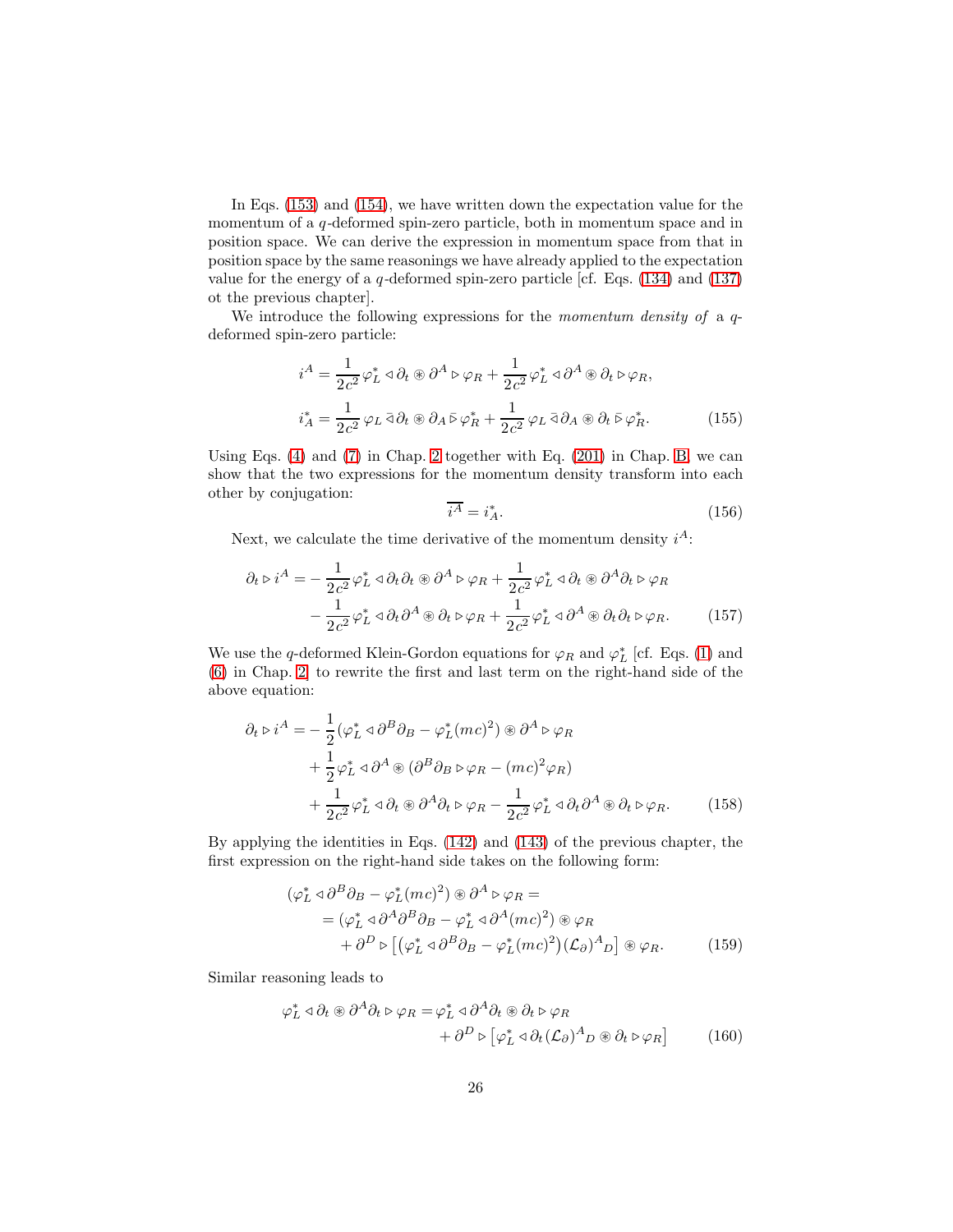In Eqs. [\(153\)](#page-24-0) and [\(154\)](#page-24-1), we have written down the expectation value for the momentum of a q-deformed spin-zero particle, both in momentum space and in position space. We can derive the expression in momentum space from that in position space by the same reasonings we have already applied to the expectation value for the energy of a  $q$ -deformed spin-zero particle [cf. Eqs. [\(134\)](#page-21-0) and [\(137\)](#page-22-0) ot the previous chapter].

We introduce the following expressions for the *momentum density of* a  $q$ deformed spin-zero particle:

$$
i^A = \frac{1}{2c^2} \varphi_L^* \triangleleft \partial_t \circledast \partial^A \triangleright \varphi_R + \frac{1}{2c^2} \varphi_L^* \triangleleft \partial^A \circledast \partial_t \triangleright \varphi_R,
$$
  

$$
i_A^* = \frac{1}{2c^2} \varphi_L \bar{\triangleleft} \partial_t \circledast \partial_A \bar{\triangleright} \varphi_R^* + \frac{1}{2c^2} \varphi_L \bar{\triangleleft} \partial_A \circledast \partial_t \bar{\triangleright} \varphi_R^*.
$$
 (155)

Using Eqs. [\(4\)](#page-1-3) and [\(7\)](#page-2-3) in Chap. [2](#page-1-0) together with Eq. [\(201\)](#page-31-0) in Chap. [B,](#page-29-0) we can show that the two expressions for the momentum density transform into each other by conjugation:

<span id="page-25-0"></span>
$$
\overline{i^A} = i_A^*.
$$
\n<sup>(156)</sup>

Next, we calculate the time derivative of the momentum density  $i^A$ :

$$
\partial_t \triangleright i^A = -\frac{1}{2c^2} \varphi_L^* \triangleleft \partial_t \partial_t \circledast \partial^A \triangleright \varphi_R + \frac{1}{2c^2} \varphi_L^* \triangleleft \partial_t \circledast \partial^A \partial_t \triangleright \varphi_R \n- \frac{1}{2c^2} \varphi_L^* \triangleleft \partial_t \partial^A \circledast \partial_t \triangleright \varphi_R + \frac{1}{2c^2} \varphi_L^* \triangleleft \partial^A \circledast \partial_t \partial_t \triangleright \varphi_R.
$$
\n(157)

We use the q-deformed Klein-Gordon equations for  $\varphi_R$  and  $\varphi_L^*$  [cf. Eqs. [\(1\)](#page-1-1) and [\(6\)](#page-2-2) in Chap. [2\]](#page-1-0) to rewrite the first and last term on the right-hand side of the above equation:

$$
\partial_t \triangleright i^A = -\frac{1}{2} (\varphi_L^* \triangleleft \partial^B \partial_B - \varphi_L^* (mc)^2) \circledast \partial^A \triangleright \varphi_R \n+ \frac{1}{2} \varphi_L^* \triangleleft \partial^A \circledast (\partial^B \partial_B \triangleright \varphi_R - (mc)^2 \varphi_R) \n+ \frac{1}{2c^2} \varphi_L^* \triangleleft \partial_t \circledast \partial^A \partial_t \triangleright \varphi_R - \frac{1}{2c^2} \varphi_L^* \triangleleft \partial_t \partial^A \circledast \partial_t \triangleright \varphi_R.
$$
\n(158)

By applying the identities in Eqs. [\(142\)](#page-23-1) and [\(143\)](#page-23-2) of the previous chapter, the first expression on the right-hand side takes on the following form:

$$
(\varphi_L^* \triangleleft \partial^B \partial_B - \varphi_L^* (mc)^2) \circledast \partial^A \triangleright \varphi_R =
$$
  
=\n
$$
(\varphi_L^* \triangleleft \partial^A \partial^B \partial_B - \varphi_L^* \triangleleft \partial^A (mc)^2) \circledast \varphi_R
$$
  
+ \partial^D \triangleright [(\varphi\_L^\* \triangleleft \partial^B \partial\_B - \varphi\_L^\* (mc)^2)(\mathcal{L}\_{\partial})^A\_D] \circledast \varphi\_R.\n(159)

Similar reasoning leads to

$$
\varphi_L^* \lhd \partial_t \circledast \partial^A \partial_t \rhd \varphi_R = \varphi_L^* \lhd \partial^A \partial_t \circledast \partial_t \rhd \varphi_R + \partial^D \rhd \left[ \varphi_L^* \lhd \partial_t (\mathcal{L}_{\partial})^A{}_D \circledast \partial_t \rhd \varphi_R \right]
$$
(160)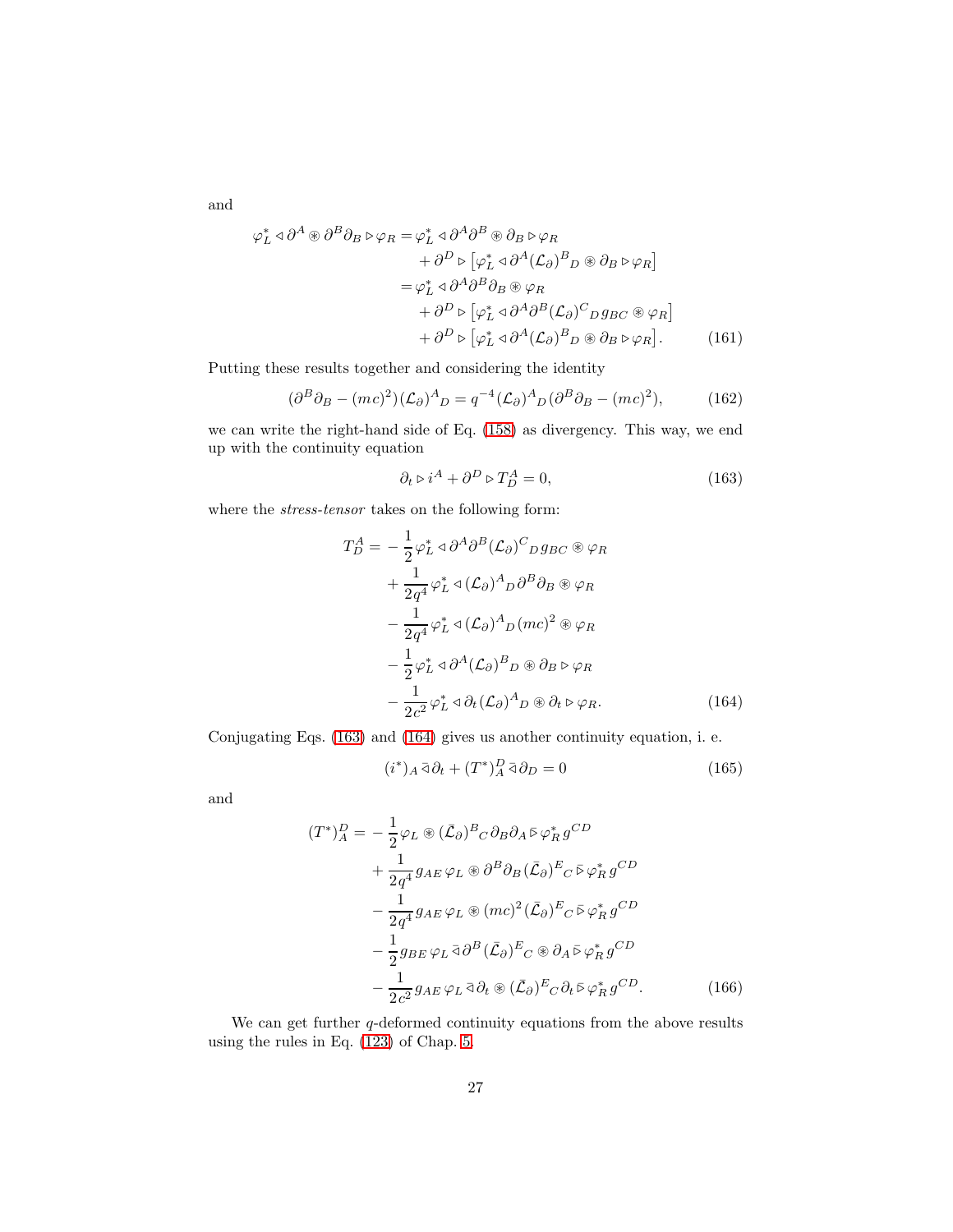and

$$
\varphi_L^* \triangleleft \partial^A \circledast \partial^B \partial_B \triangleright \varphi_R = \varphi_L^* \triangleleft \partial^A \partial^B \circledast \partial_B \triangleright \varphi_R \n+ \partial^D \triangleright [\varphi_L^* \triangleleft \partial^A (\mathcal{L}_{\partial})^B{}_D \circledast \partial_B \triangleright \varphi_R] \n= \varphi_L^* \triangleleft \partial^A \partial^B \partial_B \circledast \varphi_R \n+ \partial^D \triangleright [\varphi_L^* \triangleleft \partial^A \partial^B (\mathcal{L}_{\partial})^C{}_D g_{BC} \circledast \varphi_R] \n+ \partial^D \triangleright [\varphi_L^* \triangleleft \partial^A (\mathcal{L}_{\partial})^B{}_D \circledast \partial_B \triangleright \varphi_R].
$$
\n(161)

Putting these results together and considering the identity

$$
(\partial^B \partial_B - (mc)^2)(\mathcal{L}_\partial)^A{}_D = q^{-4}(\mathcal{L}_\partial)^A{}_D(\partial^B \partial_B - (mc)^2),\tag{162}
$$

we can write the right-hand side of Eq. [\(158\)](#page-25-0) as divergency. This way, we end up with the continuity equation

<span id="page-26-0"></span>
$$
\partial_t \triangleright i^A + \partial^D \triangleright T_D^A = 0,\tag{163}
$$

where the *stress-tensor* takes on the following form:

$$
T_D^A = -\frac{1}{2} \varphi_L^* \triangleleft \partial^A \partial^B (\mathcal{L}_{\partial})^C D g_{BC} \circledast \varphi_R + \frac{1}{2q^4} \varphi_L^* \triangleleft (\mathcal{L}_{\partial})^A D \partial^B \partial_B \circledast \varphi_R - \frac{1}{2q^4} \varphi_L^* \triangleleft (\mathcal{L}_{\partial})^A D (mc)^2 \circledast \varphi_R - \frac{1}{2} \varphi_L^* \triangleleft \partial^A (\mathcal{L}_{\partial})^B D \circledast \partial_B \triangleright \varphi_R - \frac{1}{2c^2} \varphi_L^* \triangleleft \partial_t (\mathcal{L}_{\partial})^A D \circledast \partial_t \triangleright \varphi_R.
$$
 (164)

Conjugating Eqs. [\(163\)](#page-26-0) and [\(164\)](#page-26-1) gives us another continuity equation, i. e.

<span id="page-26-1"></span>
$$
(i^*)_A \bar{\triangleleft} \partial_t + (T^*)^D_A \bar{\triangleleft} \partial_D = 0 \tag{165}
$$

and

$$
(T^*)^D_A = -\frac{1}{2}\varphi_L \circledast (\bar{\mathcal{L}}_{\partial})^B{}_C \partial_B \partial_A \bar{\triangleright} \varphi_R^* g^{CD}
$$
  
+ 
$$
\frac{1}{2q^4} g_{AE} \varphi_L \circledast \partial^B \partial_B (\bar{\mathcal{L}}_{\partial})^E{}_C \bar{\triangleright} \varphi_R^* g^{CD}
$$
  
- 
$$
\frac{1}{2q^4} g_{AE} \varphi_L \circledast (mc)^2 (\bar{\mathcal{L}}_{\partial})^E{}_C \bar{\triangleright} \varphi_R^* g^{CD}
$$
  
- 
$$
\frac{1}{2} g_{BE} \varphi_L \bar{\triangleleft} \partial^B (\bar{\mathcal{L}}_{\partial})^E{}_C \circledast \partial_A \bar{\triangleright} \varphi_R^* g^{CD}
$$
  
- 
$$
\frac{1}{2c^2} g_{AE} \varphi_L \bar{\triangleleft} \partial_t \circledast (\bar{\mathcal{L}}_{\partial})^E{}_C \partial_t \bar{\triangleright} \varphi_R^* g^{CD}.
$$
(166)

We can get further  $q$ -deformed continuity equations from the above results using the rules in Eq. [\(123\)](#page-19-4) of Chap. [5.](#page-18-2)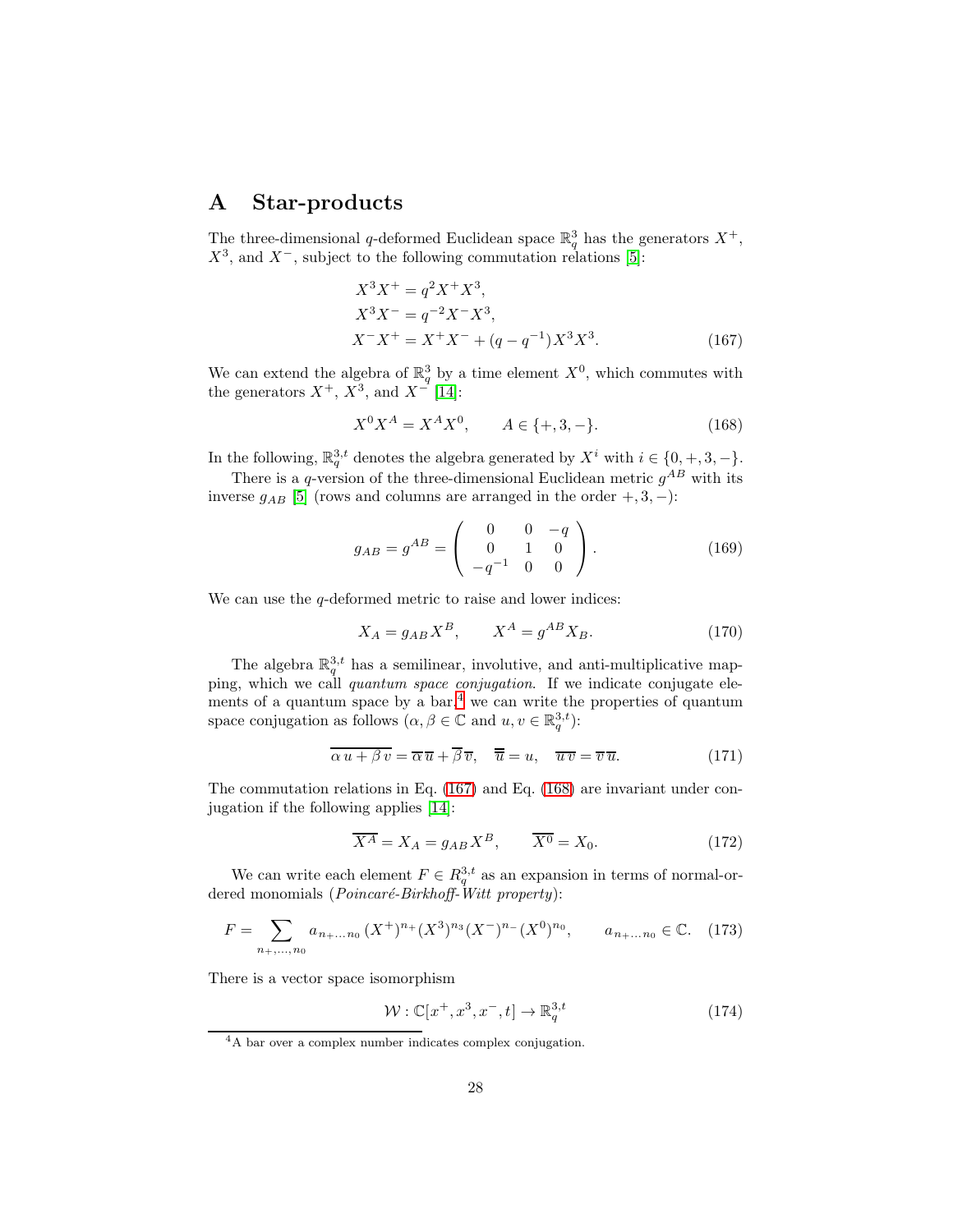### <span id="page-27-1"></span>A Star-products

The three-dimensional q-deformed Euclidean space  $\mathbb{R}^3_q$  has the generators  $X^+$ ,  $X^3$ , and  $X^-$ , subject to the following commutation relations [\[5\]](#page-41-0):

<span id="page-27-3"></span>
$$
X^{3}X^{+} = q^{2}X^{+}X^{3},
$$
  
\n
$$
X^{3}X^{-} = q^{-2}X^{-}X^{3},
$$
  
\n
$$
X^{-}X^{+} = X^{+}X^{-} + (q - q^{-1})X^{3}X^{3}.
$$
\n(167)

We can extend the algebra of  $\mathbb{R}^3_q$  by a time element  $X^0$ , which commutes with the generators  $X^+$ ,  $X^3$ , and  $X^-$  [\[14\]](#page-41-6):

<span id="page-27-4"></span>
$$
X^{0}X^{A} = X^{A}X^{0}, \qquad A \in \{+, 3, -\}.
$$
 (168)

In the following,  $\mathbb{R}^{3,t}_q$  denotes the algebra generated by  $X^i$  with  $i \in \{0, +, 3, -\}.$ 

There is a q-version of the three-dimensional Euclidean metric  $g^{AB}$  with its inverse  $g_{AB}$  [\[5\]](#page-41-0) (rows and columns are arranged in the order +, 3, -):

<span id="page-27-0"></span>
$$
g_{AB} = g^{AB} = \begin{pmatrix} 0 & 0 & -q \\ 0 & 1 & 0 \\ -q^{-1} & 0 & 0 \end{pmatrix}.
$$
 (169)

We can use the  $q$ -deformed metric to raise and lower indices:

<span id="page-27-6"></span>
$$
X_A = g_{AB} X^B, \qquad X^A = g^{AB} X_B. \tag{170}
$$

The algebra  $\mathbb{R}^{3,t}_q$  has a semilinear, involutive, and anti-multiplicative mapping, which we call quantum space conjugation. If we indicate conjugate elements of a quantum space by a  $bar,$ <sup>[4](#page-27-2)</sup> we can write the properties of quantum space conjugation as follows  $(\alpha, \beta \in \mathbb{C} \text{ and } u, v \in \mathbb{R}_q^{3,t})$ :

$$
\overline{\alpha u + \beta v} = \overline{\alpha} \overline{u} + \overline{\beta} \overline{v}, \quad \overline{\overline{u}} = u, \quad \overline{u v} = \overline{v} \overline{u}.
$$
 (171)

The commutation relations in Eq. [\(167\)](#page-27-3) and Eq. [\(168\)](#page-27-4) are invariant under conjugation if the following applies [\[14\]](#page-41-6):

<span id="page-27-5"></span>
$$
\overline{X^A} = X_A = g_{AB} X^B, \qquad \overline{X^0} = X_0. \tag{172}
$$

We can write each element  $F \in R_q^{3,t}$  as an expansion in terms of normal-ordered monomials (*Poincaré-Birkhoff-Witt property*):

$$
F = \sum_{n_+,\dots,n_0} a_{n_+ \dots n_0} (X^+)^{n_+} (X^3)^{n_3} (X^-)^{n_-} (X^0)^{n_0}, \qquad a_{n_+ \dots n_0} \in \mathbb{C}. \tag{173}
$$

There is a vector space isomorphism

$$
\mathcal{W}: \mathbb{C}[x^+, x^3, x^-, t] \to \mathbb{R}_q^{3,t} \tag{174}
$$

<span id="page-27-2"></span><sup>4</sup>A bar over a complex number indicates complex conjugation.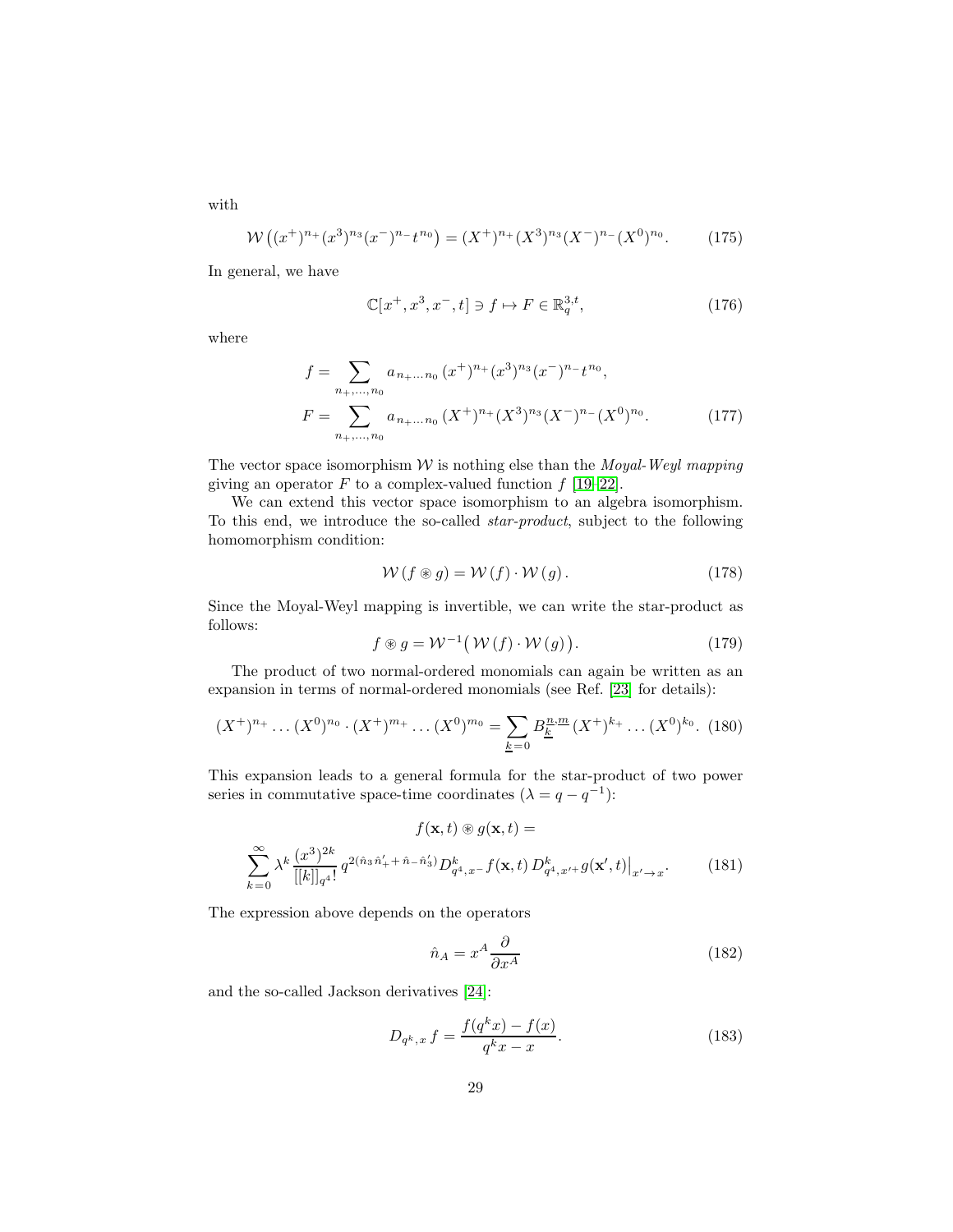with

<span id="page-28-0"></span>
$$
W((x^+)^{n_+}(x^3)^{n_3}(x^-)^{n_-}t^{n_0}) = (X^+)^{n_+}(X^3)^{n_3}(X^-)^{n_-}(X^0)^{n_0}.
$$
 (175)

In general, we have

$$
\mathbb{C}[x^+, x^3, x^-, t] \ni f \mapsto F \in \mathbb{R}_q^{3,t},\tag{176}
$$

where

$$
f = \sum_{n_+,\dots,n_0} a_{n_+ \dots n_0} (x^+)^{n_+} (x^3)^{n_3} (x^-)^{n_-} t^{n_0},
$$
  

$$
F = \sum_{n_+,\dots,n_0} a_{n_+ \dots n_0} (X^+)^{n_+} (X^3)^{n_3} (X^-)^{n_-} (X^0)^{n_0}.
$$
 (177)

The vector space isomorphism  $W$  is nothing else than the *Moyal-Weyl mapping* giving an operator F to a complex-valued function  $f$  [\[19](#page-41-11)[–22\]](#page-42-0).

We can extend this vector space isomorphism to an algebra isomorphism. To this end, we introduce the so-called star-product, subject to the following homomorphism condition:

$$
W(f \circledast g) = W(f) \cdot W(g). \qquad (178)
$$

Since the Moyal-Weyl mapping is invertible, we can write the star-product as follows:

$$
f \circledast g = \mathcal{W}^{-1}(\mathcal{W}(f) \cdot \mathcal{W}(g)). \tag{179}
$$

The product of two normal-ordered monomials can again be written as an expansion in terms of normal-ordered monomials (see Ref. [\[23\]](#page-42-1) for details):

$$
(X^+)^{n_+}\dots (X^0)^{n_0} \cdot (X^+)^{m_+}\dots (X^0)^{m_0} = \sum_{\underline{k}=0} B_{\underline{k}}^{n,m}(X^+)^{k_+}\dots (X^0)^{k_0}.\tag{180}
$$

This expansion leads to a general formula for the star-product of two power series in commutative space-time coordinates  $(\lambda = q - q^{-1})$ :

$$
f(\mathbf{x},t) \circledast g(\mathbf{x},t) =
$$
  

$$
\sum_{k=0}^{\infty} \lambda^k \frac{(x^3)^{2k}}{[[k]]_{q^4}!} q^{2(\hat{n}_3 \hat{n}'_+ + \hat{n}_-\hat{n}'_3)} D^k_{q^4,x^-} f(\mathbf{x},t) D^k_{q^4,x'^+} g(\mathbf{x}',t)|_{x'\to x}.
$$
 (181)

The expression above depends on the operators

<span id="page-28-1"></span>
$$
\hat{n}_A = x^A \frac{\partial}{\partial x^A} \tag{182}
$$

and the so-called Jackson derivatives [\[24\]](#page-42-2):

$$
D_{q^k, x} f = \frac{f(q^k x) - f(x)}{q^k x - x}.
$$
\n(183)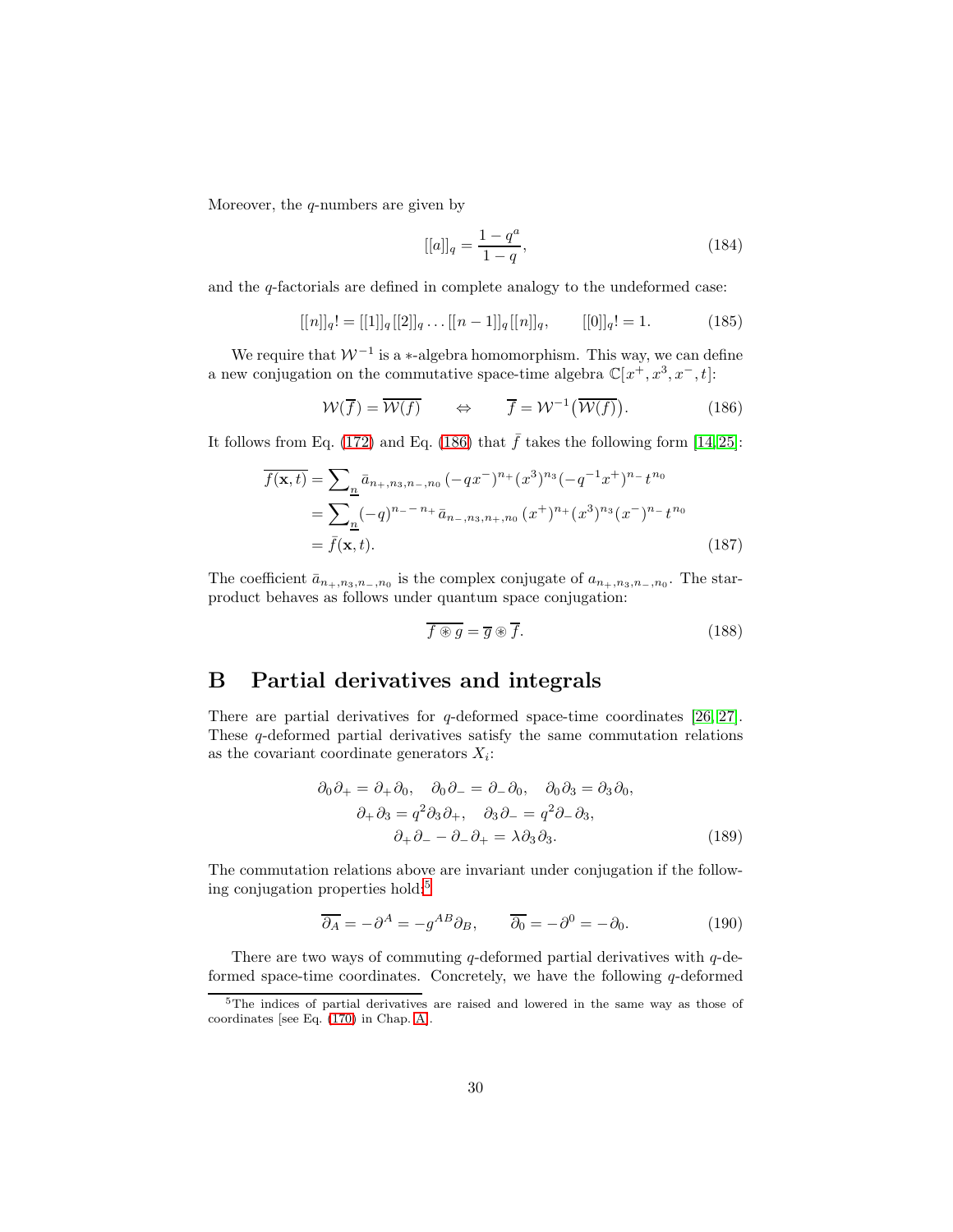Moreover, the  $q$ -numbers are given by

$$
[[a]]_q = \frac{1 - q^a}{1 - q},\tag{184}
$$

and the q-factorials are defined in complete analogy to the undeformed case:

<span id="page-29-2"></span>
$$
[[n]]_q! = [[1]]_q[[2]]_q \dots [[n-1]]_q[[n]]_q, \qquad [[0]]_q! = 1. \tag{185}
$$

We require that  $W^{-1}$  is a ∗-algebra homomorphism. This way, we can define a new conjugation on the commutative space-time algebra  $\mathbb{C}[x^+, x^3, x^-, t]$ :

<span id="page-29-4"></span>
$$
\mathcal{W}(\overline{f}) = \overline{\mathcal{W}(f)} \qquad \Leftrightarrow \qquad \overline{f} = \mathcal{W}^{-1}(\overline{\mathcal{W}(f)}). \tag{186}
$$

It follows from Eq. [\(172\)](#page-27-5) and Eq. [\(186\)](#page-29-4) that  $\bar{f}$  takes the following form [\[14,](#page-41-6) [25\]](#page-42-3):

$$
\overline{f(\mathbf{x},t)} = \sum_{n} \bar{a}_{n+,n_3,n_-,n_0} (-qx^-)^{n_+}(x^3)^{n_3}(-q^{-1}x^+)^{n_-}t^{n_0}
$$
  
= 
$$
\sum_{n} (-q)^{n_--n_+} \bar{a}_{n_-,n_3,n_+,n_0} (x^+)^{n_+}(x^3)^{n_3}(x^-)^{n_-}t^{n_0}
$$
  
= 
$$
\bar{f}(\mathbf{x},t). \tag{187}
$$

The coefficient  $\bar{a}_{n_+,n_3,n_-,n_0}$  is the complex conjugate of  $a_{n_+,n_3,n_-,n_0}$ . The starproduct behaves as follows under quantum space conjugation:

<span id="page-29-3"></span><span id="page-29-1"></span>
$$
\overline{f \circledast g} = \overline{g} \circledast \overline{f}.
$$
\n(188)

### <span id="page-29-0"></span>B Partial derivatives and integrals

There are partial derivatives for q-deformed space-time coordinates [\[26,](#page-42-4) [27\]](#page-42-5). These q-deformed partial derivatives satisfy the same commutation relations as the covariant coordinate generators  $X_i$ :

$$
\partial_0 \partial_+ = \partial_+ \partial_0, \quad \partial_0 \partial_- = \partial_- \partial_0, \quad \partial_0 \partial_3 = \partial_3 \partial_0, \n\partial_+ \partial_3 = q^2 \partial_3 \partial_+, \quad \partial_3 \partial_- = q^2 \partial_- \partial_3, \n\partial_+ \partial_- - \partial_- \partial_+ = \lambda \partial_3 \partial_3.
$$
\n(189)

The commutation relations above are invariant under conjugation if the following conjugation properties hold:[5](#page-29-5)

$$
\overline{\partial_A} = -\partial^A = -g^{AB}\partial_B, \qquad \overline{\partial_0} = -\partial^0 = -\partial_0.
$$
 (190)

There are two ways of commuting q-deformed partial derivatives with  $q$ -deformed space-time coordinates. Concretely, we have the following  $q$ -deformed

<span id="page-29-5"></span><sup>5</sup>The indices of partial derivatives are raised and lowered in the same way as those of coordinates [see Eq. [\(170\)](#page-27-6) in Chap. [A\]](#page-27-1).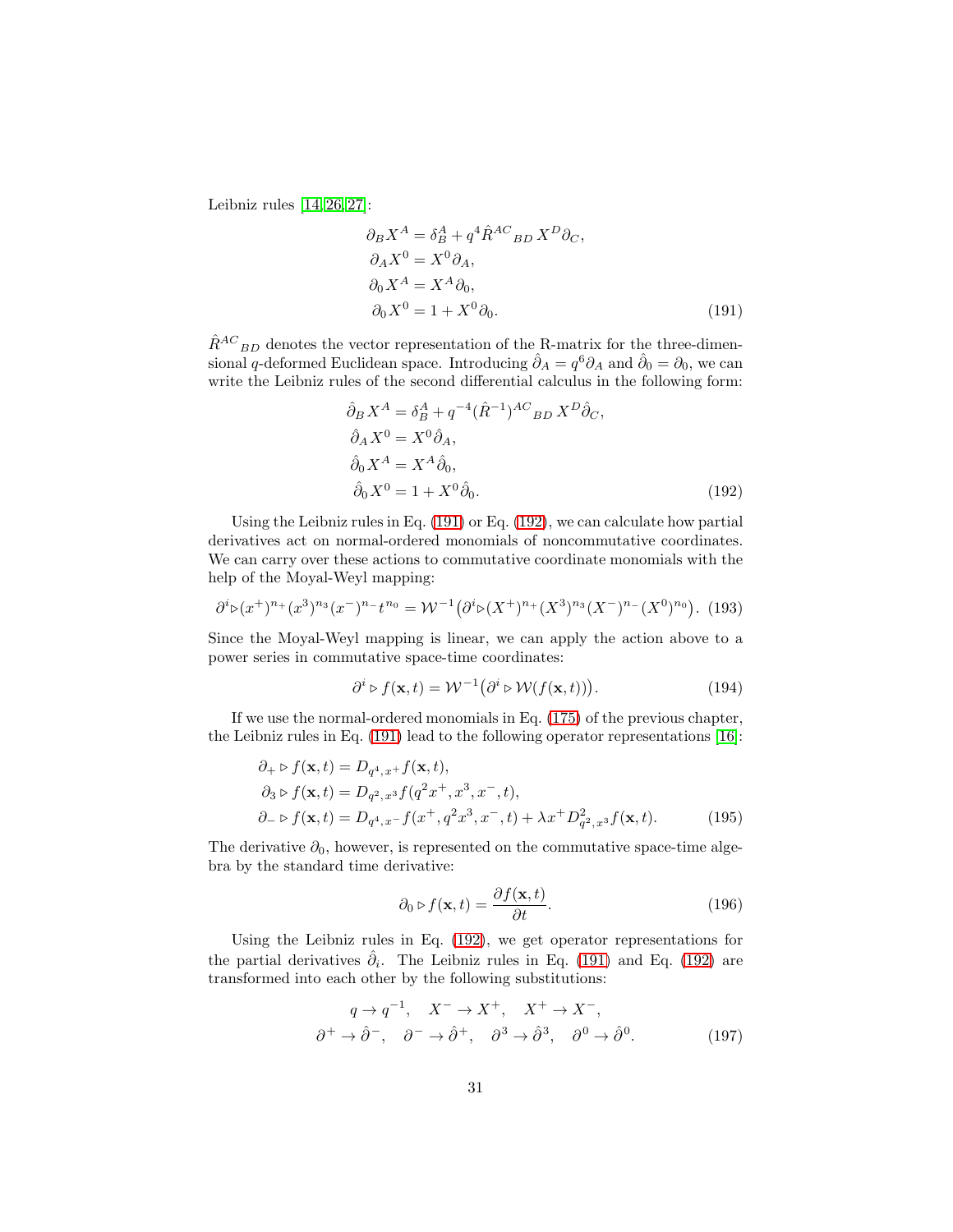Leibniz rules  $[14, 26, 27]$  $[14, 26, 27]$  $[14, 26, 27]$ :

<span id="page-30-1"></span>
$$
\partial_B X^A = \delta_B^A + q^4 \hat{R}^{AC}{}_{BD} X^D \partial_C,
$$
  
\n
$$
\partial_A X^0 = X^0 \partial_A,
$$
  
\n
$$
\partial_0 X^A = X^A \partial_0,
$$
  
\n
$$
\partial_0 X^0 = 1 + X^0 \partial_0.
$$
\n(191)

 $\hat{R}^{AC}{}_{BD}$  denotes the vector representation of the R-matrix for the three-dimensional q-deformed Euclidean space. Introducing  $\hat{\partial}_A = q^6 \partial_A$  and  $\hat{\partial}_0 = \partial_0$ , we can write the Leibniz rules of the second differential calculus in the following form:

<span id="page-30-2"></span>
$$
\hat{\partial}_B X^A = \delta_B^A + q^{-4} (\hat{R}^{-1})^{AC}{}_{BD} X^D \hat{\partial}_C,
$$
  
\n
$$
\hat{\partial}_A X^0 = X^0 \hat{\partial}_A,
$$
  
\n
$$
\hat{\partial}_0 X^A = X^A \hat{\partial}_0,
$$
  
\n
$$
\hat{\partial}_0 X^0 = 1 + X^0 \hat{\partial}_0.
$$
\n(192)

Using the Leibniz rules in Eq. [\(191\)](#page-30-1) or Eq. [\(192\)](#page-30-2), we can calculate how partial derivatives act on normal-ordered monomials of noncommutative coordinates. We can carry over these actions to commutative coordinate monomials with the help of the Moyal-Weyl mapping:

$$
\partial^{i} \mathcal{P}(x^{+})^{n_{+}}(x^{3})^{n_{3}}(x^{-})^{n_{-}}t^{n_{0}} = \mathcal{W}^{-1}(\partial^{i} \mathcal{P}(X^{+})^{n_{+}}(X^{3})^{n_{3}}(X^{-})^{n_{-}}(X^{0})^{n_{0}}). \tag{193}
$$

Since the Moyal-Weyl mapping is linear, we can apply the action above to a power series in commutative space-time coordinates:

$$
\partial^i \triangleright f(\mathbf{x}, t) = \mathcal{W}^{-1}(\partial^i \triangleright \mathcal{W}(f(\mathbf{x}, t))). \tag{194}
$$

If we use the normal-ordered monomials in Eq. [\(175\)](#page-28-0) of the previous chapter, the Leibniz rules in Eq. [\(191\)](#page-30-1) lead to the following operator representations [\[16\]](#page-41-8):

$$
\partial_{+} \triangleright f(\mathbf{x}, t) = D_{q^4, x^+} f(\mathbf{x}, t), \n\partial_{3} \triangleright f(\mathbf{x}, t) = D_{q^2, x^3} f(q^2 x^+, x^3, x^-, t), \n\partial_{-} \triangleright f(\mathbf{x}, t) = D_{q^4, x^-} f(x^+, q^2 x^3, x^-, t) + \lambda x^+ D_{q^2, x^3}^2 f(\mathbf{x}, t).
$$
\n(195)

The derivative  $\partial_0$ , however, is represented on the commutative space-time algebra by the standard time derivative:

<span id="page-30-4"></span><span id="page-30-3"></span><span id="page-30-0"></span>
$$
\partial_0 \triangleright f(\mathbf{x}, t) = \frac{\partial f(\mathbf{x}, t)}{\partial t}.
$$
\n(196)

Using the Leibniz rules in Eq. [\(192\)](#page-30-2), we get operator representations for the partial derivatives  $\hat{\partial}_i$ . The Leibniz rules in Eq. [\(191\)](#page-30-1) and Eq. [\(192\)](#page-30-2) are transformed into each other by the following substitutions:

$$
q \to q^{-1}, \quad X^- \to X^+, \quad X^+ \to X^-,
$$
  

$$
\partial^+ \to \hat{\partial}^-, \quad \partial^- \to \hat{\partial}^+, \quad \partial^3 \to \hat{\partial}^3, \quad \partial^0 \to \hat{\partial}^0.
$$
 (197)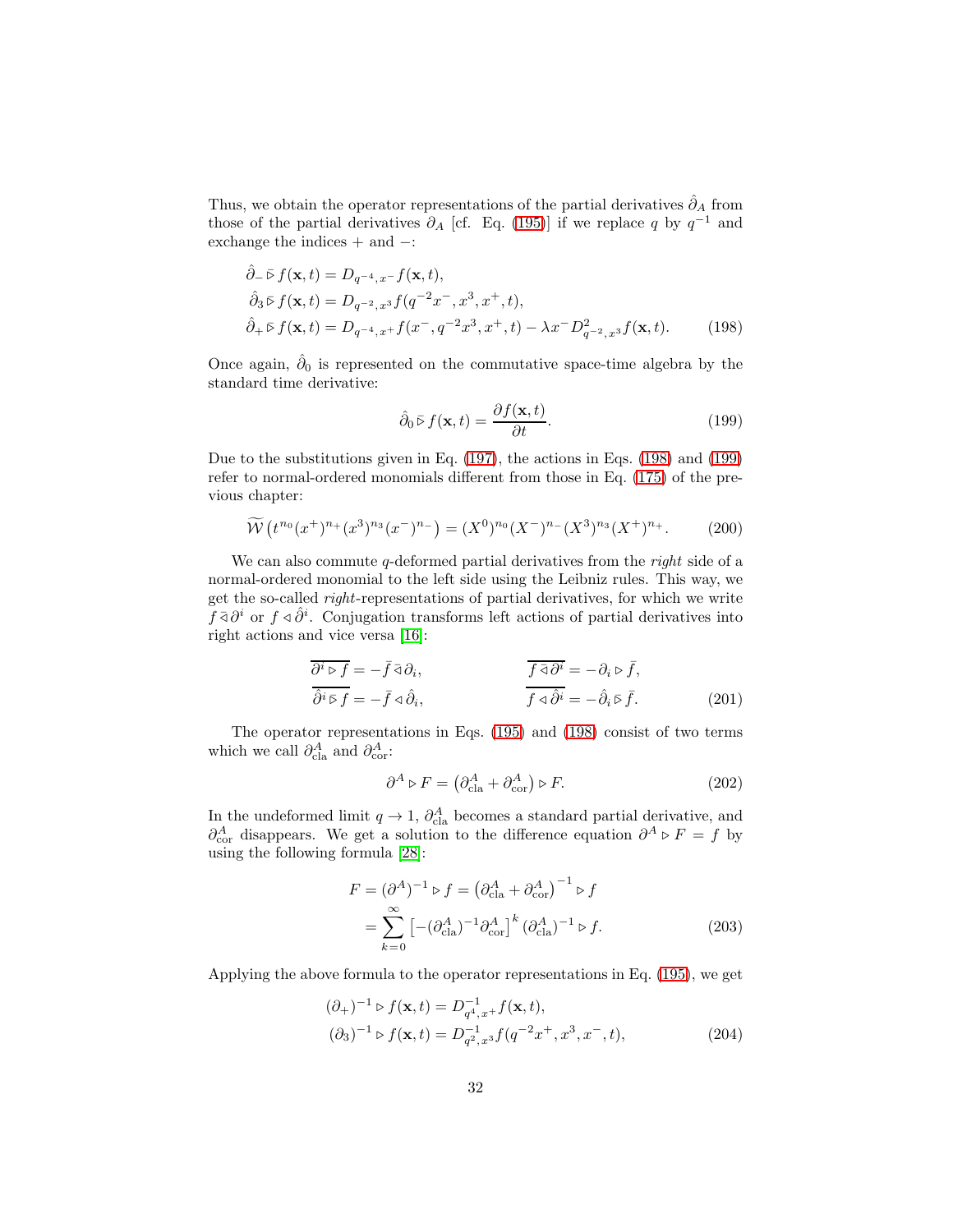Thus, we obtain the operator representations of the partial derivatives  $\hat{\partial}_A$  from those of the partial derivatives  $\partial_A$  [cf. Eq. [\(195\)](#page-30-0)] if we replace q by  $q^{-1}$  and exchange the indices + and −:

$$
\hat{\partial}_{-} \bar{\triangleright} f(\mathbf{x}, t) = D_{q^{-4}, x^{-}} f(\mathbf{x}, t), \n\hat{\partial}_{3} \bar{\triangleright} f(\mathbf{x}, t) = D_{q^{-2}, x^{3}} f(q^{-2} x^{-}, x^{3}, x^{+}, t), \n\hat{\partial}_{+} \bar{\triangleright} f(\mathbf{x}, t) = D_{q^{-4}, x^{+}} f(x^{-}, q^{-2} x^{3}, x^{+}, t) - \lambda x^{-} D_{q^{-2}, x^{3}}^{2} f(\mathbf{x}, t).
$$
\n(198)

Once again,  $\hat{\partial}_0$  is represented on the commutative space-time algebra by the standard time derivative:

<span id="page-31-2"></span><span id="page-31-1"></span>
$$
\hat{\partial}_0 \bar{\triangleright} f(\mathbf{x}, t) = \frac{\partial f(\mathbf{x}, t)}{\partial t}.
$$
\n(199)

Due to the substitutions given in Eq. [\(197\)](#page-30-3), the actions in Eqs. [\(198\)](#page-31-1) and [\(199\)](#page-31-2) refer to normal-ordered monomials different from those in Eq. [\(175\)](#page-28-0) of the previous chapter:

$$
\widetilde{\mathcal{W}}\left(t^{n_0}(x^+)^{n_+}(x^3)^{n_3}(x^-)^{n_-}\right) = (X^0)^{n_0}(X^-)^{n_-}(X^3)^{n_3}(X^+)^{n_+}.\tag{200}
$$

We can also commute q-deformed partial derivatives from the *right* side of a normal-ordered monomial to the left side using the Leibniz rules. This way, we get the so-called right-representations of partial derivatives, for which we write  $\hat{f} \,\overline{\partial} \partial^i$  or  $f \triangleleft \hat{\partial}^i$ . Conjugation transforms left actions of partial derivatives into right actions and vice versa [\[16\]](#page-41-8):

$$
\overline{\partial^i \triangleright f} = -\overline{f} \triangleleft \partial_i, \qquad \overline{f \triangleleft \partial^i} = -\partial_i \triangleright \overline{f}, \n\overline{\partial^i \triangleright f} = -\overline{f} \triangleleft \hat{\partial}_i, \qquad \overline{f \triangleleft \hat{\partial}^i} = -\hat{\partial}_i \triangleright \overline{f}.
$$
\n(201)

The operator representations in Eqs. [\(195\)](#page-30-0) and [\(198\)](#page-31-1) consist of two terms which we call  $\partial_{\text{cla}}^A$  and  $\partial_{\text{cor}}^A$ :

<span id="page-31-0"></span>
$$
\partial^A \triangleright F = \left(\partial^A_{\text{cla}} + \partial^A_{\text{cor}}\right) \triangleright F. \tag{202}
$$

In the undeformed limit  $q \to 1$ ,  $\partial_{\text{cla}}^A$  becomes a standard partial derivative, and  $\partial_{\text{cor}}^{A}$  disappears. We get a solution to the difference equation  $\partial^{A} \triangleright F = f$  by using the following formula [\[28\]](#page-42-6):

$$
F = (\partial^A)^{-1} \triangleright f = \left(\partial^A_{\text{cla}} + \partial^A_{\text{cor}}\right)^{-1} \triangleright f
$$
  
= 
$$
\sum_{k=0}^{\infty} \left[ -(\partial^A_{\text{cla}})^{-1} \partial^A_{\text{cor}} \right]^k (\partial^A_{\text{cla}})^{-1} \triangleright f.
$$
 (203)

Applying the above formula to the operator representations in Eq. [\(195\)](#page-30-0), we get

<span id="page-31-3"></span>
$$
(\partial_{+})^{-1} \triangleright f(\mathbf{x}, t) = D_{q^{4}, x^{+}}^{-1} f(\mathbf{x}, t),
$$
  

$$
(\partial_{3})^{-1} \triangleright f(\mathbf{x}, t) = D_{q^{2}, x^{3}}^{-1} f(q^{-2} x^{+}, x^{3}, x^{-}, t),
$$
 (204)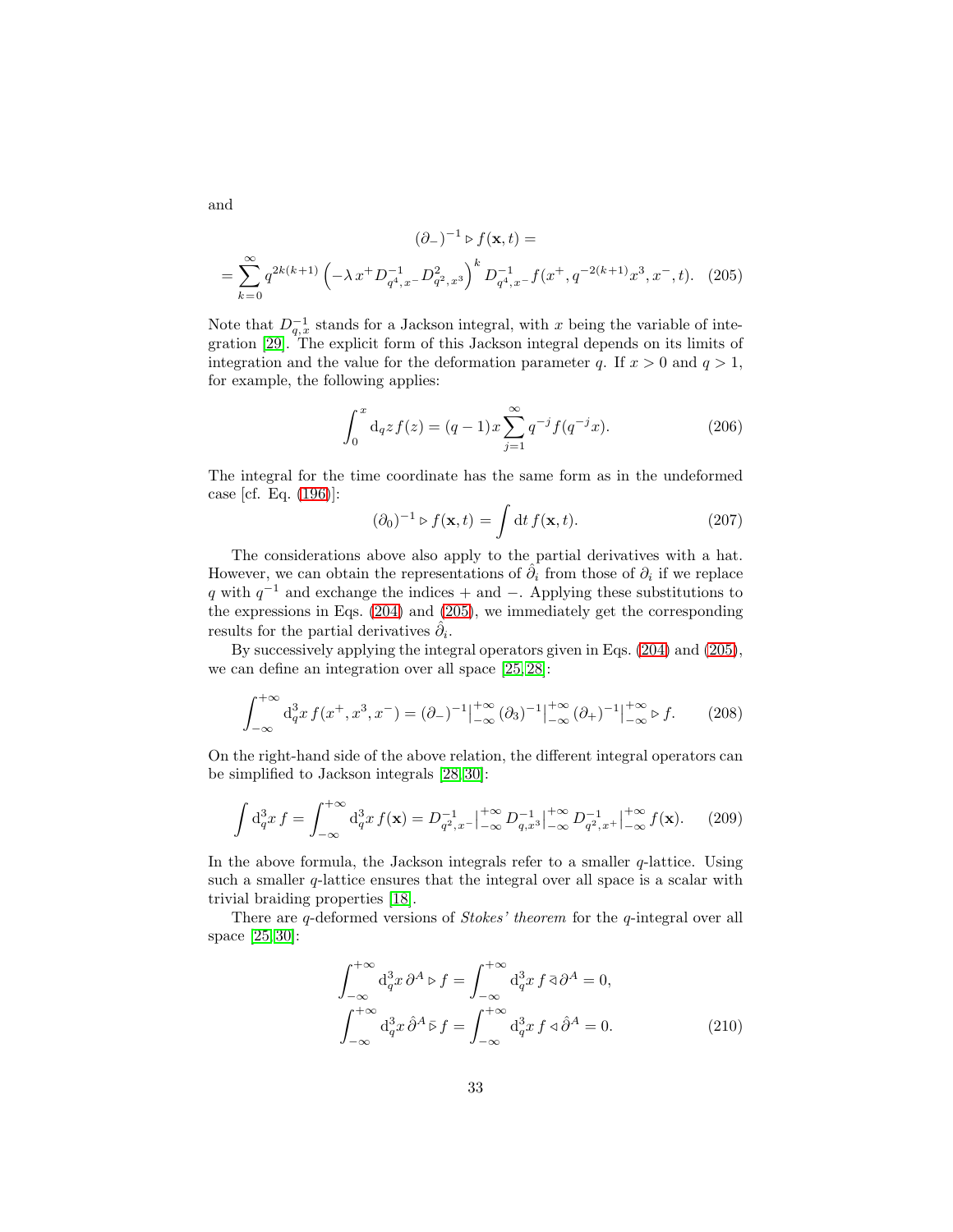$$
(\partial_-)^{-1} \triangleright f(\mathbf{x}, t) =
$$
  
= 
$$
\sum_{k=0}^{\infty} q^{2k(k+1)} \left( -\lambda x^+ D_{q^4, x^-}^{-1} D_{q^2, x^3}^2 \right)^k D_{q^4, x^-}^{-1} f(x^+, q^{-2(k+1)} x^3, x^-, t).
$$
 (205)

Note that  $D_{q,x}^{-1}$  stands for a Jackson integral, with x being the variable of integration [\[29\]](#page-42-7). The explicit form of this Jackson integral depends on its limits of integration and the value for the deformation parameter q. If  $x > 0$  and  $q > 1$ , for example, the following applies:

<span id="page-32-2"></span>
$$
\int_0^x \mathrm{d}_q z f(z) = (q-1)x \sum_{j=1}^\infty q^{-j} f(q^{-j}x). \tag{206}
$$

The integral for the time coordinate has the same form as in the undeformed case [cf. Eq. [\(196\)](#page-30-4)]:

$$
(\partial_0)^{-1} \triangleright f(\mathbf{x}, t) = \int \mathrm{d}t \, f(\mathbf{x}, t). \tag{207}
$$

The considerations above also apply to the partial derivatives with a hat. However, we can obtain the representations of  $\hat{\partial}_i$  from those of  $\partial_i$  if we replace q with  $q^{-1}$  and exchange the indices + and −. Applying these substitutions to the expressions in Eqs. [\(204\)](#page-31-3) and [\(205\)](#page-32-2), we immediately get the corresponding results for the partial derivatives  $\hat{\partial}_i$ .

By successively applying the integral operators given in Eqs. [\(204\)](#page-31-3) and [\(205\)](#page-32-2), we can define an integration over all space [\[25,](#page-42-3) [28\]](#page-42-6):

<span id="page-32-0"></span>
$$
\int_{-\infty}^{+\infty} d_q^3 x f(x^+, x^3, x^-) = (\partial_-)^{-1}\Big|_{-\infty}^{+\infty} (\partial_3)^{-1}\Big|_{-\infty}^{+\infty} (\partial_+)^{-1}\Big|_{-\infty}^{+\infty} \triangleright f. \tag{208}
$$

On the right-hand side of the above relation, the different integral operators can be simplified to Jackson integrals [\[28,](#page-42-6) [30\]](#page-42-8):

$$
\int d_q^3 x f = \int_{-\infty}^{+\infty} d_q^3 x f(\mathbf{x}) = D_{q^2, x^-}^{-1} \Big|_{-\infty}^{+\infty} D_{q, x^3}^{-1} \Big|_{-\infty}^{+\infty} D_{q^2, x^+}^{-1} \Big|_{-\infty}^{+\infty} f(\mathbf{x}). \tag{209}
$$

In the above formula, the Jackson integrals refer to a smaller  $q$ -lattice. Using such a smaller  $q$ -lattice ensures that the integral over all space is a scalar with trivial braiding properties [\[18\]](#page-41-10).

There are q-deformed versions of *Stokes' theorem* for the q-integral over all space [\[25,](#page-42-3) [30\]](#page-42-8):

<span id="page-32-1"></span>
$$
\int_{-\infty}^{+\infty} d_q^3 x \, \partial^A \triangleright f = \int_{-\infty}^{+\infty} d_q^3 x \, f \, \bar{\triangleleft} \partial^A = 0,
$$
  

$$
\int_{-\infty}^{+\infty} d_q^3 x \, \partial^A \bar{\triangleright} f = \int_{-\infty}^{+\infty} d_q^3 x \, f \, \bar{\triangleleft} \partial^A = 0.
$$
 (210)

and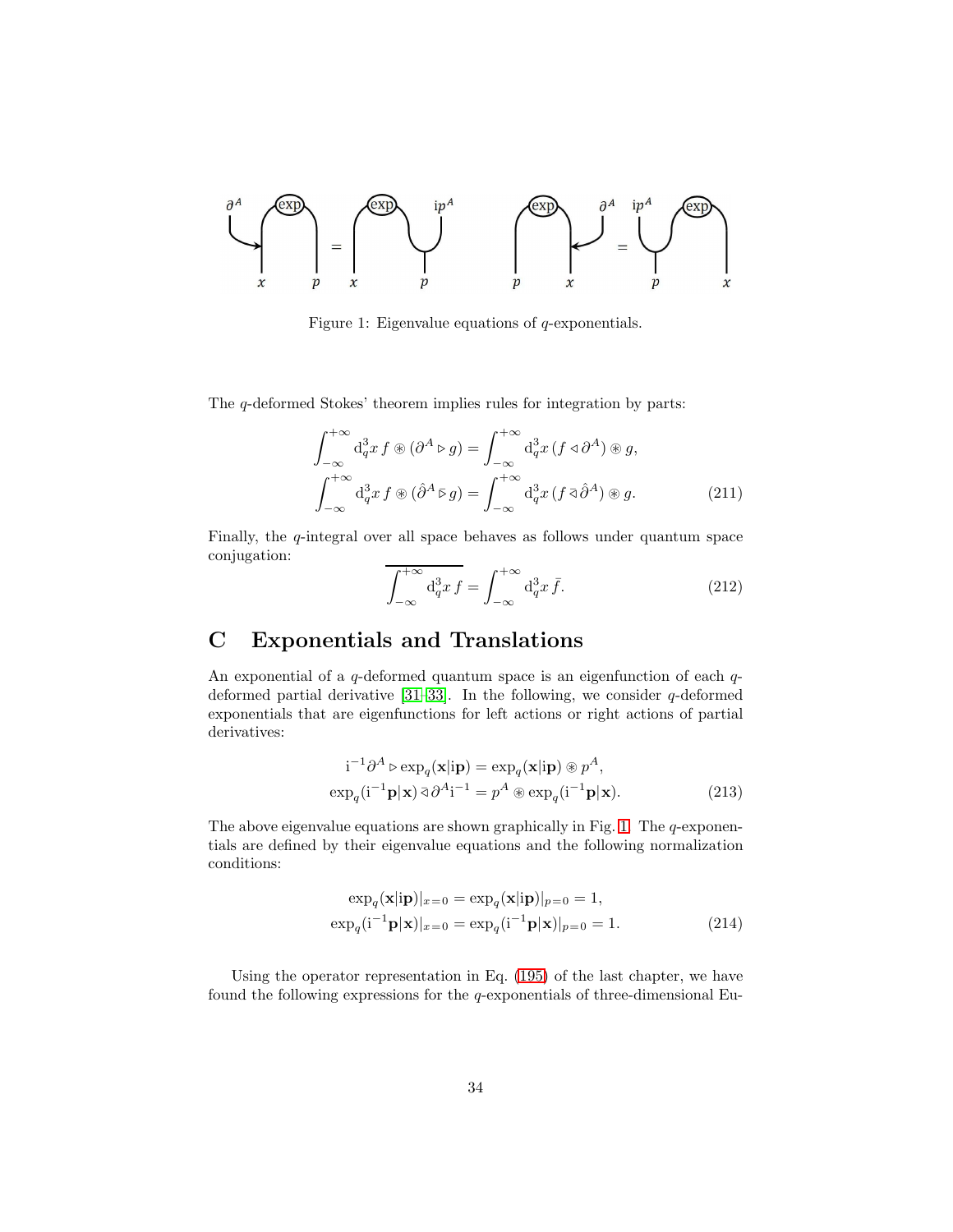

<span id="page-33-3"></span>Figure 1: Eigenvalue equations of  $q$ -exponentials.

The q-deformed Stokes' theorem implies rules for integration by parts:

$$
\int_{-\infty}^{+\infty} d_q^3 x f \circledast (\partial^A \triangleright g) = \int_{-\infty}^{+\infty} d_q^3 x (f \triangleleft \partial^A) \circledast g,
$$
  

$$
\int_{-\infty}^{+\infty} d_q^3 x f \circledast (\partial^A \triangleright g) = \int_{-\infty}^{+\infty} d_q^3 x (f \triangleleft \partial^A) \circledast g.
$$
 (211)

Finally, the  $q$ -integral over all space behaves as follows under quantum space conjugation:

<span id="page-33-2"></span>
$$
\overline{\int_{-\infty}^{+\infty} d_q^3 x f} = \int_{-\infty}^{+\infty} d_q^3 x \bar{f}.
$$
 (212)

# <span id="page-33-0"></span>C Exponentials and Translations

An exponential of a  $q$ -deformed quantum space is an eigenfunction of each  $q$ deformed partial derivative  $[31-33]$ . In the following, we consider q-deformed exponentials that are eigenfunctions for left actions or right actions of partial derivatives:

<span id="page-33-1"></span>
$$
i^{-1}\partial^{A} \triangleright \exp_{q}(\mathbf{x}|\mathbf{ip}) = \exp_{q}(\mathbf{x}|\mathbf{ip}) \circledast p^{A},
$$
  
\n
$$
\exp_{q}(i^{-1}\mathbf{p}|\mathbf{x}) \bar{\triangleleft} \partial^{A}i^{-1} = p^{A} \circledast \exp_{q}(i^{-1}\mathbf{p}|\mathbf{x}).
$$
\n(213)

The above eigenvalue equations are shown graphically in Fig. [1.](#page-33-3) The  $q$ -exponentials are defined by their eigenvalue equations and the following normalization conditions:

<span id="page-33-4"></span>
$$
\exp_q(\mathbf{x}|\mathbf{ip})|_{x=0} = \exp_q(\mathbf{x}|\mathbf{ip})|_{p=0} = 1,
$$
  
\n
$$
\exp_q(\mathbf{i}^{-1}\mathbf{p}|\mathbf{x})|_{x=0} = \exp_q(\mathbf{i}^{-1}\mathbf{p}|\mathbf{x})|_{p=0} = 1.
$$
\n(214)

Using the operator representation in Eq. [\(195\)](#page-30-0) of the last chapter, we have found the following expressions for the  $q$ -exponentials of three-dimensional Eu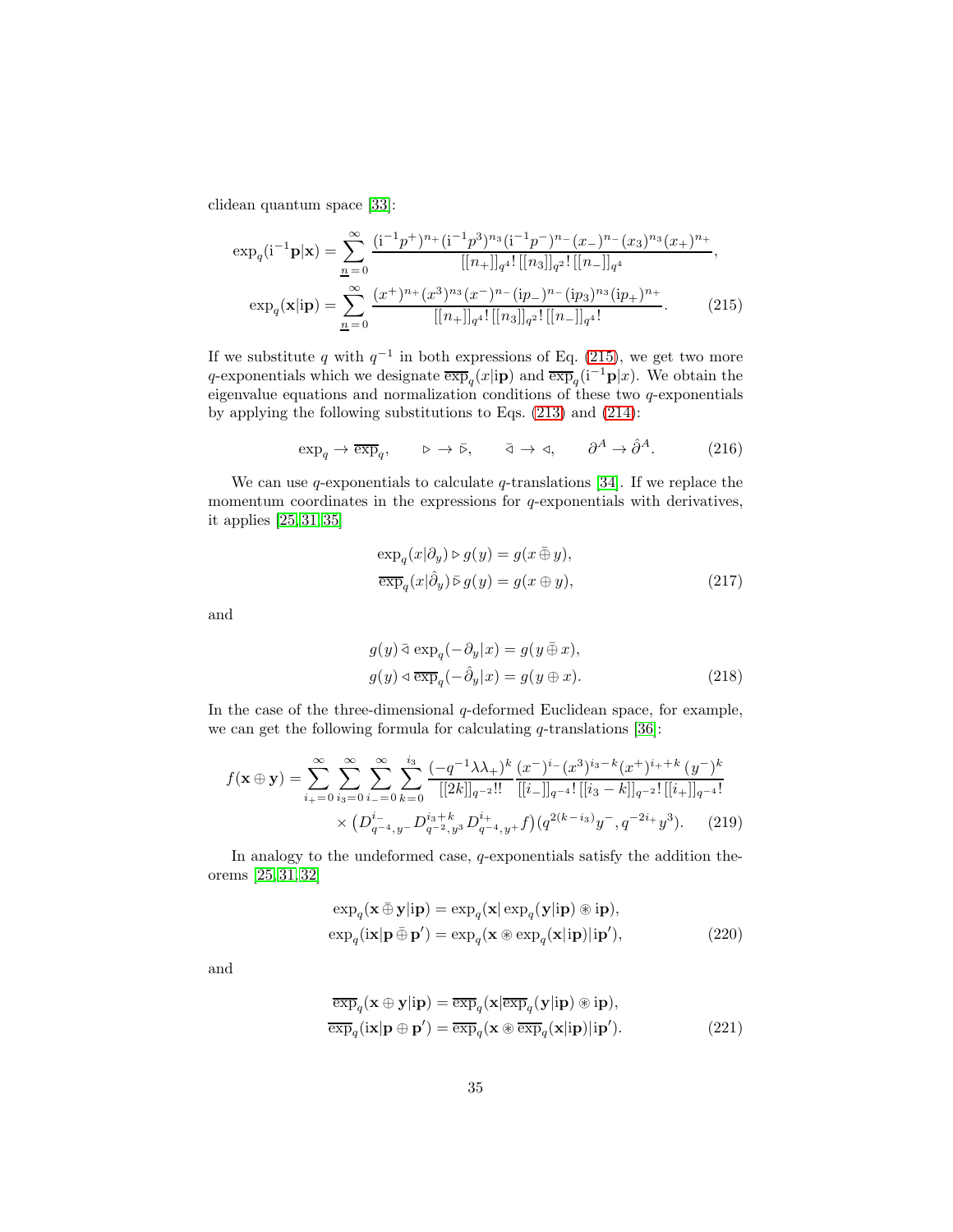clidean quantum space [\[33\]](#page-42-10):

$$
\exp_q(\mathbf{i}^{-1}\mathbf{p}|\mathbf{x}) = \sum_{n=0}^{\infty} \frac{(\mathbf{i}^{-1}p^+)^{n_+}(\mathbf{i}^{-1}p^3)^{n_3}(\mathbf{i}^{-1}p^-)^{n_-}(x_-)^{n_-}(x_3)^{n_3}(x_+)^{n_+}}{[[n_+]]_{q^4}![[n_3]]_{q^2}![[n_-]]_{q^4}},
$$

$$
\exp_q(\mathbf{x}|\mathbf{i}\mathbf{p}) = \sum_{n=0}^{\infty} \frac{(x^+)^{n_+}(x^3)^{n_3}(x^-)^{n_-}(\mathbf{i}p_-)^{n_-}(\mathbf{i}p_3)^{n_3}(\mathbf{i}p_+)^{n_+}}{[[n_+]]_{q^4}![[n_3]]_{q^2}![[n_-]]_{q^4}!}.
$$
(215)

If we substitute q with  $q^{-1}$  in both expressions of Eq. [\(215\)](#page-34-0), we get two more q-exponentials which we designate  $\overline{\exp}_q(x|\mathbf{ip})$  and  $\overline{\exp}_q(i^{-1}\mathbf{p}|x)$ . We obtain the eigenvalue equations and normalization conditions of these two  $q$ -exponentials by applying the following substitutions to Eqs. [\(213\)](#page-33-1) and [\(214\)](#page-33-4):

$$
\exp_q \to \overline{\exp}_q, \qquad \triangleright \to \bar{\triangleright}, \qquad \bar{\triangleleft} \to \vartriangleleft, \qquad \partial^A \to \hat{\partial}^A. \tag{216}
$$

We can use q-exponentials to calculate q-translations [\[34\]](#page-42-11). If we replace the momentum coordinates in the expressions for  $q$ -exponentials with derivatives, it applies [\[25,](#page-42-3) [31,](#page-42-9) [35\]](#page-42-12)

<span id="page-34-0"></span>
$$
\exp_q(x|\partial_y) \triangleright g(y) = g(x \oplus y),
$$
  
\n
$$
\overline{\exp}_q(x|\hat{\partial}_y) \triangleright g(y) = g(x \oplus y),
$$
\n(217)

and

$$
g(y) \bar{\triangleleft} \exp_q(-\partial_y | x) = g(y \bar{\oplus} x),
$$
  
\n
$$
g(y) \bar{\triangleleft} \exp_q(-\hat{\partial}_y | x) = g(y \bar{\oplus} x).
$$
\n(218)

In the case of the three-dimensional  $q$ -deformed Euclidean space, for example, we can get the following formula for calculating  $q$ -translations [\[36\]](#page-43-0):

$$
f(\mathbf{x} \oplus \mathbf{y}) = \sum_{i_{+}=0}^{\infty} \sum_{i_{3}=0}^{\infty} \sum_{i_{-}=0}^{\infty} \sum_{k=0}^{i_{3}} \frac{(-q^{-1}\lambda\lambda_{+})^{k}}{[[2k]]_{q^{-2}}!!} \frac{(x^{-})^{i_{-}}(x^{3})^{i_{3}-k}(x^{+})^{i_{+}+k}(y^{-})^{k}}{[[i_{-}]]_{q^{-2}}![[i_{+}]]_{q^{-2}}!} \times (D_{q^{-4},y}^{i_{-}}-D_{q^{-2},y^{3}}^{i_{3}+k}D_{q^{-4},y}^{i_{+}}+f)(q^{2(k-i_{3})}y^{-}, q^{-2i_{+}}y^{3}).
$$
 (219)

In analogy to the undeformed case, q-exponentials satisfy the addition theorems [\[25,](#page-42-3) [31,](#page-42-9) [32\]](#page-42-13)

<span id="page-34-1"></span>
$$
\exp_q(\mathbf{x} \oplus \mathbf{y}|\mathbf{ip}) = \exp_q(\mathbf{x}|\exp_q(\mathbf{y}|\mathbf{ip}) \circledast \mathbf{ip}),
$$
  
\n
$$
\exp_q(\mathbf{ix}|\mathbf{p} \oplus \mathbf{p}') = \exp_q(\mathbf{x} \circledast \exp_q(\mathbf{x}|\mathbf{ip})|\mathbf{ip}'),
$$
\n(220)

and

$$
\overline{\exp}_{q}(\mathbf{x} \oplus \mathbf{y}|\mathbf{ip}) = \overline{\exp}_{q}(\mathbf{x}|\overline{\exp}_{q}(\mathbf{y}|\mathbf{ip}) \circledast \mathbf{ip}),
$$
  
\n
$$
\overline{\exp}_{q}(\mathbf{i}\mathbf{x}|\mathbf{p} \oplus \mathbf{p}') = \overline{\exp}_{q}(\mathbf{x} \circledast \overline{\exp}_{q}(\mathbf{x}|\mathbf{ip})|\mathbf{ip}').
$$
\n(221)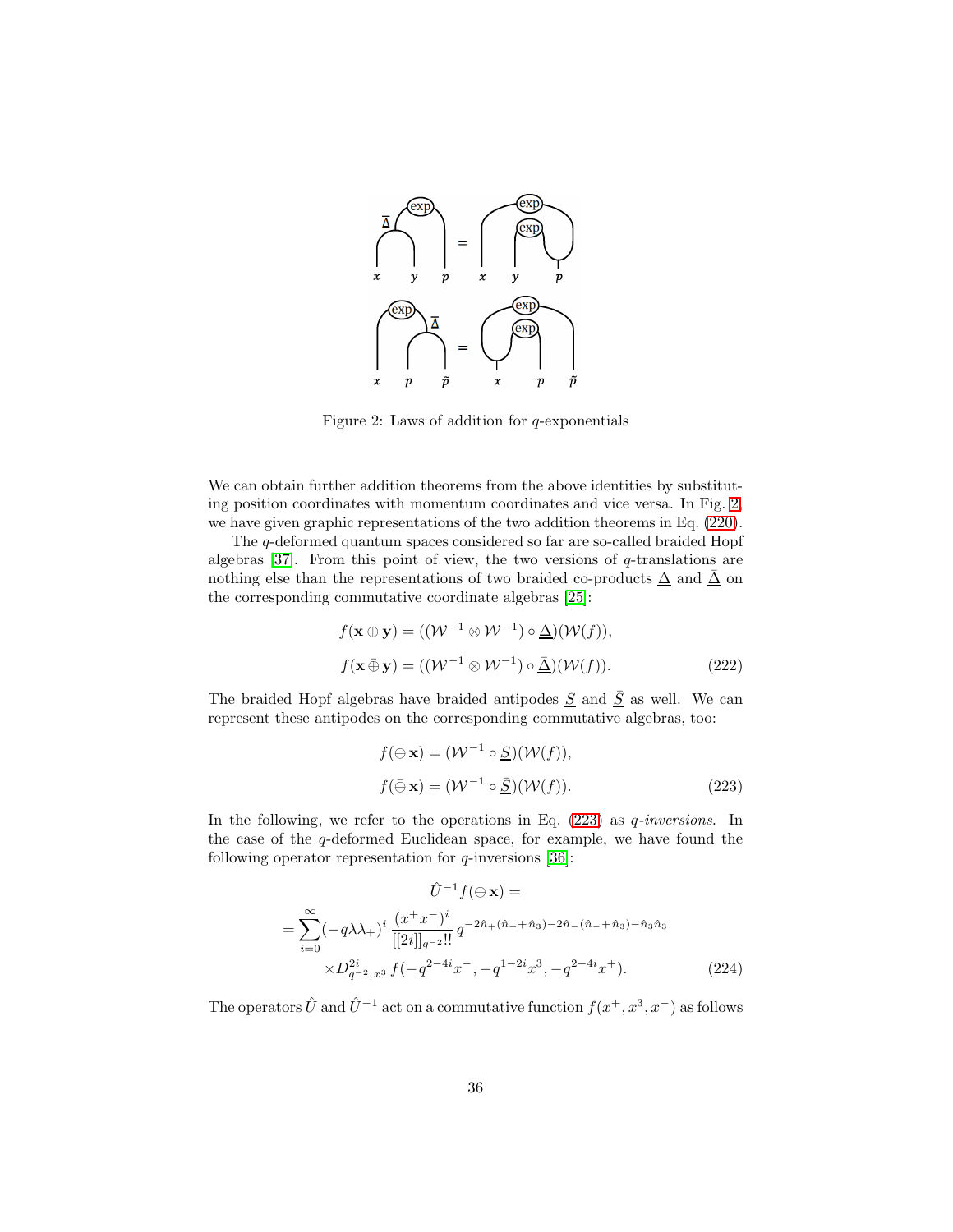

<span id="page-35-0"></span>Figure 2: Laws of addition for  $q$ -exponentials

We can obtain further addition theorems from the above identities by substituting position coordinates with momentum coordinates and vice versa. In Fig. [2,](#page-35-0) we have given graphic representations of the two addition theorems in Eq. [\(220\)](#page-34-1).

The q-deformed quantum spaces considered so far are so-called braided Hopf algebras [\[37\]](#page-43-1). From this point of view, the two versions of  $q$ -translations are nothing else than the representations of two braided co-products  $\Delta$  and  $\overline{\Delta}$  on the corresponding commutative coordinate algebras [\[25\]](#page-42-3):

$$
f(\mathbf{x} \oplus \mathbf{y}) = ((\mathcal{W}^{-1} \otimes \mathcal{W}^{-1}) \circ \underline{\Delta})(\mathcal{W}(f)),
$$
  

$$
f(\mathbf{x} \oplus \mathbf{y}) = ((\mathcal{W}^{-1} \otimes \mathcal{W}^{-1}) \circ \underline{\Delta})(\mathcal{W}(f)).
$$
 (222)

The braided Hopf algebras have braided antipodes  $S$  and  $\overline{S}$  as well. We can represent these antipodes on the corresponding commutative algebras, too:

<span id="page-35-1"></span>
$$
f(\ominus \mathbf{x}) = (\mathcal{W}^{-1} \circ \underline{S})(\mathcal{W}(f)),
$$
  

$$
f(\bar{\ominus} \mathbf{x}) = (\mathcal{W}^{-1} \circ \underline{\bar{S}})(\mathcal{W}(f)).
$$
 (223)

In the following, we refer to the operations in Eq.  $(223)$  as *q-inversions*. In the case of the q-deformed Euclidean space, for example, we have found the following operator representation for  $q$ -inversions [\[36\]](#page-43-0):

$$
\hat{U}^{-1}f(\ominus \mathbf{x}) =
$$
\n
$$
= \sum_{i=0}^{\infty} (-q\lambda\lambda_{+})^{i} \frac{(x^{+}x^{-})^{i}}{[[2i]]_{q^{-2}}!!} q^{-2\hat{n}_{+}(\hat{n}_{+}+\hat{n}_{3})-2\hat{n}_{-}(\hat{n}_{-}+\hat{n}_{3})-\hat{n}_{3}\hat{n}_{3}}
$$
\n
$$
\times D_{q^{-2},x^{3}}^{2i} f(-q^{2-4i}x^{-}, -q^{1-2i}x^{3}, -q^{2-4i}x^{+}).
$$
\n(224)

The operators  $\hat{U}$  and  $\hat{U}^{-1}$  act on a commutative function  $f(x^+, x^3, x^-)$  as follows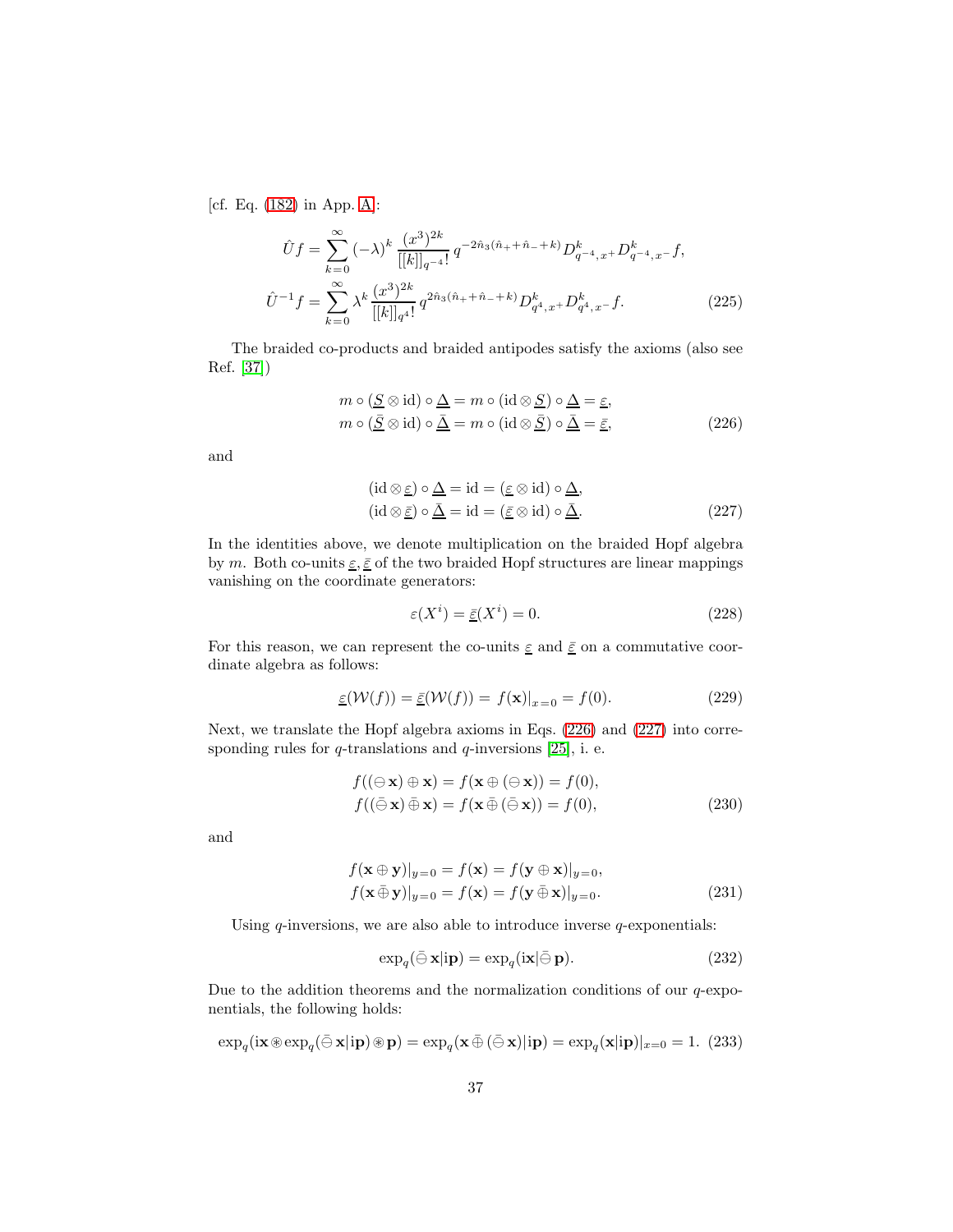[cf. Eq. [\(182\)](#page-28-1) in App. [A\]](#page-27-1):

$$
\hat{U}f = \sum_{k=0}^{\infty} (-\lambda)^k \frac{(x^3)^{2k}}{[[k]]_{q^{-4}}} q^{-2\hat{n}_3(\hat{n}_+ + \hat{n}_- + k)} D^k_{q^{-4},x} D^k_{q^{-4},x} - f,
$$
  

$$
\hat{U}^{-1}f = \sum_{k=0}^{\infty} \lambda^k \frac{(x^3)^{2k}}{[[k]]_{q^4}!} q^{2\hat{n}_3(\hat{n}_+ + \hat{n}_- + k)} D^k_{q^4,x} D^k_{q^4,x} - f.
$$
 (225)

The braided co-products and braided antipodes satisfy the axioms (also see Ref. [\[37\]](#page-43-1))

$$
m \circ (\underline{S} \otimes id) \circ \underline{\Delta} = m \circ (id \otimes \underline{S}) \circ \underline{\Delta} = \underline{\varepsilon},
$$
  
\n
$$
m \circ (\underline{\overline{S}} \otimes id) \circ \underline{\overline{\Delta}} = m \circ (id \otimes \underline{\overline{S}}) \circ \underline{\overline{\Delta}} = \underline{\overline{\varepsilon}},
$$
\n(226)

and

<span id="page-36-0"></span>
$$
(\mathrm{id} \otimes \underline{\varepsilon}) \circ \underline{\Delta} = \mathrm{id} = (\underline{\varepsilon} \otimes \mathrm{id}) \circ \underline{\Delta},
$$
  
\n
$$
(\mathrm{id} \otimes \underline{\varepsilon}) \circ \underline{\bar{\Delta}} = \mathrm{id} = (\underline{\varepsilon} \otimes \mathrm{id}) \circ \underline{\bar{\Delta}}.
$$
\n(227)

In the identities above, we denote multiplication on the braided Hopf algebra by m. Both co-units  $\underline{\varepsilon}, \underline{\bar{\varepsilon}}$  of the two braided Hopf structures are linear mappings vanishing on the coordinate generators:

<span id="page-36-1"></span>
$$
\varepsilon(X^i) = \underline{\bar{\varepsilon}}(X^i) = 0. \tag{228}
$$

For this reason, we can represent the co-units  $\varepsilon$  and  $\overline{\varepsilon}$  on a commutative coordinate algebra as follows:

$$
\underline{\varepsilon}(\mathcal{W}(f)) = \underline{\bar{\varepsilon}}(\mathcal{W}(f)) = f(\mathbf{x})|_{x=0} = f(0). \tag{229}
$$

Next, we translate the Hopf algebra axioms in Eqs. [\(226\)](#page-36-0) and [\(227\)](#page-36-1) into corresponding rules for  $q$ -translations and  $q$ -inversions [\[25\]](#page-42-3), i. e.

$$
f((\ominus \mathbf{x}) \oplus \mathbf{x}) = f(\mathbf{x} \oplus (\ominus \mathbf{x})) = f(0),
$$
  

$$
f((\bar{\ominus} \mathbf{x}) \bar{\oplus} \mathbf{x}) = f(\mathbf{x} \bar{\oplus} (\bar{\ominus} \mathbf{x})) = f(0),
$$
 (230)

and

$$
f(\mathbf{x} \oplus \mathbf{y})|_{y=0} = f(\mathbf{x}) = f(\mathbf{y} \oplus \mathbf{x})|_{y=0},
$$
  

$$
f(\mathbf{x} \oplus \mathbf{y})|_{y=0} = f(\mathbf{x}) = f(\mathbf{y} \oplus \mathbf{x})|_{y=0}.
$$
 (231)

Using  $q$ -inversions, we are also able to introduce inverse  $q$ -exponentials:

$$
\exp_q(\bar{\ominus} \mathbf{x}|\mathbf{ip}) = \exp_q(\mathbf{ix}|\bar{\ominus} \mathbf{p}).\tag{232}
$$

Due to the addition theorems and the normalization conditions of our  $q$ -exponentials, the following holds:

$$
\exp_q(\mathrm{i}\mathbf{x}\otimes\exp_q(\bar{\ominus}\mathbf{x}|\mathrm{i}\mathbf{p})\otimes\mathbf{p}) = \exp_q(\mathbf{x}\bar{\oplus}(\bar{\ominus}\mathbf{x})|\mathrm{i}\mathbf{p}) = \exp_q(\mathbf{x}|\mathrm{i}\mathbf{p})|_{x=0} = 1. \tag{233}
$$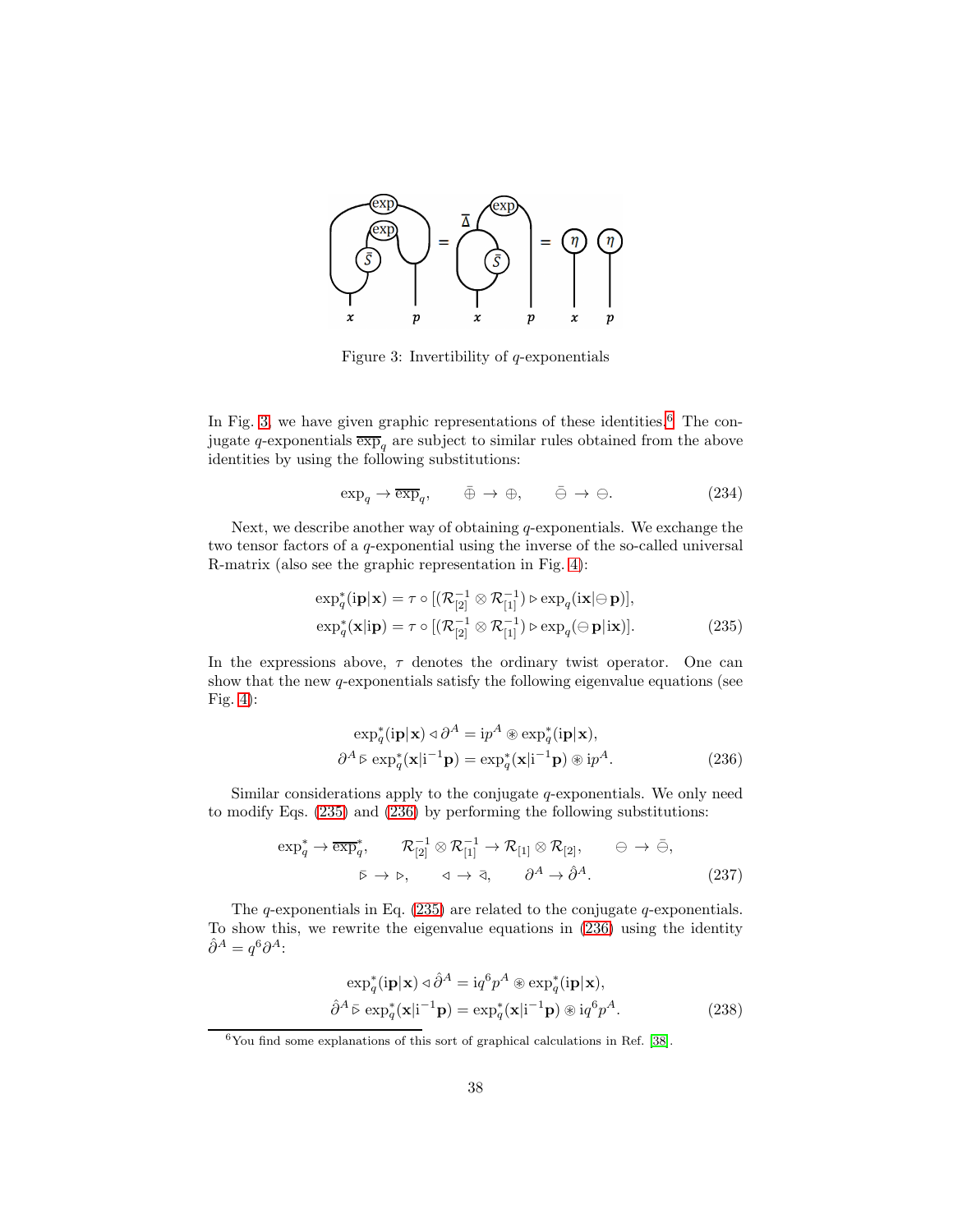

<span id="page-37-2"></span>Figure 3: Invertibility of  $q$ -exponentials

In Fig. [3,](#page-37-2) we have given graphic representations of these identities.<sup>[6](#page-37-3)</sup> The conjugate q-exponentials  $\overline{\exp}_q$  are subject to similar rules obtained from the above identities by using the following substitutions:

$$
\exp_q \to \overline{\exp}_q, \qquad \bar{\oplus} \to \oplus, \qquad \bar{\ominus} \to \ominus. \tag{234}
$$

Next, we describe another way of obtaining  $q$ -exponentials. We exchange the two tensor factors of a q-exponential using the inverse of the so-called universal R-matrix (also see the graphic representation in Fig. [4\)](#page-38-2):

$$
\exp_q^*(i\mathbf{p}|\mathbf{x}) = \tau \circ [(\mathcal{R}_{[2]}^{-1} \otimes \mathcal{R}_{[1]}^{-1}) \triangleright \exp_q(i\mathbf{x}|\ominus \mathbf{p})],
$$
  
\n
$$
\exp_q^*(\mathbf{x}|\mathbf{i}\mathbf{p}) = \tau \circ [(\mathcal{R}_{[2]}^{-1} \otimes \mathcal{R}_{[1]}^{-1}) \triangleright \exp_q(\ominus \mathbf{p}|\mathbf{i}\mathbf{x})].
$$
\n(235)

In the expressions above,  $\tau$  denotes the ordinary twist operator. One can show that the new  $q$ -exponentials satisfy the following eigenvalue equations (see Fig. [4\)](#page-38-2):

<span id="page-37-1"></span><span id="page-37-0"></span>
$$
\exp_{q}^{*}(\mathbf{ip}|\mathbf{x}) \triangleleft \partial^{A} = \mathrm{i}p^{A} \circledast \exp_{q}^{*}(\mathbf{ip}|\mathbf{x}),
$$
  

$$
\partial^{A} \bar{\triangleright} \exp_{q}^{*}(\mathbf{x}|\mathbf{i}^{-1}\mathbf{p}) = \exp_{q}^{*}(\mathbf{x}|\mathbf{i}^{-1}\mathbf{p}) \circledast \mathrm{i}p^{A}.
$$
 (236)

Similar considerations apply to the conjugate q-exponentials. We only need to modify Eqs. [\(235\)](#page-37-0) and [\(236\)](#page-37-1) by performing the following substitutions:

$$
\exp_q^* \to \overline{\exp}_q^*, \qquad \mathcal{R}_{[2]}^{-1} \otimes \mathcal{R}_{[1]}^{-1} \to \mathcal{R}_{[1]} \otimes \mathcal{R}_{[2]}, \qquad \ominus \to \bar{\ominus},
$$
  

$$
\bar{\triangleright} \to \triangleright, \qquad \triangleleft \to \bar{\triangle}, \qquad \partial^A \to \hat{\partial}^A. \tag{237}
$$

The q-exponentials in Eq.  $(235)$  are related to the conjugate q-exponentials. To show this, we rewrite the eigenvalue equations in [\(236\)](#page-37-1) using the identity  $\hat{\partial}^A = q^6 \partial^A$ :

$$
\exp_q^*(i\mathbf{p}|\mathbf{x}) \triangleleft \hat{\partial}^A = iq^6 p^A \circledast \exp_q^*(i\mathbf{p}|\mathbf{x}),
$$
  

$$
\hat{\partial}^A \bar{\triangleright} \exp_q^*(\mathbf{x}|i^{-1}\mathbf{p}) = \exp_q^*(\mathbf{x}|i^{-1}\mathbf{p}) \circledast iq^6 p^A.
$$
 (238)

<span id="page-37-3"></span> $6$ You find some explanations of this sort of graphical calculations in Ref. [\[38\]](#page-43-2).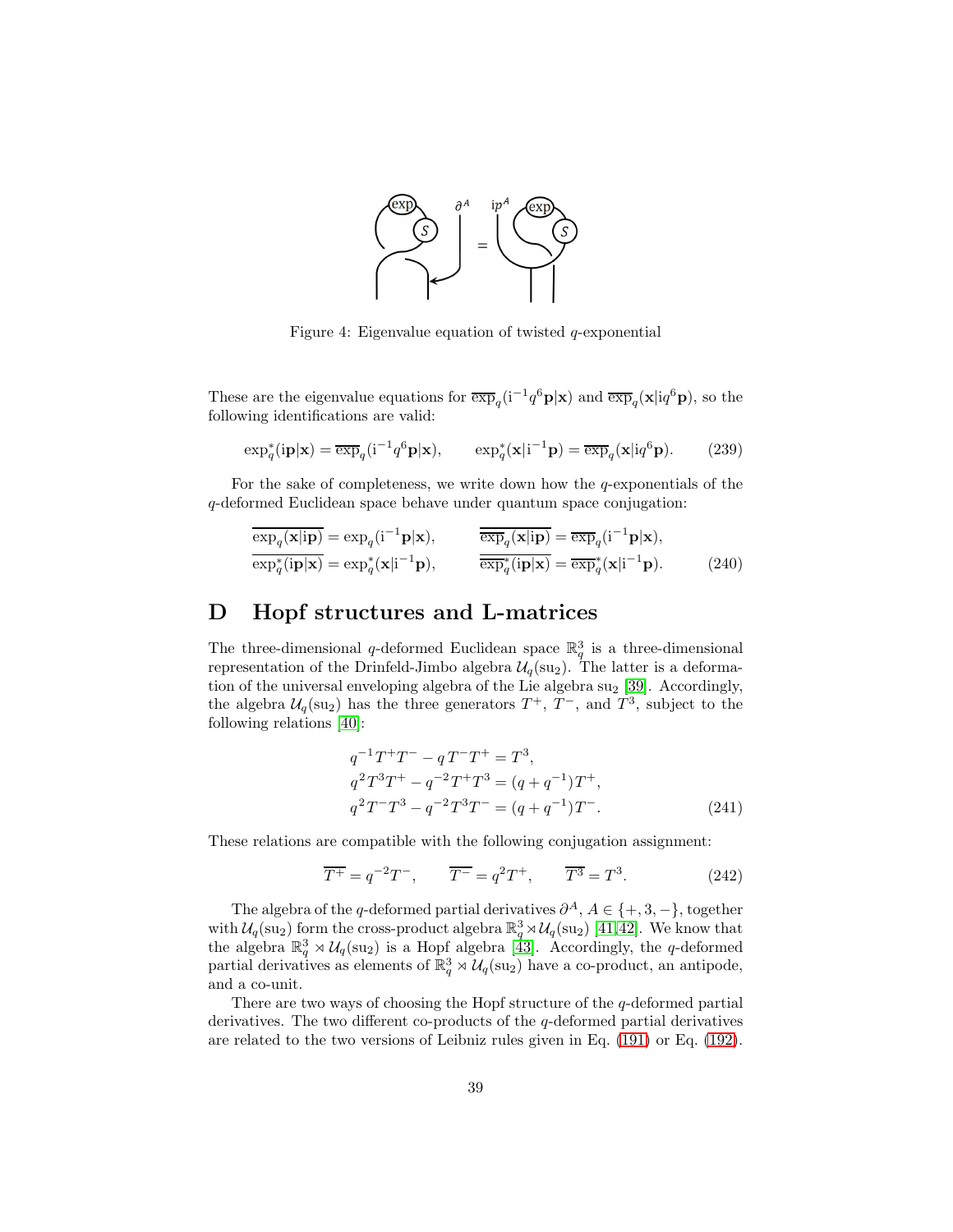

<span id="page-38-2"></span>Figure 4: Eigenvalue equation of twisted  $q$ -exponential

These are the eigenvalue equations for  $\overline{\exp}_q(i^{-1}q^6\mathbf{p}|\mathbf{x})$  and  $\overline{\exp}_q(\mathbf{x}|iq^6\mathbf{p})$ , so the following identifications are valid:

$$
\exp_q^*(i\mathbf{p}|\mathbf{x}) = \overline{\exp}_q(i^{-1}q^6\mathbf{p}|\mathbf{x}), \qquad \exp_q^*(\mathbf{x}|i^{-1}\mathbf{p}) = \overline{\exp}_q(\mathbf{x}|iq^6\mathbf{p}). \tag{239}
$$

For the sake of completeness, we write down how the  $q$ -exponentials of the q-deformed Euclidean space behave under quantum space conjugation:

$$
\overline{\exp_q(\mathbf{x}|\mathbf{ip})} = \exp_q(\mathbf{i}^{-1}\mathbf{p}|\mathbf{x}), \qquad \overline{\overline{\exp_q(\mathbf{x}|\mathbf{ip})}} = \overline{\exp_q(\mathbf{i}^{-1}\mathbf{p}|\mathbf{x})},
$$
\n
$$
\overline{\exp_q^*(\mathbf{ip}|\mathbf{x})} = \exp_q^*(\mathbf{x}|\mathbf{i}^{-1}\mathbf{p}), \qquad \overline{\overline{\exp_q^*(\mathbf{ip}|\mathbf{x})}} = \overline{\exp_q^*(\mathbf{x}|\mathbf{i}^{-1}\mathbf{p})}. \qquad (240)
$$

## <span id="page-38-0"></span>D Hopf structures and L-matrices

The three-dimensional q-deformed Euclidean space  $\mathbb{R}^3_q$  is a three-dimensional representation of the Drinfeld-Jimbo algebra  $\mathcal{U}_q(\text{su}_2)$ . The latter is a deformation of the universal enveloping algebra of the Lie algebra  $su<sub>2</sub>$  [\[39\]](#page-43-3). Accordingly, the algebra  $\mathcal{U}_q(\text{su}_2)$  has the three generators  $T^+$ ,  $T^-$ , and  $T^3$ , subject to the following relations [\[40\]](#page-43-4):

<span id="page-38-1"></span>
$$
q^{-1}T^{+}T^{-} - qT^{-}T^{+} = T^{3},
$$
  
\n
$$
q^{2}T^{3}T^{+} - q^{-2}T^{+}T^{3} = (q + q^{-1})T^{+},
$$
  
\n
$$
q^{2}T^{-}T^{3} - q^{-2}T^{3}T^{-} = (q + q^{-1})T^{-}.
$$
\n(241)

These relations are compatible with the following conjugation assignment:

$$
\overline{T^+} = q^{-2}T^-, \qquad \overline{T^-} = q^2T^+, \qquad \overline{T^3} = T^3. \tag{242}
$$

The algebra of the q-deformed partial derivatives  $\partial^A$ ,  $A \in \{+, 3, -\}$ , together with  $U_q(\text{su}_2)$  form the cross-product algebra  $\mathbb{R}^3_q \rtimes U_q(\text{su}_2)$  [\[41,](#page-43-5)[42\]](#page-43-6). We know that the algebra  $\mathbb{R}^3_q \rtimes \mathcal{U}_q(\text{su}_2)$  is a Hopf algebra [\[43\]](#page-43-7). Accordingly, the q-deformed partial derivatives as elements of  $\mathbb{R}^3_q \rtimes \mathcal{U}_q(\text{su}_2)$  have a co-product, an antipode, and a co-unit.

There are two ways of choosing the Hopf structure of the q-deformed partial derivatives. The two different co-products of the q-deformed partial derivatives are related to the two versions of Leibniz rules given in Eq. [\(191\)](#page-30-1) or Eq. [\(192\)](#page-30-2).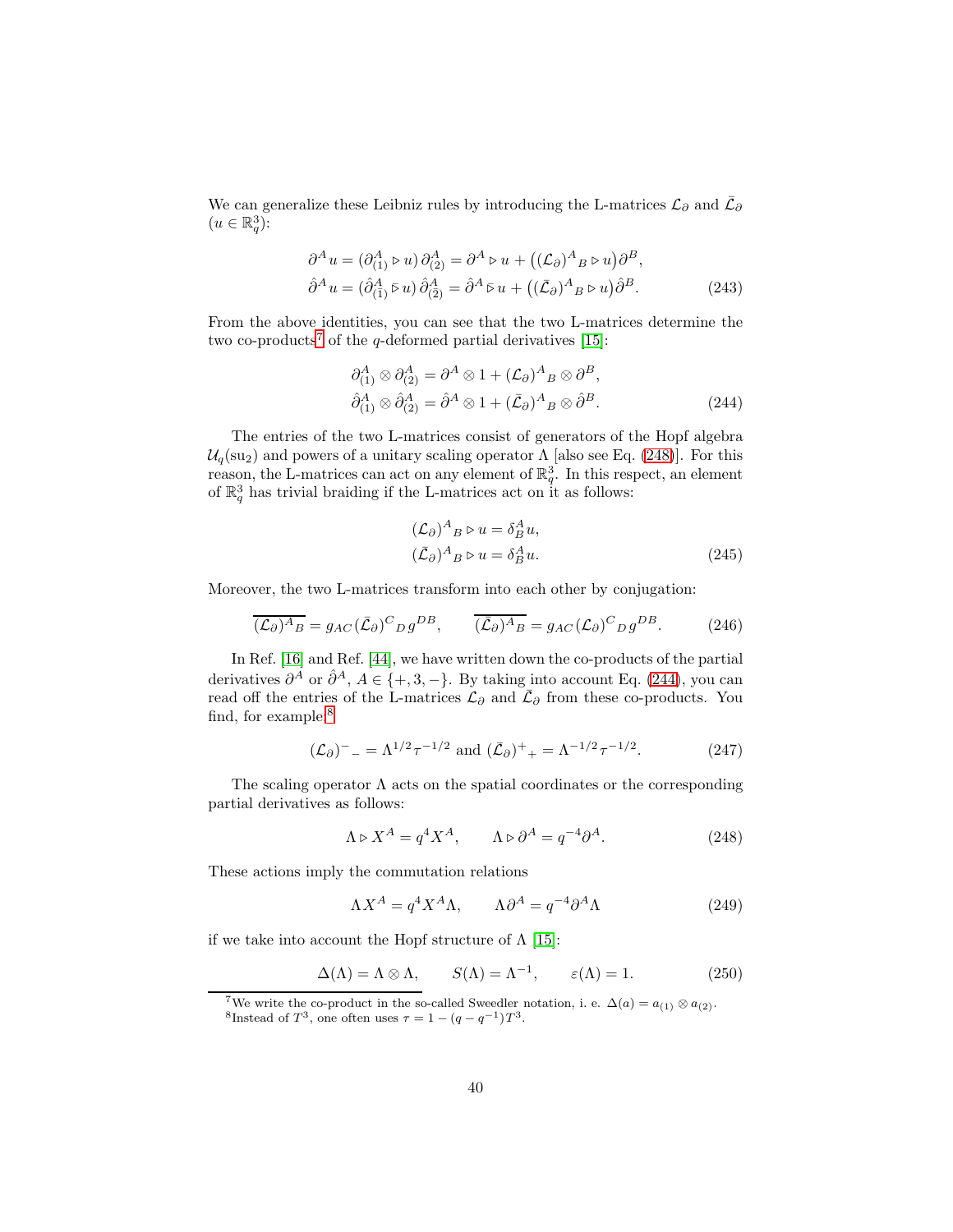We can generalize these Leibniz rules by introducing the L-matrices  $\mathcal{L}_{\partial}$  and  $\bar{\mathcal{L}}_{\partial}$  $(u \in \mathbb{R}_q^3)$ :

$$
\partial^A u = (\partial^A_{(1)} \triangleright u) \partial^A_{(2)} = \partial^A \triangleright u + ((\mathcal{L}_{\partial})^A{}_B \triangleright u) \partial^B,
$$
  

$$
\hat{\partial}^A u = (\hat{\partial}^A_{(\bar{1})} \triangleright u) \hat{\partial}^A_{(\bar{2})} = \hat{\partial}^A \triangleright u + ((\bar{\mathcal{L}}_{\partial})^A{}_B \triangleright u) \hat{\partial}^B.
$$
 (243)

From the above identities, you can see that the two L-matrices determine the two co-products<sup>[7](#page-39-3)</sup> of the q-deformed partial derivatives [\[15\]](#page-41-7):

<span id="page-39-2"></span>
$$
\partial_{(1)}^A \otimes \partial_{(2)}^A = \partial^A \otimes 1 + (\mathcal{L}_{\partial})^A{}_B \otimes \partial^B,
$$
  
\n
$$
\hat{\partial}_{(1)}^A \otimes \hat{\partial}_{(2)}^A = \hat{\partial}^A \otimes 1 + (\bar{\mathcal{L}}_{\partial})^A{}_B \otimes \hat{\partial}^B.
$$
\n(244)

The entries of the two L-matrices consist of generators of the Hopf algebra  $U_q(su_2)$  and powers of a unitary scaling operator  $\Lambda$  [also see Eq. [\(248\)](#page-39-4)]. For this reason, the L-matrices can act on any element of  $\mathbb{R}^3_q$ . In this respect, an element of  $\mathbb{R}^3_q$  has trivial braiding if the L-matrices act on it as follows:

<span id="page-39-5"></span><span id="page-39-0"></span>
$$
(\mathcal{L}_{\partial})^{A}{}_{B} \triangleright u = \delta^{A}_{B} u,
$$
  
\n
$$
(\bar{\mathcal{L}}_{\partial})^{A}{}_{B} \triangleright u = \delta^{A}_{B} u.
$$
\n(245)

Moreover, the two L-matrices transform into each other by conjugation:

<span id="page-39-1"></span>
$$
\overline{(\mathcal{L}_{\partial})^A{}_B} = g_{AC} (\overline{\mathcal{L}}_{\partial})^C{}_D g^{DB}, \qquad \overline{(\overline{\mathcal{L}}_{\partial})^A{}_B} = g_{AC} (\mathcal{L}_{\partial})^C{}_D g^{DB}.
$$
 (246)

In Ref. [\[16\]](#page-41-8) and Ref. [\[44\]](#page-43-8), we have written down the co-products of the partial derivatives  $\partial^A$  or  $\hat{\partial}^A$ ,  $A \in \{+,3,-\}$ . By taking into account Eq. [\(244\)](#page-39-5), you can read off the entries of the L-matrices  $\mathcal{L}_{\partial}$  and  $\bar{\mathcal{L}}_{\partial}$  from these co-products. You find, for example:<sup>[8](#page-39-6)</sup>

$$
(\mathcal{L}_{\partial})^{-} = \Lambda^{1/2} \tau^{-1/2} \text{ and } (\bar{\mathcal{L}}_{\partial})^{+} = \Lambda^{-1/2} \tau^{-1/2}. \tag{247}
$$

The scaling operator  $\Lambda$  acts on the spatial coordinates or the corresponding partial derivatives as follows:

<span id="page-39-4"></span>
$$
\Lambda \triangleright X^A = q^4 X^A, \qquad \Lambda \triangleright \partial^A = q^{-4} \partial^A. \tag{248}
$$

These actions imply the commutation relations

$$
\Lambda X^A = q^4 X^A \Lambda, \qquad \Lambda \partial^A = q^{-4} \partial^A \Lambda \tag{249}
$$

if we take into account the Hopf structure of  $\Lambda$  [\[15\]](#page-41-7):

$$
\Delta(\Lambda) = \Lambda \otimes \Lambda, \qquad S(\Lambda) = \Lambda^{-1}, \qquad \varepsilon(\Lambda) = 1. \tag{250}
$$

<span id="page-39-6"></span><span id="page-39-3"></span><sup>&</sup>lt;sup>7</sup>We write the co-product in the so-called Sweedler notation, i. e.  $\Delta(a) = a_{(1)} \otimes a_{(2)}$ . <sup>8</sup>Instead of  $T^3$ , one often uses  $\tau = 1 - (q - q^{-1})T^3$ .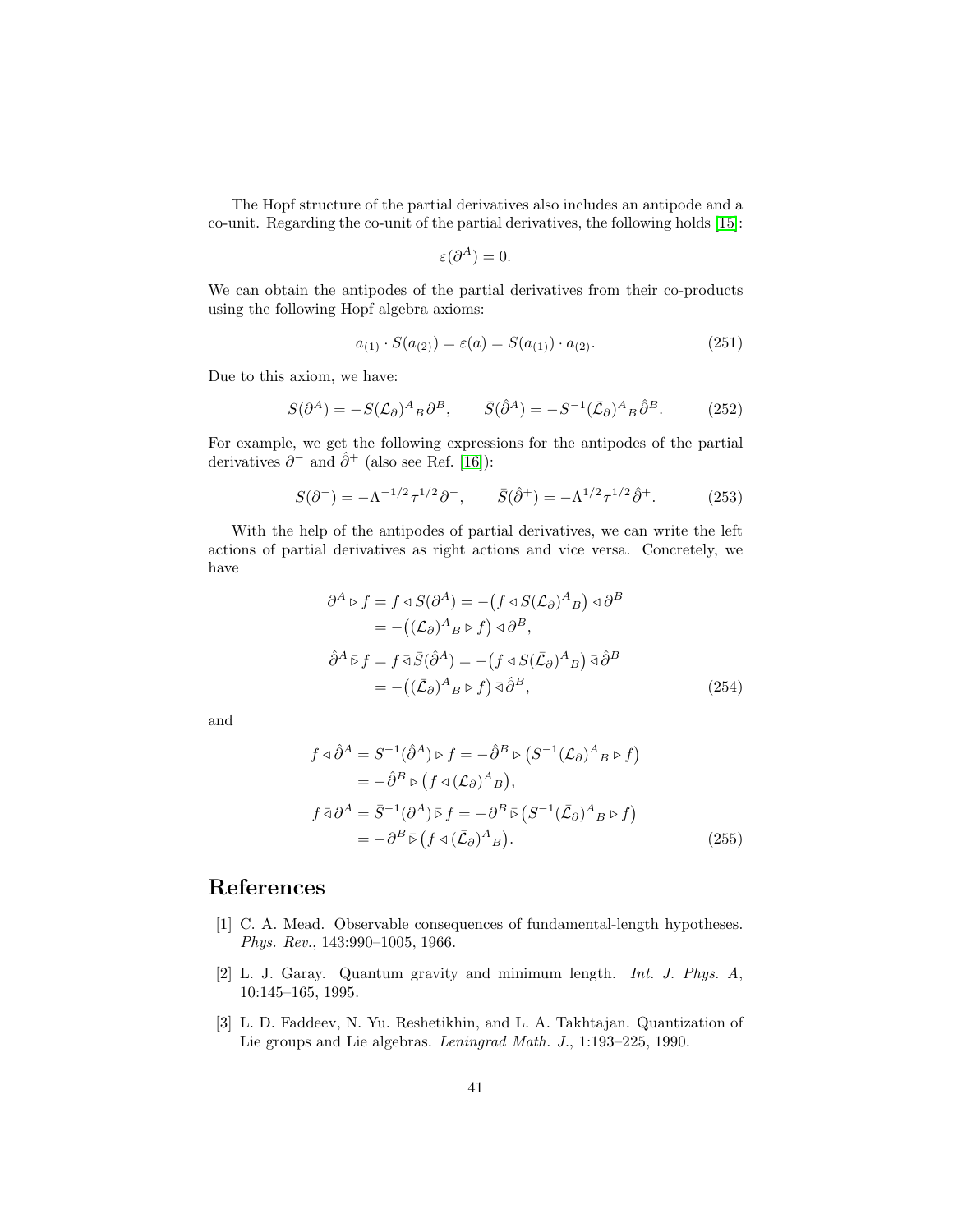The Hopf structure of the partial derivatives also includes an antipode and a co-unit. Regarding the co-unit of the partial derivatives, the following holds [\[15\]](#page-41-7):

$$
\varepsilon(\partial^A)=0.
$$

We can obtain the antipodes of the partial derivatives from their co-products using the following Hopf algebra axioms:

$$
a_{(1)} \cdot S(a_{(2)}) = \varepsilon(a) = S(a_{(1)}) \cdot a_{(2)}.
$$
\n(251)

Due to this axiom, we have:

$$
S(\partial^A) = -S(\mathcal{L}_\partial)^A{}_B \partial^B, \qquad \bar{S}(\hat{\partial}^A) = -S^{-1}(\bar{\mathcal{L}}_\partial)^A{}_B \hat{\partial}^B. \tag{252}
$$

For example, we get the following expressions for the antipodes of the partial derivatives  $\partial^-$  and  $\hat{\partial}^+$  (also see Ref. [\[16\]](#page-41-8)):

$$
S(\partial^-) = -\Lambda^{-1/2} \tau^{1/2} \partial^-, \qquad \bar{S}(\hat{\partial}^+) = -\Lambda^{1/2} \tau^{1/2} \hat{\partial}^+. \tag{253}
$$

With the help of the antipodes of partial derivatives, we can write the left actions of partial derivatives as right actions and vice versa. Concretely, we have

$$
\partial^{A} \triangleright f = f \triangleleft S(\partial^{A}) = -(f \triangleleft S(\mathcal{L}_{\partial})^{A}{}_{B}) \triangleleft \partial^{B}
$$
  
= -(( $\mathcal{L}_{\partial}$ )<sup>A</sup><sub>B</sub>  $\triangleright f$ )  $\triangleleft \partial^{B}$ ,  

$$
\hat{\partial}^{A} \triangleright f = f \triangleleft \overline{S}(\hat{\partial}^{A}) = -(f \triangleleft S(\bar{\mathcal{L}}_{\partial})^{A}{}_{B}) \triangleleft \hat{\partial}^{B}
$$
  
= -(( $\overline{\mathcal{L}}_{\partial}$ )<sup>A</sup><sub>B</sub>  $\triangleright f$ )  $\triangleleft \hat{\partial}^{B}$ , (254)

and

$$
f \triangleleft \hat{\partial}^{A} = S^{-1}(\hat{\partial}^{A}) \triangleright f = -\hat{\partial}^{B} \triangleright (S^{-1}(\mathcal{L}_{\partial})^{A}{}_{B} \triangleright f)
$$
  
\n
$$
= -\hat{\partial}^{B} \triangleright (f \triangleleft (\mathcal{L}_{\partial})^{A}{}_{B}),
$$
  
\n
$$
f \bar{\triangleleft} \partial^{A} = \bar{S}^{-1}(\partial^{A}) \bar{\triangleright} f = -\partial^{B} \bar{\triangleright} (S^{-1}(\bar{\mathcal{L}}_{\partial})^{A}{}_{B} \triangleright f)
$$
  
\n
$$
= -\partial^{B} \bar{\triangleright} (f \triangleleft (\bar{\mathcal{L}}_{\partial})^{A}{}_{B}).
$$
\n(255)

### <span id="page-40-0"></span>References

- [1] C. A. Mead. Observable consequences of fundamental-length hypotheses. Phys. Rev., 143:990–1005, 1966.
- <span id="page-40-1"></span>[2] L. J. Garay. Quantum gravity and minimum length. Int. J. Phys. A, 10:145–165, 1995.
- <span id="page-40-2"></span>[3] L. D. Faddeev, N. Yu. Reshetikhin, and L. A. Takhtajan. Quantization of Lie groups and Lie algebras. Leningrad Math. J., 1:193–225, 1990.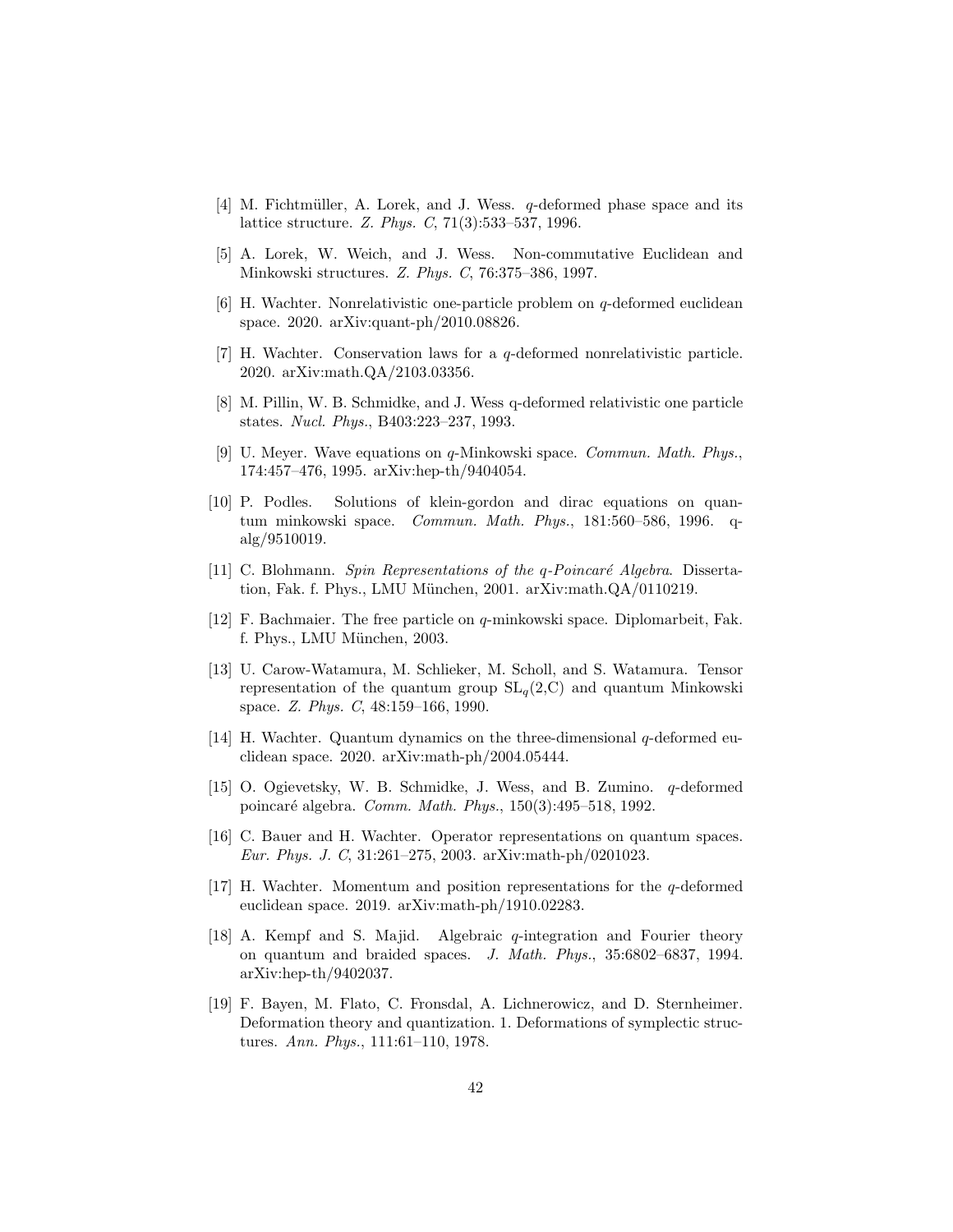- [4] M. Fichtmüller, A. Lorek, and J. Wess. q-deformed phase space and its lattice structure. Z. Phys. C, 71(3):533–537, 1996.
- <span id="page-41-1"></span><span id="page-41-0"></span>[5] A. Lorek, W. Weich, and J. Wess. Non-commutative Euclidean and Minkowski structures. Z. Phys. C, 76:375–386, 1997.
- [6] H. Wachter. Nonrelativistic one-particle problem on q-deformed euclidean space. 2020. arXiv:quant-ph/2010.08826.
- <span id="page-41-2"></span>[7] H. Wachter. Conservation laws for a q-deformed nonrelativistic particle. 2020. arXiv:math.QA/2103.03356.
- <span id="page-41-3"></span>[8] M. Pillin, W. B. Schmidke, and J. Wess q-deformed relativistic one particle states. Nucl. Phys., B403:223–237, 1993.
- [9] U. Meyer. Wave equations on q-Minkowski space. Commun. Math. Phys., 174:457–476, 1995. arXiv:hep-th/9404054.
- [10] P. Podles. Solutions of klein-gordon and dirac equations on quantum minkowski space. Commun. Math. Phys., 181:560–586, 1996. qalg/9510019.
- [11] C. Blohmann. Spin Representations of the  $q$ -Poincaré Algebra. Dissertation, Fak. f. Phys., LMU München, 2001. arXiv:math.QA/0110219.
- <span id="page-41-4"></span>[12] F. Bachmaier. The free particle on  $q$ -minkowski space. Diplomarbeit, Fak. f. Phys., LMU München, 2003.
- <span id="page-41-5"></span>[13] U. Carow-Watamura, M. Schlieker, M. Scholl, and S. Watamura. Tensor representation of the quantum group  $SL_q(2,\mathbb{C})$  and quantum Minkowski space. Z. Phys. C, 48:159–166, 1990.
- <span id="page-41-6"></span>[14] H. Wachter. Quantum dynamics on the three-dimensional q-deformed euclidean space. 2020. arXiv:math-ph/2004.05444.
- <span id="page-41-7"></span>[15] O. Ogievetsky, W. B. Schmidke, J. Wess, and B. Zumino. q-deformed poincaré algebra. Comm. Math. Phys., 150(3):495–518, 1992.
- <span id="page-41-8"></span>[16] C. Bauer and H. Wachter. Operator representations on quantum spaces. Eur. Phys. J. C, 31:261–275, 2003. arXiv:math-ph/0201023.
- <span id="page-41-9"></span>[17] H. Wachter. Momentum and position representations for the q-deformed euclidean space. 2019. arXiv:math-ph/1910.02283.
- <span id="page-41-10"></span>[18] A. Kempf and S. Majid. Algebraic q-integration and Fourier theory on quantum and braided spaces. J. Math. Phys., 35:6802–6837, 1994. arXiv:hep-th/9402037.
- <span id="page-41-11"></span>[19] F. Bayen, M. Flato, C. Fronsdal, A. Lichnerowicz, and D. Sternheimer. Deformation theory and quantization. 1. Deformations of symplectic structures. Ann. Phys., 111:61–110, 1978.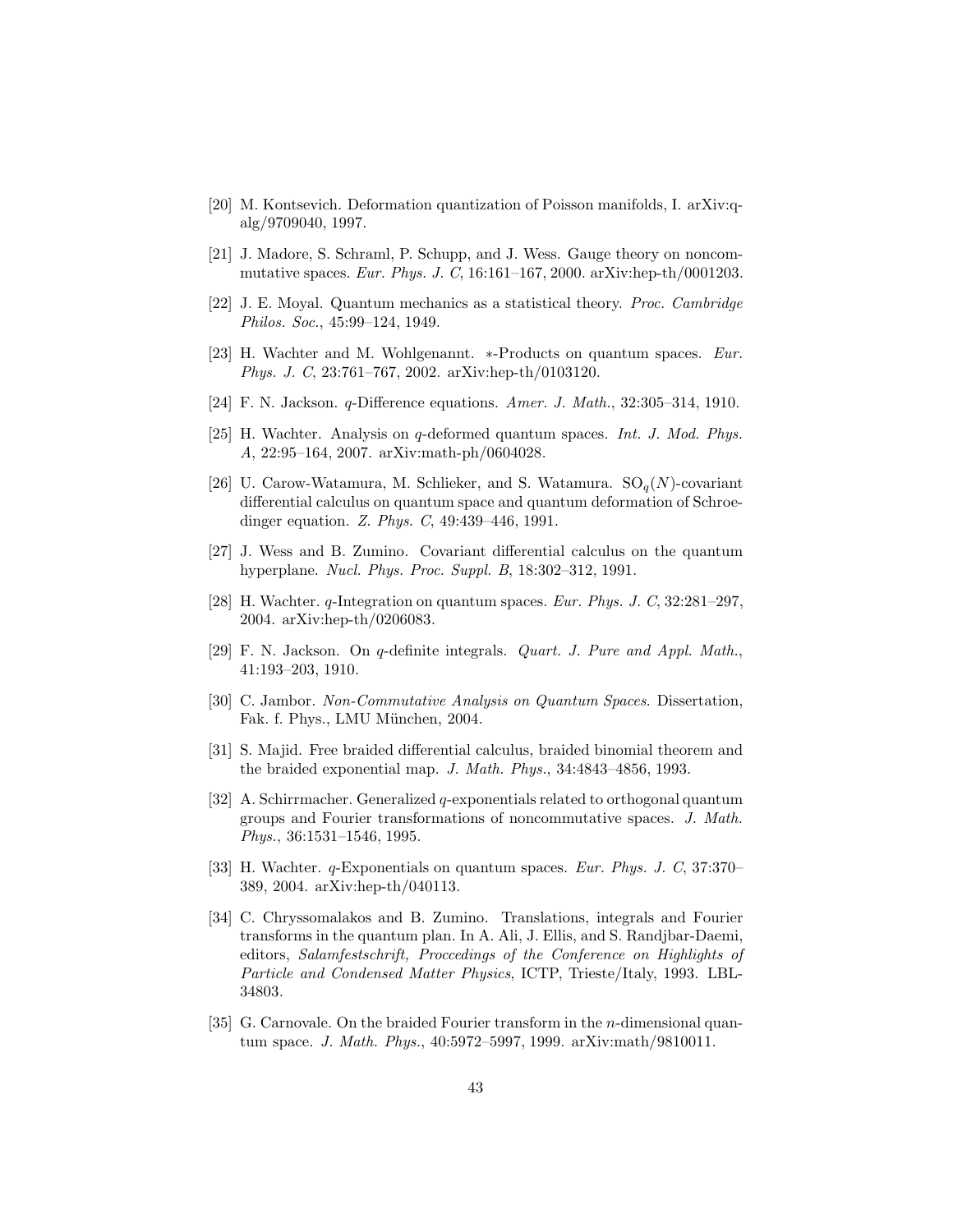- [20] M. Kontsevich. Deformation quantization of Poisson manifolds, I. arXiv:qalg/9709040, 1997.
- <span id="page-42-0"></span>[21] J. Madore, S. Schraml, P. Schupp, and J. Wess. Gauge theory on noncommutative spaces. Eur. Phys. J. C, 16:161–167, 2000. arXiv:hep-th/0001203.
- <span id="page-42-1"></span>[22] J. E. Moyal. Quantum mechanics as a statistical theory. Proc. Cambridge Philos. Soc., 45:99–124, 1949.
- [23] H. Wachter and M. Wohlgenannt. ∗-Products on quantum spaces. Eur. Phys. J. C, 23:761–767, 2002. arXiv:hep-th/0103120.
- <span id="page-42-3"></span><span id="page-42-2"></span>[24] F. N. Jackson. q-Difference equations. Amer. J. Math., 32:305–314, 1910.
- [25] H. Wachter. Analysis on q-deformed quantum spaces. *Int. J. Mod. Phys.* A, 22:95–164, 2007. arXiv:math-ph/0604028.
- <span id="page-42-4"></span>[26] U. Carow-Watamura, M. Schlieker, and S. Watamura.  $SO_q(N)$ -covariant differential calculus on quantum space and quantum deformation of Schroedinger equation. Z. Phys. C, 49:439–446, 1991.
- <span id="page-42-5"></span>[27] J. Wess and B. Zumino. Covariant differential calculus on the quantum hyperplane. Nucl. Phys. Proc. Suppl. B, 18:302–312, 1991.
- <span id="page-42-6"></span>[28] H. Wachter. q-Integration on quantum spaces. Eur. Phys. J. C, 32:281–297, 2004. arXiv:hep-th/0206083.
- <span id="page-42-7"></span>[29] F. N. Jackson. On q-definite integrals. Quart. J. Pure and Appl. Math., 41:193–203, 1910.
- <span id="page-42-8"></span>[30] C. Jambor. Non-Commutative Analysis on Quantum Spaces. Dissertation, Fak. f. Phys., LMU München, 2004.
- <span id="page-42-9"></span>[31] S. Majid. Free braided differential calculus, braided binomial theorem and the braided exponential map. J. Math. Phys., 34:4843–4856, 1993.
- <span id="page-42-13"></span>[32] A. Schirrmacher. Generalized q-exponentials related to orthogonal quantum groups and Fourier transformations of noncommutative spaces. J. Math. Phys., 36:1531–1546, 1995.
- <span id="page-42-10"></span>[33] H. Wachter. q-Exponentials on quantum spaces. Eur. Phys. J. C, 37:370– 389, 2004. arXiv:hep-th/040113.
- <span id="page-42-11"></span>[34] C. Chryssomalakos and B. Zumino. Translations, integrals and Fourier transforms in the quantum plan. In A. Ali, J. Ellis, and S. Randjbar-Daemi, editors, Salamfestschrift, Proccedings of the Conference on Highlights of Particle and Condensed Matter Physics, ICTP, Trieste/Italy, 1993. LBL-34803.
- <span id="page-42-12"></span>[35] G. Carnovale. On the braided Fourier transform in the *n*-dimensional quantum space. J. Math. Phys., 40:5972–5997, 1999. arXiv:math/9810011.